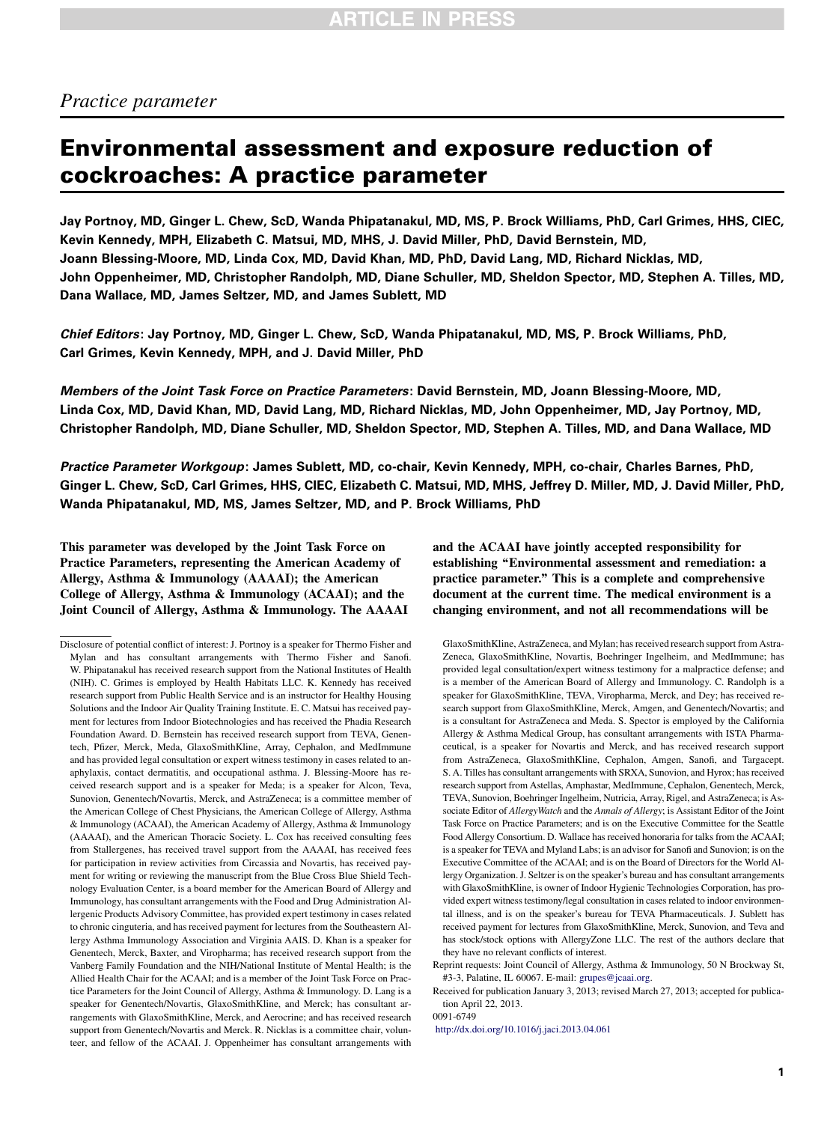# Environmental assessment and exposure reduction of cockroaches: A practice parameter

Jay Portnoy, MD, Ginger L. Chew, ScD, Wanda Phipatanakul, MD, MS, P. Brock Williams, PhD, Carl Grimes, HHS, CIEC, Kevin Kennedy, MPH, Elizabeth C. Matsui, MD, MHS, J. David Miller, PhD, David Bernstein, MD, Joann Blessing-Moore, MD, Linda Cox, MD, David Khan, MD, PhD, David Lang, MD, Richard Nicklas, MD, John Oppenheimer, MD, Christopher Randolph, MD, Diane Schuller, MD, Sheldon Spector, MD, Stephen A. Tilles, MD, Dana Wallace, MD, James Seltzer, MD, and James Sublett, MD

Chief Editors: Jay Portnoy, MD, Ginger L. Chew, ScD, Wanda Phipatanakul, MD, MS, P. Brock Williams, PhD, Carl Grimes, Kevin Kennedy, MPH, and J. David Miller, PhD

Members of the Joint Task Force on Practice Parameters: David Bernstein, MD, Joann Blessing-Moore, MD, Linda Cox, MD, David Khan, MD, David Lang, MD, Richard Nicklas, MD, John Oppenheimer, MD, Jay Portnoy, MD, Christopher Randolph, MD, Diane Schuller, MD, Sheldon Spector, MD, Stephen A. Tilles, MD, and Dana Wallace, MD

Practice Parameter Workgoup: James Sublett, MD, co-chair, Kevin Kennedy, MPH, co-chair, Charles Barnes, PhD, Ginger L. Chew, ScD, Carl Grimes, HHS, CIEC, Elizabeth C. Matsui, MD, MHS, Jeffrey D. Miller, MD, J. David Miller, PhD, Wanda Phipatanakul, MD, MS, James Seltzer, MD, and P. Brock Williams, PhD

This parameter was developed by the Joint Task Force on Practice Parameters, representing the American Academy of Allergy, Asthma & Immunology (AAAAI); the American College of Allergy, Asthma & Immunology (ACAAI); and the Joint Council of Allergy, Asthma & Immunology. The AAAAI

and the ACAAI have jointly accepted responsibility for establishing ''Environmental assessment and remediation: a practice parameter.'' This is a complete and comprehensive document at the current time. The medical environment is a changing environment, and not all recommendations will be

GlaxoSmithKline, AstraZeneca, and Mylan; has received research support from Astra-Zeneca, GlaxoSmithKline, Novartis, Boehringer Ingelheim, and MedImmune; has provided legal consultation/expert witness testimony for a malpractice defense; and is a member of the American Board of Allergy and Immunology. C. Randolph is a speaker for GlaxoSmithKline, TEVA, Viropharma, Merck, and Dey; has received research support from GlaxoSmithKline, Merck, Amgen, and Genentech/Novartis; and is a consultant for AstraZeneca and Meda. S. Spector is employed by the California Allergy & Asthma Medical Group, has consultant arrangements with ISTA Pharmaceutical, is a speaker for Novartis and Merck, and has received research support from AstraZeneca, GlaxoSmithKline, Cephalon, Amgen, Sanofi, and Targacept. S. A. Tilles has consultant arrangements with SRXA, Sunovion, and Hyrox; has received research support from Astellas, Amphastar, MedImmune, Cephalon, Genentech, Merck, TEVA, Sunovion, Boehringer Ingelheim, Nutricia, Array, Rigel, and AstraZeneca; is Associate Editor of AllergyWatch and the Annals of Allergy; is Assistant Editor of the Joint Task Force on Practice Parameters; and is on the Executive Committee for the Seattle Food Allergy Consortium. D. Wallace has received honoraria for talks from the ACAAI; is a speaker for TEVA and Myland Labs; is an advisor for Sanofi and Sunovion; is on the Executive Committee of the ACAAI; and is on the Board of Directors for the World Allergy Organization. J. Seltzer is on the speaker's bureau and has consultant arrangements with GlaxoSmithKline, is owner of Indoor Hygienic Technologies Corporation, has provided expert witness testimony/legal consultation in cases related to indoor environmental illness, and is on the speaker's bureau for TEVA Pharmaceuticals. J. Sublett has received payment for lectures from GlaxoSmithKline, Merck, Sunovion, and Teva and has stock/stock options with AllergyZone LLC. The rest of the authors declare that they have no relevant conflicts of interest.

Reprint requests: Joint Council of Allergy, Asthma & Immunology, 50 N Brockway St, #3-3, Palatine, IL 60067. E-mail: [grupes@jcaai.org](mailto:grupes@jcaai.org).

Received for publication January 3, 2013; revised March 27, 2013; accepted for publication April 22, 2013. 0091-6749

<http://dx.doi.org/10.1016/j.jaci.2013.04.061>

Disclosure of potential conflict of interest: J. Portnoy is a speaker for Thermo Fisher and Mylan and has consultant arrangements with Thermo Fisher and Sanofi. W. Phipatanakul has received research support from the National Institutes of Health (NIH). C. Grimes is employed by Health Habitats LLC. K. Kennedy has received research support from Public Health Service and is an instructor for Healthy Housing Solutions and the Indoor Air Quality Training Institute. E. C. Matsui has received payment for lectures from Indoor Biotechnologies and has received the Phadia Research Foundation Award. D. Bernstein has received research support from TEVA, Genentech, Pfizer, Merck, Meda, GlaxoSmithKline, Array, Cephalon, and MedImmune and has provided legal consultation or expert witness testimony in cases related to anaphylaxis, contact dermatitis, and occupational asthma. J. Blessing-Moore has received research support and is a speaker for Meda; is a speaker for Alcon, Teva, Sunovion, Genentech/Novartis, Merck, and AstraZeneca; is a committee member of the American College of Chest Physicians, the American College of Allergy, Asthma & Immunology (ACAAI), the American Academy of Allergy, Asthma & Immunology (AAAAI), and the American Thoracic Society. L. Cox has received consulting fees from Stallergenes, has received travel support from the AAAAI, has received fees for participation in review activities from Circassia and Novartis, has received payment for writing or reviewing the manuscript from the Blue Cross Blue Shield Technology Evaluation Center, is a board member for the American Board of Allergy and Immunology, has consultant arrangements with the Food and Drug Administration Allergenic Products Advisory Committee, has provided expert testimony in cases related to chronic cinguteria, and has received payment for lectures from the Southeastern Allergy Asthma Immunology Association and Virginia AAIS. D. Khan is a speaker for Genentech, Merck, Baxter, and Viropharma; has received research support from the Vanberg Family Foundation and the NIH/National Institute of Mental Health; is the Allied Health Chair for the ACAAI; and is a member of the Joint Task Force on Practice Parameters for the Joint Council of Allergy, Asthma & Immunology. D. Lang is a speaker for Genentech/Novartis, GlaxoSmithKline, and Merck; has consultant arrangements with GlaxoSmithKline, Merck, and Aerocrine; and has received research support from Genentech/Novartis and Merck. R. Nicklas is a committee chair, volunteer, and fellow of the ACAAI. J. Oppenheimer has consultant arrangements with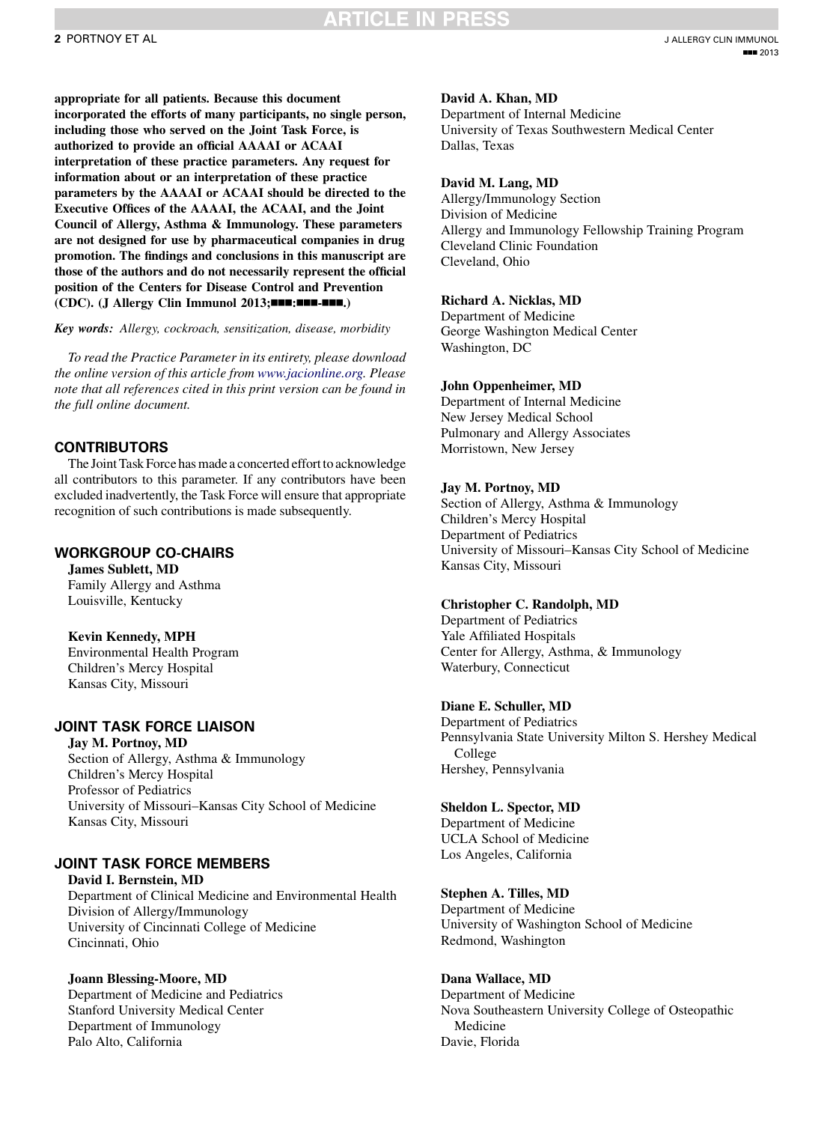appropriate for all patients. Because this document incorporated the efforts of many participants, no single person, including those who served on the Joint Task Force, is authorized to provide an official AAAAI or ACAAI interpretation of these practice parameters. Any request for information about or an interpretation of these practice parameters by the AAAAI or ACAAI should be directed to the Executive Offices of the AAAAI, the ACAAI, and the Joint Council of Allergy, Asthma & Immunology. These parameters are not designed for use by pharmaceutical companies in drug promotion. The findings and conclusions in this manuscript are those of the authors and do not necessarily represent the official position of the Centers for Disease Control and Prevention (CDC). (J Allergy Clin Immunol  $2013;$  $\blacksquare$  $\blacksquare$ : $\blacksquare$  $\blacksquare$ .)

#### Key words: Allergy, cockroach, sensitization, disease, morbidity

To read the Practice Parameter in its entirety, please download the online version of this article from [www.jacionline.org](http://www.jacionline.org). Please note that all references cited in this print version can be found in the full online document.

## **CONTRIBUTORS**

The Joint Task Force has made a concerted effort to acknowledge all contributors to this parameter. If any contributors have been excluded inadvertently, the Task Force will ensure that appropriate recognition of such contributions is made subsequently.

## WORKGROUP CO-CHAIRS

James Sublett, MD Family Allergy and Asthma Louisville, Kentucky

Kevin Kennedy, MPH Environmental Health Program Children's Mercy Hospital Kansas City, Missouri

## JOINT TASK FORCE LIAISON

Jay M. Portnoy, MD Section of Allergy, Asthma & Immunology Children's Mercy Hospital Professor of Pediatrics University of Missouri–Kansas City School of Medicine Kansas City, Missouri

## JOINT TASK FORCE MEMBERS

David I. Bernstein, MD Department of Clinical Medicine and Environmental Health Division of Allergy/Immunology University of Cincinnati College of Medicine Cincinnati, Ohio

## Joann Blessing-Moore, MD

Department of Medicine and Pediatrics Stanford University Medical Center Department of Immunology Palo Alto, California

#### David A. Khan, MD

Department of Internal Medicine University of Texas Southwestern Medical Center Dallas, Texas

#### David M. Lang, MD

Allergy/Immunology Section Division of Medicine Allergy and Immunology Fellowship Training Program Cleveland Clinic Foundation Cleveland, Ohio

#### Richard A. Nicklas, MD

Department of Medicine George Washington Medical Center Washington, DC

#### John Oppenheimer, MD

Department of Internal Medicine New Jersey Medical School Pulmonary and Allergy Associates Morristown, New Jersey

#### Jay M. Portnoy, MD

Section of Allergy, Asthma & Immunology Children's Mercy Hospital Department of Pediatrics University of Missouri–Kansas City School of Medicine Kansas City, Missouri

#### Christopher C. Randolph, MD

Department of Pediatrics Yale Affiliated Hospitals Center for Allergy, Asthma, & Immunology Waterbury, Connecticut

## Diane E. Schuller, MD

Department of Pediatrics Pennsylvania State University Milton S. Hershey Medical College Hershey, Pennsylvania

#### Sheldon L. Spector, MD

Department of Medicine UCLA School of Medicine Los Angeles, California

#### Stephen A. Tilles, MD

Department of Medicine University of Washington School of Medicine Redmond, Washington

#### Dana Wallace, MD

Department of Medicine Nova Southeastern University College of Osteopathic Medicine Davie, Florida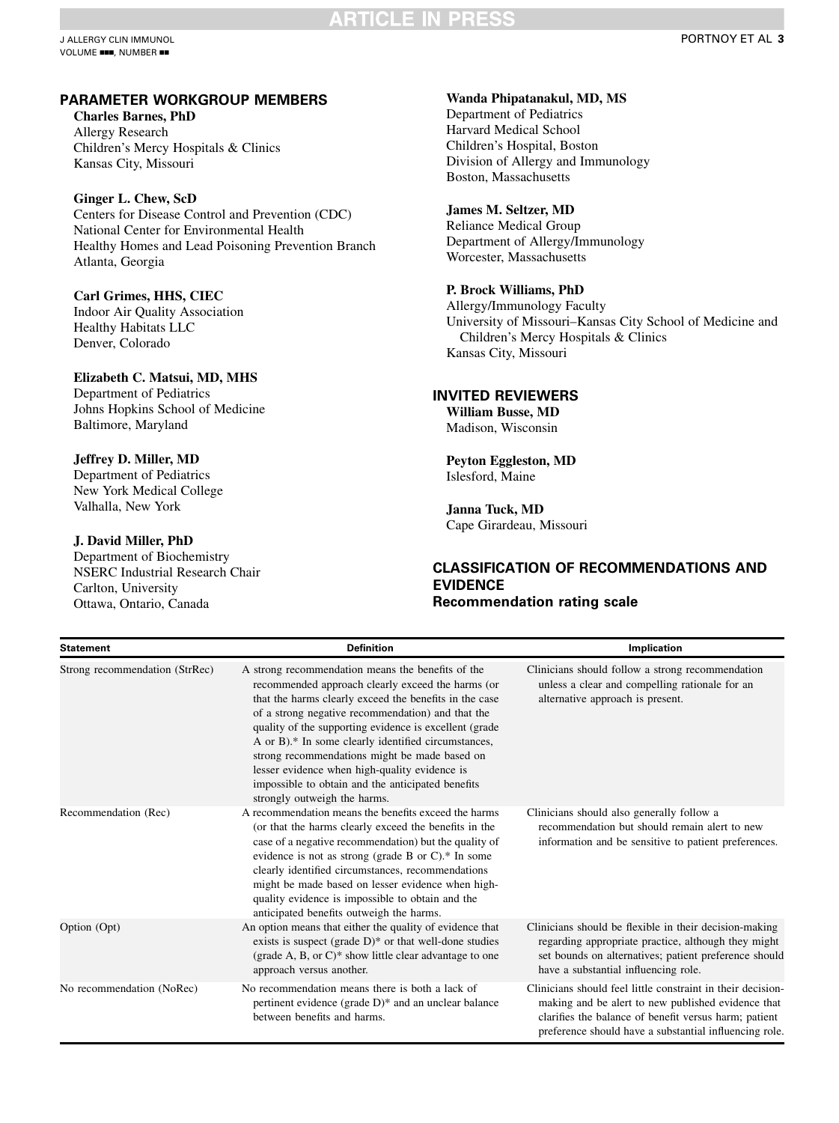## PARAMETER WORKGROUP MEMBERS

Charles Barnes, PhD Allergy Research Children's Mercy Hospitals & Clinics Kansas City, Missouri

## Ginger L. Chew, ScD

Centers for Disease Control and Prevention (CDC) National Center for Environmental Health Healthy Homes and Lead Poisoning Prevention Branch Atlanta, Georgia

## Carl Grimes, HHS, CIEC

Indoor Air Quality Association Healthy Habitats LLC Denver, Colorado

## Elizabeth C. Matsui, MD, MHS

Department of Pediatrics Johns Hopkins School of Medicine Baltimore, Maryland

#### Jeffrey D. Miller, MD

Department of Pediatrics New York Medical College Valhalla, New York

## J. David Miller, PhD

Department of Biochemistry NSERC Industrial Research Chair Carlton, University Ottawa, Ontario, Canada

#### Wanda Phipatanakul, MD, MS

Department of Pediatrics Harvard Medical School Children's Hospital, Boston Division of Allergy and Immunology Boston, Massachusetts

## James M. Seltzer, MD

Reliance Medical Group Department of Allergy/Immunology Worcester, Massachusetts

## P. Brock Williams, PhD

Allergy/Immunology Faculty University of Missouri–Kansas City School of Medicine and Children's Mercy Hospitals & Clinics Kansas City, Missouri

## INVITED REVIEWERS

William Busse, MD Madison, Wisconsin

#### Peyton Eggleston, MD Islesford, Maine

Janna Tuck, MD Cape Girardeau, Missouri

## CLASSIFICATION OF RECOMMENDATIONS AND EVIDENCE Recommendation rating scale

| <b>Statement</b>               | <b>Definition</b>                                                                                                                                                                                                                                                                                                                                                                                                                                                                                                             | Implication                                                                                                                                                                                                                          |
|--------------------------------|-------------------------------------------------------------------------------------------------------------------------------------------------------------------------------------------------------------------------------------------------------------------------------------------------------------------------------------------------------------------------------------------------------------------------------------------------------------------------------------------------------------------------------|--------------------------------------------------------------------------------------------------------------------------------------------------------------------------------------------------------------------------------------|
| Strong recommendation (StrRec) | A strong recommendation means the benefits of the<br>recommended approach clearly exceed the harms (or<br>that the harms clearly exceed the benefits in the case<br>of a strong negative recommendation) and that the<br>quality of the supporting evidence is excellent (grade<br>A or B).* In some clearly identified circumstances,<br>strong recommendations might be made based on<br>lesser evidence when high-quality evidence is<br>impossible to obtain and the anticipated benefits<br>strongly outweigh the harms. | Clinicians should follow a strong recommendation<br>unless a clear and compelling rationale for an<br>alternative approach is present.                                                                                               |
| Recommendation (Rec)           | A recommendation means the benefits exceed the harms<br>(or that the harms clearly exceed the benefits in the<br>case of a negative recommendation) but the quality of<br>evidence is not as strong (grade B or $C$ ). <sup>*</sup> In some<br>clearly identified circumstances, recommendations<br>might be made based on lesser evidence when high-<br>quality evidence is impossible to obtain and the<br>anticipated benefits outweigh the harms.                                                                         | Clinicians should also generally follow a<br>recommendation but should remain alert to new<br>information and be sensitive to patient preferences.                                                                                   |
| Option (Opt)                   | An option means that either the quality of evidence that<br>exists is suspect (grade $D$ )* or that well-done studies<br>(grade A, B, or $C$ )* show little clear advantage to one<br>approach versus another.                                                                                                                                                                                                                                                                                                                | Clinicians should be flexible in their decision-making<br>regarding appropriate practice, although they might<br>set bounds on alternatives; patient preference should<br>have a substantial influencing role.                       |
| No recommendation (NoRec)      | No recommendation means there is both a lack of<br>pertinent evidence (grade D)* and an unclear balance<br>between benefits and harms.                                                                                                                                                                                                                                                                                                                                                                                        | Clinicians should feel little constraint in their decision-<br>making and be alert to new published evidence that<br>clarifies the balance of benefit versus harm; patient<br>preference should have a substantial influencing role. |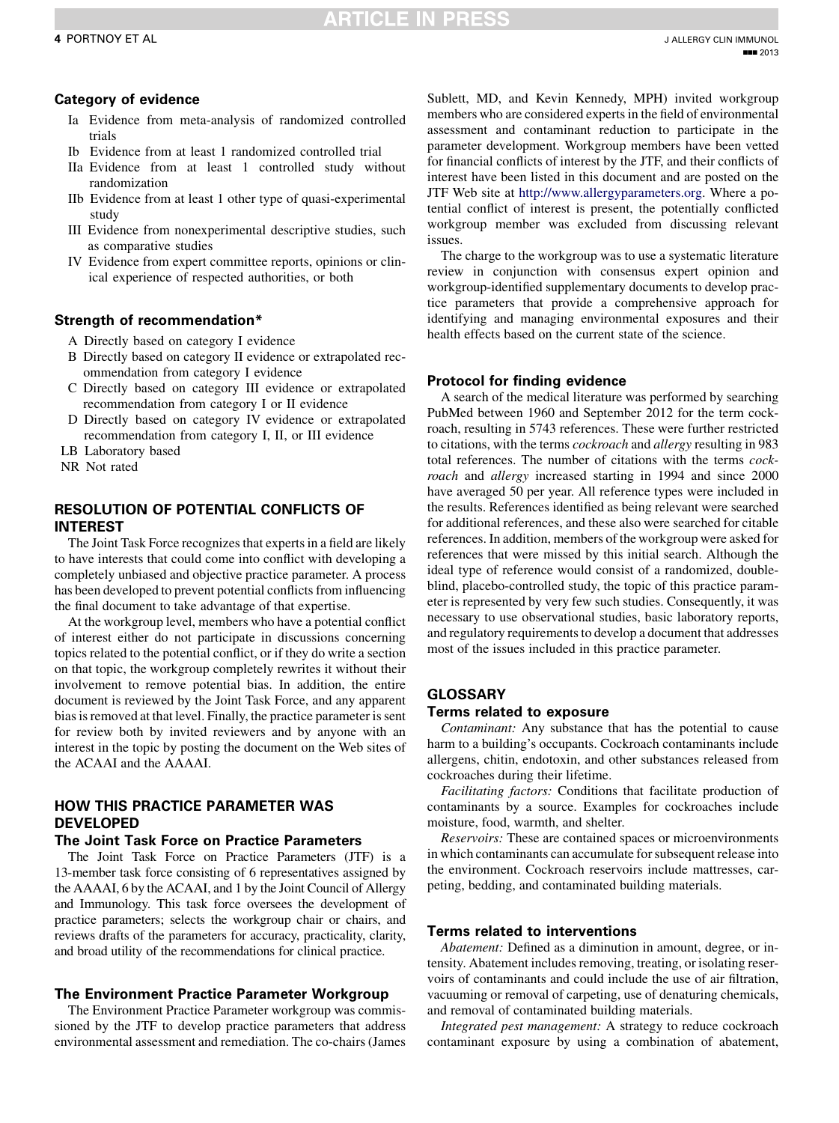## Category of evidence

- Ia Evidence from meta-analysis of randomized controlled trials
- Ib Evidence from at least 1 randomized controlled trial
- IIa Evidence from at least 1 controlled study without randomization
- IIb Evidence from at least 1 other type of quasi-experimental study
- III Evidence from nonexperimental descriptive studies, such as comparative studies
- IV Evidence from expert committee reports, opinions or clinical experience of respected authorities, or both

## Strength of recommendation\*

- A Directly based on category I evidence
- B Directly based on category II evidence or extrapolated recommendation from category I evidence
- C Directly based on category III evidence or extrapolated recommendation from category I or II evidence
- D Directly based on category IV evidence or extrapolated recommendation from category I, II, or III evidence
- LB Laboratory based
- NR Not rated

## RESOLUTION OF POTENTIAL CONFLICTS OF INTEREST

The Joint Task Force recognizes that experts in a field are likely to have interests that could come into conflict with developing a completely unbiased and objective practice parameter. A process has been developed to prevent potential conflicts from influencing the final document to take advantage of that expertise.

At the workgroup level, members who have a potential conflict of interest either do not participate in discussions concerning topics related to the potential conflict, or if they do write a section on that topic, the workgroup completely rewrites it without their involvement to remove potential bias. In addition, the entire document is reviewed by the Joint Task Force, and any apparent bias is removed at that level. Finally, the practice parameter is sent for review both by invited reviewers and by anyone with an interest in the topic by posting the document on the Web sites of the ACAAI and the AAAAI.

# HOW THIS PRACTICE PARAMETER WAS DEVELOPED

## The Joint Task Force on Practice Parameters

The Joint Task Force on Practice Parameters (JTF) is a 13-member task force consisting of 6 representatives assigned by the AAAAI, 6 by the ACAAI, and 1 by the Joint Council of Allergy and Immunology. This task force oversees the development of practice parameters; selects the workgroup chair or chairs, and reviews drafts of the parameters for accuracy, practicality, clarity, and broad utility of the recommendations for clinical practice.

## The Environment Practice Parameter Workgroup

The Environment Practice Parameter workgroup was commissioned by the JTF to develop practice parameters that address environmental assessment and remediation. The co-chairs (James

Sublett, MD, and Kevin Kennedy, MPH) invited workgroup members who are considered experts in the field of environmental assessment and contaminant reduction to participate in the parameter development. Workgroup members have been vetted for financial conflicts of interest by the JTF, and their conflicts of interest have been listed in this document and are posted on the JTF Web site at [http://www.allergyparameters.org.](http://www.allergyparameters.org) Where a potential conflict of interest is present, the potentially conflicted workgroup member was excluded from discussing relevant issues.

The charge to the workgroup was to use a systematic literature review in conjunction with consensus expert opinion and workgroup-identified supplementary documents to develop practice parameters that provide a comprehensive approach for identifying and managing environmental exposures and their health effects based on the current state of the science.

#### Protocol for finding evidence

A search of the medical literature was performed by searching PubMed between 1960 and September 2012 for the term cockroach, resulting in 5743 references. These were further restricted to citations, with the terms *cockroach* and *allergy* resulting in 983 total references. The number of citations with the terms cockroach and allergy increased starting in 1994 and since 2000 have averaged 50 per year. All reference types were included in the results. References identified as being relevant were searched for additional references, and these also were searched for citable references. In addition, members of the workgroup were asked for references that were missed by this initial search. Although the ideal type of reference would consist of a randomized, doubleblind, placebo-controlled study, the topic of this practice parameter is represented by very few such studies. Consequently, it was necessary to use observational studies, basic laboratory reports, and regulatory requirements to develop a document that addresses most of the issues included in this practice parameter.

## GLOSSARY

## Terms related to exposure

Contaminant: Any substance that has the potential to cause harm to a building's occupants. Cockroach contaminants include allergens, chitin, endotoxin, and other substances released from cockroaches during their lifetime.

Facilitating factors: Conditions that facilitate production of contaminants by a source. Examples for cockroaches include moisture, food, warmth, and shelter.

Reservoirs: These are contained spaces or microenvironments in which contaminants can accumulate for subsequent release into the environment. Cockroach reservoirs include mattresses, carpeting, bedding, and contaminated building materials.

#### Terms related to interventions

Abatement: Defined as a diminution in amount, degree, or intensity. Abatement includes removing, treating, or isolating reservoirs of contaminants and could include the use of air filtration, vacuuming or removal of carpeting, use of denaturing chemicals, and removal of contaminated building materials.

Integrated pest management: A strategy to reduce cockroach contaminant exposure by using a combination of abatement,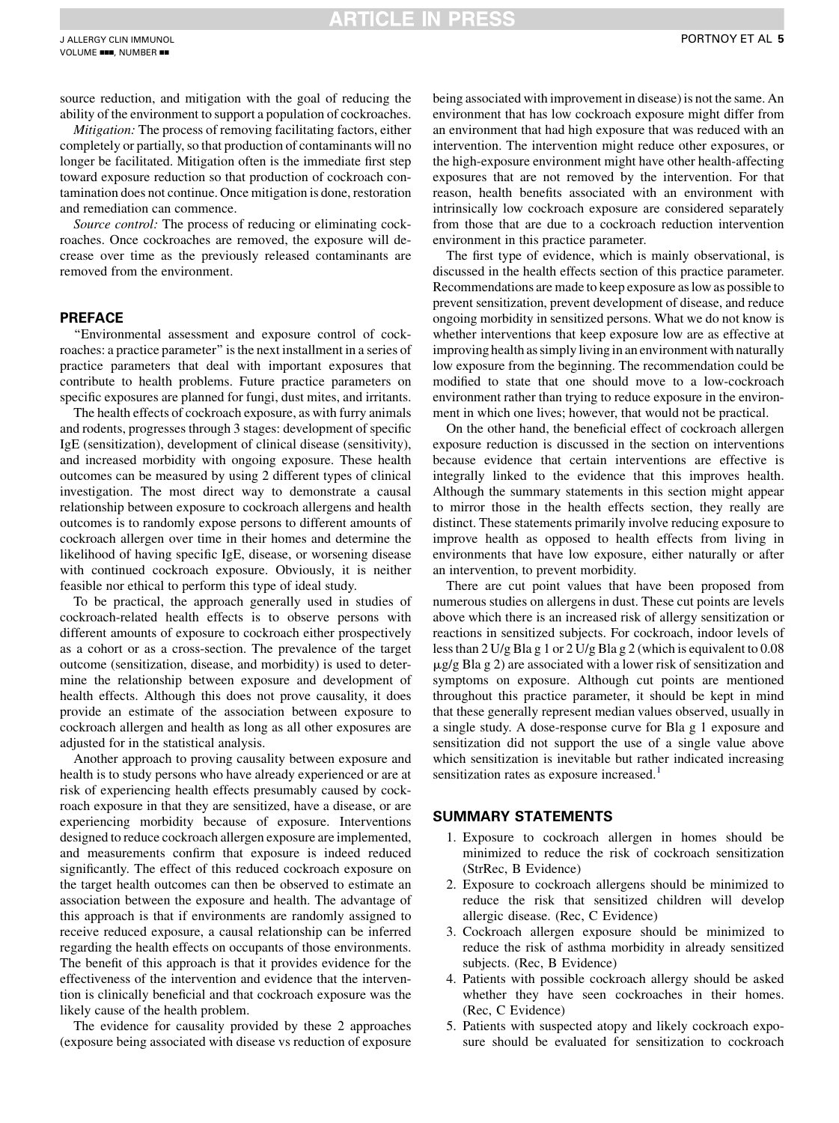source reduction, and mitigation with the goal of reducing the ability of the environment to support a population of cockroaches.

Mitigation: The process of removing facilitating factors, either completely or partially, so that production of contaminants will no longer be facilitated. Mitigation often is the immediate first step toward exposure reduction so that production of cockroach contamination does not continue. Once mitigation is done, restoration and remediation can commence.

Source control: The process of reducing or eliminating cockroaches. Once cockroaches are removed, the exposure will decrease over time as the previously released contaminants are removed from the environment.

## PREFACE

''Environmental assessment and exposure control of cockroaches: a practice parameter'' is the next installment in a series of practice parameters that deal with important exposures that contribute to health problems. Future practice parameters on specific exposures are planned for fungi, dust mites, and irritants.

The health effects of cockroach exposure, as with furry animals and rodents, progresses through 3 stages: development of specific IgE (sensitization), development of clinical disease (sensitivity), and increased morbidity with ongoing exposure. These health outcomes can be measured by using 2 different types of clinical investigation. The most direct way to demonstrate a causal relationship between exposure to cockroach allergens and health outcomes is to randomly expose persons to different amounts of cockroach allergen over time in their homes and determine the likelihood of having specific IgE, disease, or worsening disease with continued cockroach exposure. Obviously, it is neither feasible nor ethical to perform this type of ideal study.

To be practical, the approach generally used in studies of cockroach-related health effects is to observe persons with different amounts of exposure to cockroach either prospectively as a cohort or as a cross-section. The prevalence of the target outcome (sensitization, disease, and morbidity) is used to determine the relationship between exposure and development of health effects. Although this does not prove causality, it does provide an estimate of the association between exposure to cockroach allergen and health as long as all other exposures are adjusted for in the statistical analysis.

Another approach to proving causality between exposure and health is to study persons who have already experienced or are at risk of experiencing health effects presumably caused by cockroach exposure in that they are sensitized, have a disease, or are experiencing morbidity because of exposure. Interventions designed to reduce cockroach allergen exposure are implemented, and measurements confirm that exposure is indeed reduced significantly. The effect of this reduced cockroach exposure on the target health outcomes can then be observed to estimate an association between the exposure and health. The advantage of this approach is that if environments are randomly assigned to receive reduced exposure, a causal relationship can be inferred regarding the health effects on occupants of those environments. The benefit of this approach is that it provides evidence for the effectiveness of the intervention and evidence that the intervention is clinically beneficial and that cockroach exposure was the likely cause of the health problem.

The evidence for causality provided by these 2 approaches (exposure being associated with disease vs reduction of exposure being associated with improvement in disease) is not the same. An environment that has low cockroach exposure might differ from an environment that had high exposure that was reduced with an intervention. The intervention might reduce other exposures, or the high-exposure environment might have other health-affecting exposures that are not removed by the intervention. For that reason, health benefits associated with an environment with intrinsically low cockroach exposure are considered separately from those that are due to a cockroach reduction intervention environment in this practice parameter.

The first type of evidence, which is mainly observational, is discussed in the health effects section of this practice parameter. Recommendations are made to keep exposure as low as possible to prevent sensitization, prevent development of disease, and reduce ongoing morbidity in sensitized persons. What we do not know is whether interventions that keep exposure low are as effective at improving health as simply living in an environment with naturally low exposure from the beginning. The recommendation could be modified to state that one should move to a low-cockroach environment rather than trying to reduce exposure in the environment in which one lives; however, that would not be practical.

On the other hand, the beneficial effect of cockroach allergen exposure reduction is discussed in the section on interventions because evidence that certain interventions are effective is integrally linked to the evidence that this improves health. Although the summary statements in this section might appear to mirror those in the health effects section, they really are distinct. These statements primarily involve reducing exposure to improve health as opposed to health effects from living in environments that have low exposure, either naturally or after an intervention, to prevent morbidity.

There are cut point values that have been proposed from numerous studies on allergens in dust. These cut points are levels above which there is an increased risk of allergy sensitization or reactions in sensitized subjects. For cockroach, indoor levels of less than 2 U/g Bla g 1 or 2 U/g Bla g 2 (which is equivalent to 0.08  $\mu$ g/g Bla g 2) are associated with a lower risk of sensitization and symptoms on exposure. Although cut points are mentioned throughout this practice parameter, it should be kept in mind that these generally represent median values observed, usually in a single study. A dose-response curve for Bla g 1 exposure and sensitization did not support the use of a single value above which sensitization is inevitable but rather indicated increasing sensitization rates as exposure increased.<sup>[1](#page-23-0)</sup>

## SUMMARY STATEMENTS

- 1. Exposure to cockroach allergen in homes should be minimized to reduce the risk of cockroach sensitization (StrRec, B Evidence)
- 2. Exposure to cockroach allergens should be minimized to reduce the risk that sensitized children will develop allergic disease. (Rec, C Evidence)
- 3. Cockroach allergen exposure should be minimized to reduce the risk of asthma morbidity in already sensitized subjects. (Rec, B Evidence)
- 4. Patients with possible cockroach allergy should be asked whether they have seen cockroaches in their homes. (Rec, C Evidence)
- 5. Patients with suspected atopy and likely cockroach exposure should be evaluated for sensitization to cockroach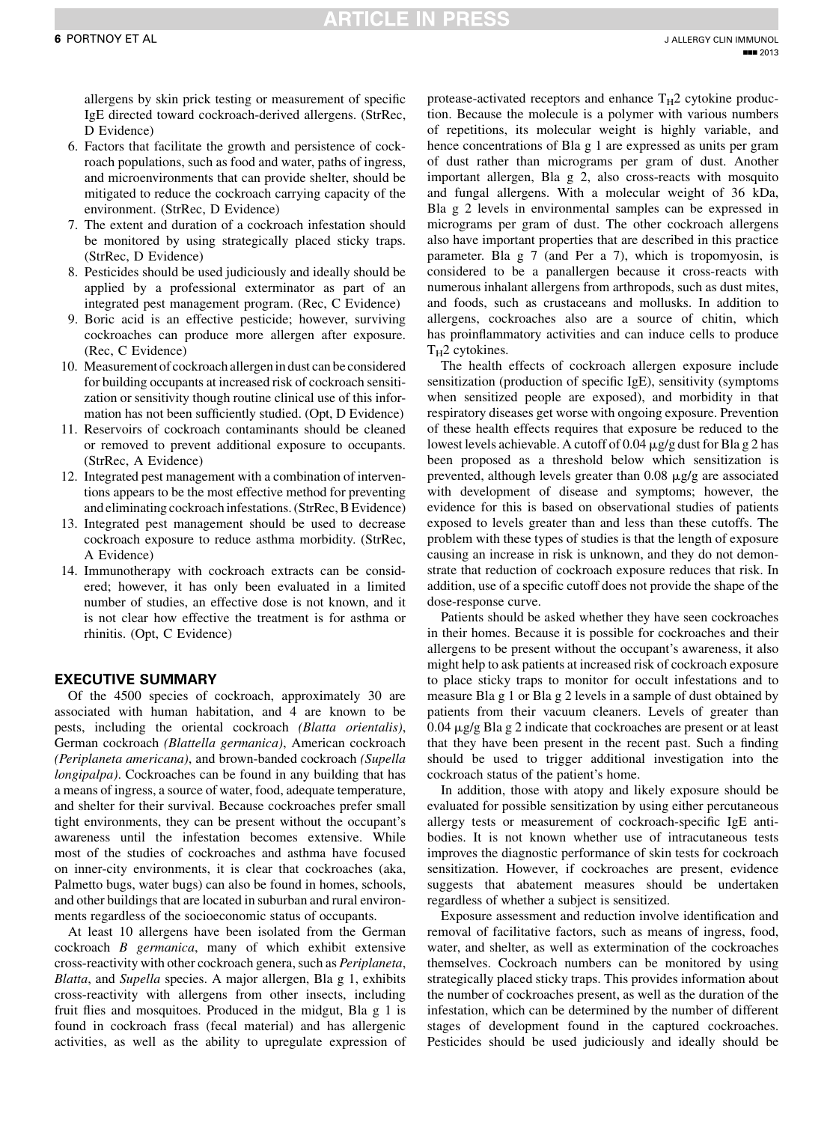allergens by skin prick testing or measurement of specific IgE directed toward cockroach-derived allergens. (StrRec, D Evidence)

- 6. Factors that facilitate the growth and persistence of cockroach populations, such as food and water, paths of ingress, and microenvironments that can provide shelter, should be mitigated to reduce the cockroach carrying capacity of the environment. (StrRec, D Evidence)
- 7. The extent and duration of a cockroach infestation should be monitored by using strategically placed sticky traps. (StrRec, D Evidence)
- 8. Pesticides should be used judiciously and ideally should be applied by a professional exterminator as part of an integrated pest management program. (Rec, C Evidence)
- 9. Boric acid is an effective pesticide; however, surviving cockroaches can produce more allergen after exposure. (Rec, C Evidence)
- 10. Measurement of cockroach allergen in dust can be considered for building occupants at increased risk of cockroach sensitization or sensitivity though routine clinical use of this information has not been sufficiently studied. (Opt, D Evidence)
- 11. Reservoirs of cockroach contaminants should be cleaned or removed to prevent additional exposure to occupants. (StrRec, A Evidence)
- 12. Integrated pest management with a combination of interventions appears to be the most effective method for preventing and eliminating cockroach infestations. (StrRec, B Evidence)
- 13. Integrated pest management should be used to decrease cockroach exposure to reduce asthma morbidity. (StrRec, A Evidence)
- 14. Immunotherapy with cockroach extracts can be considered; however, it has only been evaluated in a limited number of studies, an effective dose is not known, and it is not clear how effective the treatment is for asthma or rhinitis. (Opt, C Evidence)

## EXECUTIVE SUMMARY

Of the 4500 species of cockroach, approximately 30 are associated with human habitation, and 4 are known to be pests, including the oriental cockroach (Blatta orientalis), German cockroach (Blattella germanica), American cockroach (Periplaneta americana), and brown-banded cockroach (Supella longipalpa). Cockroaches can be found in any building that has a means of ingress, a source of water, food, adequate temperature, and shelter for their survival. Because cockroaches prefer small tight environments, they can be present without the occupant's awareness until the infestation becomes extensive. While most of the studies of cockroaches and asthma have focused on inner-city environments, it is clear that cockroaches (aka, Palmetto bugs, water bugs) can also be found in homes, schools, and other buildings that are located in suburban and rural environments regardless of the socioeconomic status of occupants.

At least 10 allergens have been isolated from the German cockroach B germanica, many of which exhibit extensive cross-reactivity with other cockroach genera, such as Periplaneta, Blatta, and Supella species. A major allergen, Bla g 1, exhibits cross-reactivity with allergens from other insects, including fruit flies and mosquitoes. Produced in the midgut, Bla g 1 is found in cockroach frass (fecal material) and has allergenic activities, as well as the ability to upregulate expression of

protease-activated receptors and enhance  $T_H2$  cytokine production. Because the molecule is a polymer with various numbers of repetitions, its molecular weight is highly variable, and hence concentrations of Bla g 1 are expressed as units per gram of dust rather than micrograms per gram of dust. Another important allergen, Bla g 2, also cross-reacts with mosquito and fungal allergens. With a molecular weight of 36 kDa, Bla g 2 levels in environmental samples can be expressed in micrograms per gram of dust. The other cockroach allergens also have important properties that are described in this practice parameter. Bla g 7 (and Per a 7), which is tropomyosin, is considered to be a panallergen because it cross-reacts with numerous inhalant allergens from arthropods, such as dust mites, and foods, such as crustaceans and mollusks. In addition to allergens, cockroaches also are a source of chitin, which has proinflammatory activities and can induce cells to produce  $T_H2$  cytokines.

The health effects of cockroach allergen exposure include sensitization (production of specific IgE), sensitivity (symptoms when sensitized people are exposed), and morbidity in that respiratory diseases get worse with ongoing exposure. Prevention of these health effects requires that exposure be reduced to the lowest levels achievable. A cutoff of  $0.04 \mu g/g$  dust for Bla g 2 has been proposed as a threshold below which sensitization is prevented, although levels greater than  $0.08 \mu g/g$  are associated with development of disease and symptoms; however, the evidence for this is based on observational studies of patients exposed to levels greater than and less than these cutoffs. The problem with these types of studies is that the length of exposure causing an increase in risk is unknown, and they do not demonstrate that reduction of cockroach exposure reduces that risk. In addition, use of a specific cutoff does not provide the shape of the dose-response curve.

Patients should be asked whether they have seen cockroaches in their homes. Because it is possible for cockroaches and their allergens to be present without the occupant's awareness, it also might help to ask patients at increased risk of cockroach exposure to place sticky traps to monitor for occult infestations and to measure Bla g 1 or Bla g 2 levels in a sample of dust obtained by patients from their vacuum cleaners. Levels of greater than  $0.04 \mu g/g$  Bla g 2 indicate that cockroaches are present or at least that they have been present in the recent past. Such a finding should be used to trigger additional investigation into the cockroach status of the patient's home.

In addition, those with atopy and likely exposure should be evaluated for possible sensitization by using either percutaneous allergy tests or measurement of cockroach-specific IgE antibodies. It is not known whether use of intracutaneous tests improves the diagnostic performance of skin tests for cockroach sensitization. However, if cockroaches are present, evidence suggests that abatement measures should be undertaken regardless of whether a subject is sensitized.

Exposure assessment and reduction involve identification and removal of facilitative factors, such as means of ingress, food, water, and shelter, as well as extermination of the cockroaches themselves. Cockroach numbers can be monitored by using strategically placed sticky traps. This provides information about the number of cockroaches present, as well as the duration of the infestation, which can be determined by the number of different stages of development found in the captured cockroaches. Pesticides should be used judiciously and ideally should be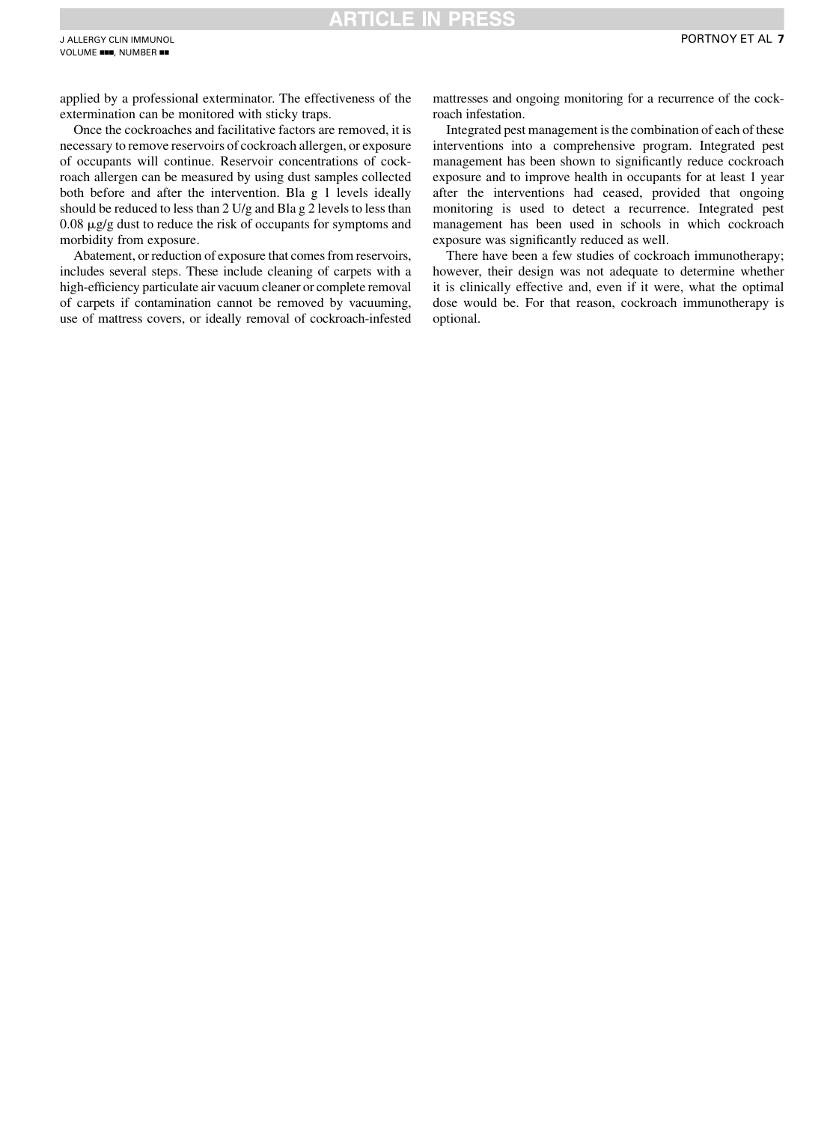applied by a professional exterminator. The effectiveness of the extermination can be monitored with sticky traps.

Once the cockroaches and facilitative factors are removed, it is necessary to remove reservoirs of cockroach allergen, or exposure of occupants will continue. Reservoir concentrations of cockroach allergen can be measured by using dust samples collected both before and after the intervention. Bla g 1 levels ideally should be reduced to less than 2 U/g and Bla g 2 levels to less than  $0.08 \mu g/g$  dust to reduce the risk of occupants for symptoms and morbidity from exposure.

Abatement, or reduction of exposure that comes from reservoirs, includes several steps. These include cleaning of carpets with a high-efficiency particulate air vacuum cleaner or complete removal of carpets if contamination cannot be removed by vacuuming, use of mattress covers, or ideally removal of cockroach-infested mattresses and ongoing monitoring for a recurrence of the cockroach infestation.

Integrated pest management is the combination of each of these interventions into a comprehensive program. Integrated pest management has been shown to significantly reduce cockroach exposure and to improve health in occupants for at least 1 year after the interventions had ceased, provided that ongoing monitoring is used to detect a recurrence. Integrated pest management has been used in schools in which cockroach exposure was significantly reduced as well.

There have been a few studies of cockroach immunotherapy; however, their design was not adequate to determine whether it is clinically effective and, even if it were, what the optimal dose would be. For that reason, cockroach immunotherapy is optional.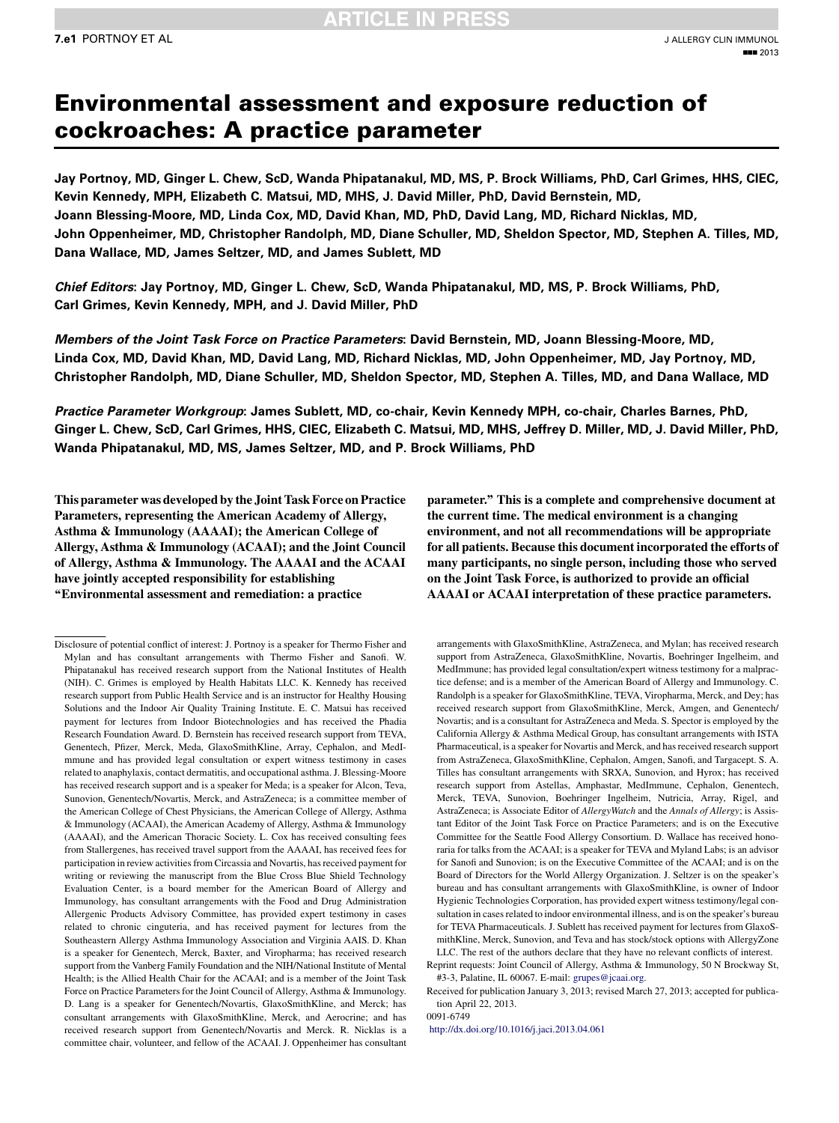# Environmental assessment and exposure reduction of cockroaches: A practice parameter

Jay Portnoy, MD, Ginger L. Chew, ScD, Wanda Phipatanakul, MD, MS, P. Brock Williams, PhD, Carl Grimes, HHS, CIEC, Kevin Kennedy, MPH, Elizabeth C. Matsui, MD, MHS, J. David Miller, PhD, David Bernstein, MD, Joann Blessing-Moore, MD, Linda Cox, MD, David Khan, MD, PhD, David Lang, MD, Richard Nicklas, MD, John Oppenheimer, MD, Christopher Randolph, MD, Diane Schuller, MD, Sheldon Spector, MD, Stephen A. Tilles, MD, Dana Wallace, MD, James Seltzer, MD, and James Sublett, MD

Chief Editors: Jay Portnoy, MD, Ginger L. Chew, ScD, Wanda Phipatanakul, MD, MS, P. Brock Williams, PhD, Carl Grimes, Kevin Kennedy, MPH, and J. David Miller, PhD

Members of the Joint Task Force on Practice Parameters: David Bernstein, MD, Joann Blessing-Moore, MD, Linda Cox, MD, David Khan, MD, David Lang, MD, Richard Nicklas, MD, John Oppenheimer, MD, Jay Portnoy, MD, Christopher Randolph, MD, Diane Schuller, MD, Sheldon Spector, MD, Stephen A. Tilles, MD, and Dana Wallace, MD

Practice Parameter Workgroup: James Sublett, MD, co-chair, Kevin Kennedy MPH, co-chair, Charles Barnes, PhD, Ginger L. Chew, ScD, Carl Grimes, HHS, CIEC, Elizabeth C. Matsui, MD, MHS, Jeffrey D. Miller, MD, J. David Miller, PhD, Wanda Phipatanakul, MD, MS, James Seltzer, MD, and P. Brock Williams, PhD

This parameter was developed by the Joint Task Force on Practice Parameters, representing the American Academy of Allergy, Asthma & Immunology (AAAAI); the American College of Allergy, Asthma & Immunology (ACAAI); and the Joint Council of Allergy, Asthma & Immunology. The AAAAI and the ACAAI have jointly accepted responsibility for establishing ''Environmental assessment and remediation: a practice

parameter.'' This is a complete and comprehensive document at the current time. The medical environment is a changing environment, and not all recommendations will be appropriate for all patients. Because this document incorporated the efforts of many participants, no single person, including those who served on the Joint Task Force, is authorized to provide an official AAAAI or ACAAI interpretation of these practice parameters.

arrangements with GlaxoSmithKline, AstraZeneca, and Mylan; has received research support from AstraZeneca, GlaxoSmithKline, Novartis, Boehringer Ingelheim, and MedImmune; has provided legal consultation/expert witness testimony for a malpractice defense; and is a member of the American Board of Allergy and Immunology. C. Randolph is a speaker for GlaxoSmithKline, TEVA, Viropharma, Merck, and Dey; has received research support from GlaxoSmithKline, Merck, Amgen, and Genentech/ Novartis; and is a consultant for AstraZeneca and Meda. S. Spector is employed by the California Allergy & Asthma Medical Group, has consultant arrangements with ISTA Pharmaceutical, is a speaker for Novartis and Merck, and has received research support from AstraZeneca, GlaxoSmithKline, Cephalon, Amgen, Sanofi, and Targacept. S. A. Tilles has consultant arrangements with SRXA, Sunovion, and Hyrox; has received research support from Astellas, Amphastar, MedImmune, Cephalon, Genentech, Merck, TEVA, Sunovion, Boehringer Ingelheim, Nutricia, Array, Rigel, and AstraZeneca; is Associate Editor of AllergyWatch and the Annals of Allergy; is Assistant Editor of the Joint Task Force on Practice Parameters; and is on the Executive Committee for the Seattle Food Allergy Consortium. D. Wallace has received honoraria for talks from the ACAAI; is a speaker for TEVA and Myland Labs; is an advisor for Sanofi and Sunovion; is on the Executive Committee of the ACAAI; and is on the Board of Directors for the World Allergy Organization. J. Seltzer is on the speaker's bureau and has consultant arrangements with GlaxoSmithKline, is owner of Indoor Hygienic Technologies Corporation, has provided expert witness testimony/legal consultation in cases related to indoor environmental illness, and is on the speaker's bureau for TEVA Pharmaceuticals. J. Sublett has received payment for lectures from GlaxoSmithKline, Merck, Sunovion, and Teva and has stock/stock options with AllergyZone LLC. The rest of the authors declare that they have no relevant conflicts of interest. Reprint requests: Joint Council of Allergy, Asthma & Immunology, 50 N Brockway St,

#3-3, Palatine, IL 60067. E-mail: [grupes@jcaai.org](mailto:grupes@jcaai.org). Received for publication January 3, 2013; revised March 27, 2013; accepted for publica-

tion April 22, 2013. 0091-6749

<http://dx.doi.org/10.1016/j.jaci.2013.04.061>

Disclosure of potential conflict of interest: J. Portnoy is a speaker for Thermo Fisher and Mylan and has consultant arrangements with Thermo Fisher and Sanofi. W. Phipatanakul has received research support from the National Institutes of Health (NIH). C. Grimes is employed by Health Habitats LLC. K. Kennedy has received research support from Public Health Service and is an instructor for Healthy Housing Solutions and the Indoor Air Quality Training Institute. E. C. Matsui has received payment for lectures from Indoor Biotechnologies and has received the Phadia Research Foundation Award. D. Bernstein has received research support from TEVA, Genentech, Pfizer, Merck, Meda, GlaxoSmithKline, Array, Cephalon, and MedImmune and has provided legal consultation or expert witness testimony in cases related to anaphylaxis, contact dermatitis, and occupational asthma. J. Blessing-Moore has received research support and is a speaker for Meda; is a speaker for Alcon, Teva, Sunovion, Genentech/Novartis, Merck, and AstraZeneca; is a committee member of the American College of Chest Physicians, the American College of Allergy, Asthma & Immunology (ACAAI), the American Academy of Allergy, Asthma & Immunology (AAAAI), and the American Thoracic Society. L. Cox has received consulting fees from Stallergenes, has received travel support from the AAAAI, has received fees for participation in review activities from Circassia and Novartis, has received payment for writing or reviewing the manuscript from the Blue Cross Blue Shield Technology Evaluation Center, is a board member for the American Board of Allergy and Immunology, has consultant arrangements with the Food and Drug Administration Allergenic Products Advisory Committee, has provided expert testimony in cases related to chronic cinguteria, and has received payment for lectures from the Southeastern Allergy Asthma Immunology Association and Virginia AAIS. D. Khan is a speaker for Genentech, Merck, Baxter, and Viropharma; has received research support from the Vanberg Family Foundation and the NIH/National Institute of Mental Health; is the Allied Health Chair for the ACAAI; and is a member of the Joint Task Force on Practice Parameters for the Joint Council of Allergy, Asthma & Immunology. D. Lang is a speaker for Genentech/Novartis, GlaxoSmithKline, and Merck; has consultant arrangements with GlaxoSmithKline, Merck, and Aerocrine; and has received research support from Genentech/Novartis and Merck. R. Nicklas is a committee chair, volunteer, and fellow of the ACAAI. J. Oppenheimer has consultant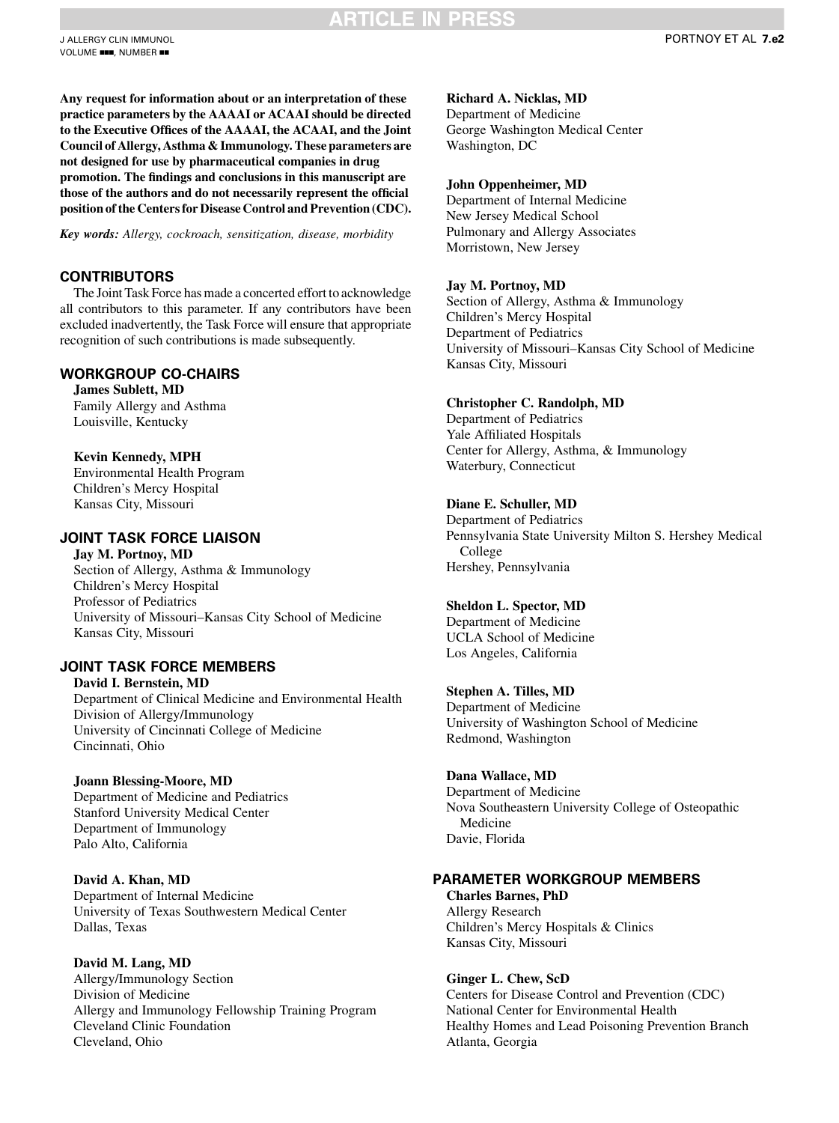Any request for information about or an interpretation of these practice parameters by the AAAAI or ACAAI should be directed to the Executive Offices of the AAAAI, the ACAAI, and the Joint Council of Allergy, Asthma & Immunology. These parameters are not designed for use by pharmaceutical companies in drug promotion. The findings and conclusions in this manuscript are those of the authors and do not necessarily represent the official position of the Centers for Disease Control and Prevention (CDC).

Key words: Allergy, cockroach, sensitization, disease, morbidity

## **CONTRIBUTORS**

The Joint Task Force has made a concerted effort to acknowledge all contributors to this parameter. If any contributors have been excluded inadvertently, the Task Force will ensure that appropriate recognition of such contributions is made subsequently.

## WORKGROUP CO-CHAIRS

James Sublett, MD Family Allergy and Asthma Louisville, Kentucky

Kevin Kennedy, MPH Environmental Health Program Children's Mercy Hospital Kansas City, Missouri

## JOINT TASK FORCE LIAISON

Jay M. Portnoy, MD Section of Allergy, Asthma & Immunology Children's Mercy Hospital Professor of Pediatrics University of Missouri–Kansas City School of Medicine Kansas City, Missouri

## JOINT TASK FORCE MEMBERS

David I. Bernstein, MD Department of Clinical Medicine and Environmental Health Division of Allergy/Immunology University of Cincinnati College of Medicine Cincinnati, Ohio

#### Joann Blessing-Moore, MD Department of Medicine and Pediatrics Stanford University Medical Center Department of Immunology Palo Alto, California

David A. Khan, MD Department of Internal Medicine University of Texas Southwestern Medical Center Dallas, Texas

David M. Lang, MD Allergy/Immunology Section Division of Medicine Allergy and Immunology Fellowship Training Program Cleveland Clinic Foundation Cleveland, Ohio

#### Richard A. Nicklas, MD

Department of Medicine George Washington Medical Center Washington, DC

## John Oppenheimer, MD

Department of Internal Medicine New Jersey Medical School Pulmonary and Allergy Associates Morristown, New Jersey

#### Jay M. Portnoy, MD

Section of Allergy, Asthma & Immunology Children's Mercy Hospital Department of Pediatrics University of Missouri–Kansas City School of Medicine Kansas City, Missouri

#### Christopher C. Randolph, MD

Department of Pediatrics Yale Affiliated Hospitals Center for Allergy, Asthma, & Immunology Waterbury, Connecticut

## Diane E. Schuller, MD

Department of Pediatrics Pennsylvania State University Milton S. Hershey Medical College Hershey, Pennsylvania

## Sheldon L. Spector, MD

Department of Medicine UCLA School of Medicine Los Angeles, California

## Stephen A. Tilles, MD

Department of Medicine University of Washington School of Medicine Redmond, Washington

## Dana Wallace, MD

Department of Medicine Nova Southeastern University College of Osteopathic Medicine Davie, Florida

## PARAMETER WORKGROUP MEMBERS

Charles Barnes, PhD Allergy Research Children's Mercy Hospitals & Clinics Kansas City, Missouri

## Ginger L. Chew, ScD

Centers for Disease Control and Prevention (CDC) National Center for Environmental Health Healthy Homes and Lead Poisoning Prevention Branch Atlanta, Georgia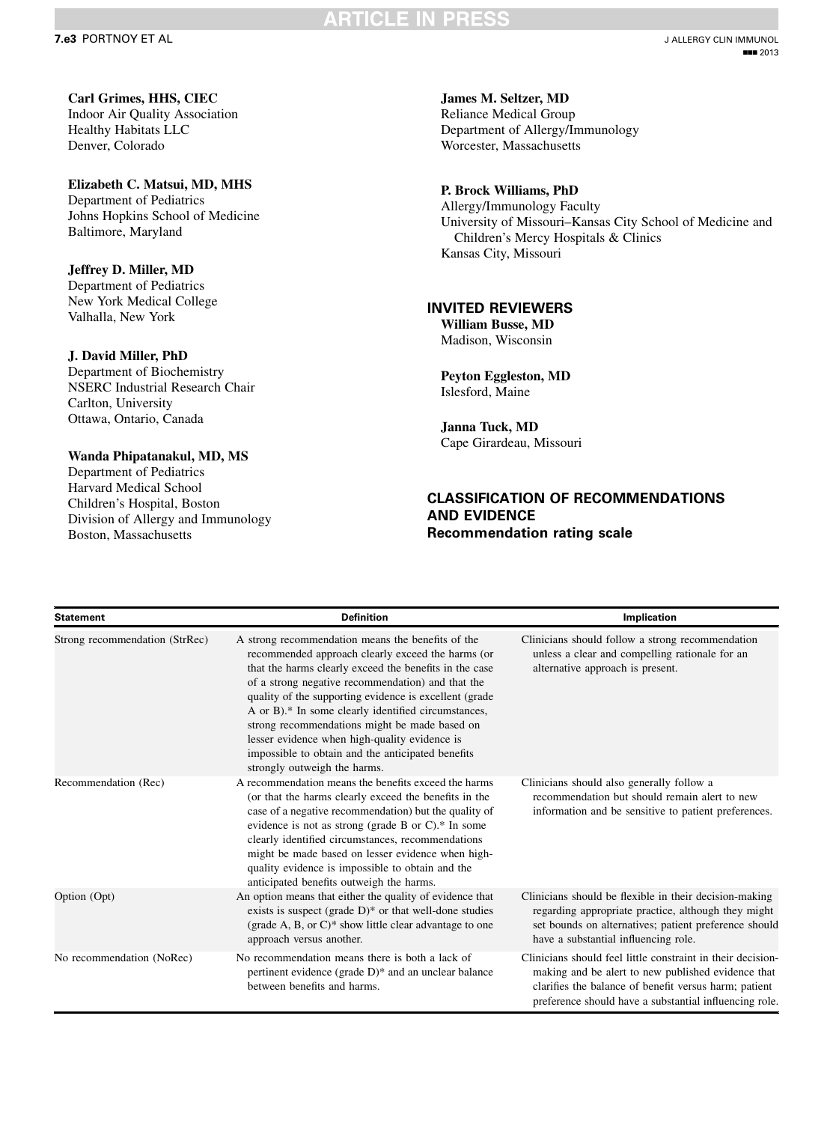## 7.e3 PORTNOY ET AL

# **ARTICLE IN PRESS**

Carl Grimes, HHS, CIEC Indoor Air Quality Association Healthy Habitats LLC Denver, Colorado

Elizabeth C. Matsui, MD, MHS Department of Pediatrics Johns Hopkins School of Medicine Baltimore, Maryland

Jeffrey D. Miller, MD Department of Pediatrics New York Medical College Valhalla, New York

## J. David Miller, PhD

Department of Biochemistry NSERC Industrial Research Chair Carlton, University Ottawa, Ontario, Canada

## Wanda Phipatanakul, MD, MS

Department of Pediatrics Harvard Medical School Children's Hospital, Boston Division of Allergy and Immunology Boston, Massachusetts

## James M. Seltzer, MD

Reliance Medical Group Department of Allergy/Immunology Worcester, Massachusetts

P. Brock Williams, PhD

Allergy/Immunology Faculty University of Missouri–Kansas City School of Medicine and Children's Mercy Hospitals & Clinics Kansas City, Missouri

## INVITED REVIEWERS

William Busse, MD Madison, Wisconsin

Peyton Eggleston, MD Islesford, Maine

Janna Tuck, MD Cape Girardeau, Missouri

CLASSIFICATION OF RECOMMENDATIONS AND EVIDENCE Recommendation rating scale

| <b>Statement</b>               | <b>Definition</b>                                                                                                                                                                                                                                                                                                                                                                                                                                                                                                             | Implication                                                                                                                                                                                                                          |
|--------------------------------|-------------------------------------------------------------------------------------------------------------------------------------------------------------------------------------------------------------------------------------------------------------------------------------------------------------------------------------------------------------------------------------------------------------------------------------------------------------------------------------------------------------------------------|--------------------------------------------------------------------------------------------------------------------------------------------------------------------------------------------------------------------------------------|
| Strong recommendation (StrRec) | A strong recommendation means the benefits of the<br>recommended approach clearly exceed the harms (or<br>that the harms clearly exceed the benefits in the case<br>of a strong negative recommendation) and that the<br>quality of the supporting evidence is excellent (grade<br>A or B).* In some clearly identified circumstances,<br>strong recommendations might be made based on<br>lesser evidence when high-quality evidence is<br>impossible to obtain and the anticipated benefits<br>strongly outweigh the harms. | Clinicians should follow a strong recommendation<br>unless a clear and compelling rationale for an<br>alternative approach is present.                                                                                               |
| Recommendation (Rec)           | A recommendation means the benefits exceed the harms<br>(or that the harms clearly exceed the benefits in the<br>case of a negative recommendation) but the quality of<br>evidence is not as strong (grade B or $C$ ). <sup>*</sup> In some<br>clearly identified circumstances, recommendations<br>might be made based on lesser evidence when high-<br>quality evidence is impossible to obtain and the<br>anticipated benefits outweigh the harms.                                                                         | Clinicians should also generally follow a<br>recommendation but should remain alert to new<br>information and be sensitive to patient preferences.                                                                                   |
| Option (Opt)                   | An option means that either the quality of evidence that<br>exists is suspect (grade $D$ )* or that well-done studies<br>(grade A, B, or $C$ )* show little clear advantage to one<br>approach versus another.                                                                                                                                                                                                                                                                                                                | Clinicians should be flexible in their decision-making<br>regarding appropriate practice, although they might<br>set bounds on alternatives; patient preference should<br>have a substantial influencing role.                       |
| No recommendation (NoRec)      | No recommendation means there is both a lack of<br>pertinent evidence (grade D)* and an unclear balance<br>between benefits and harms.                                                                                                                                                                                                                                                                                                                                                                                        | Clinicians should feel little constraint in their decision-<br>making and be alert to new published evidence that<br>clarifies the balance of benefit versus harm; patient<br>preference should have a substantial influencing role. |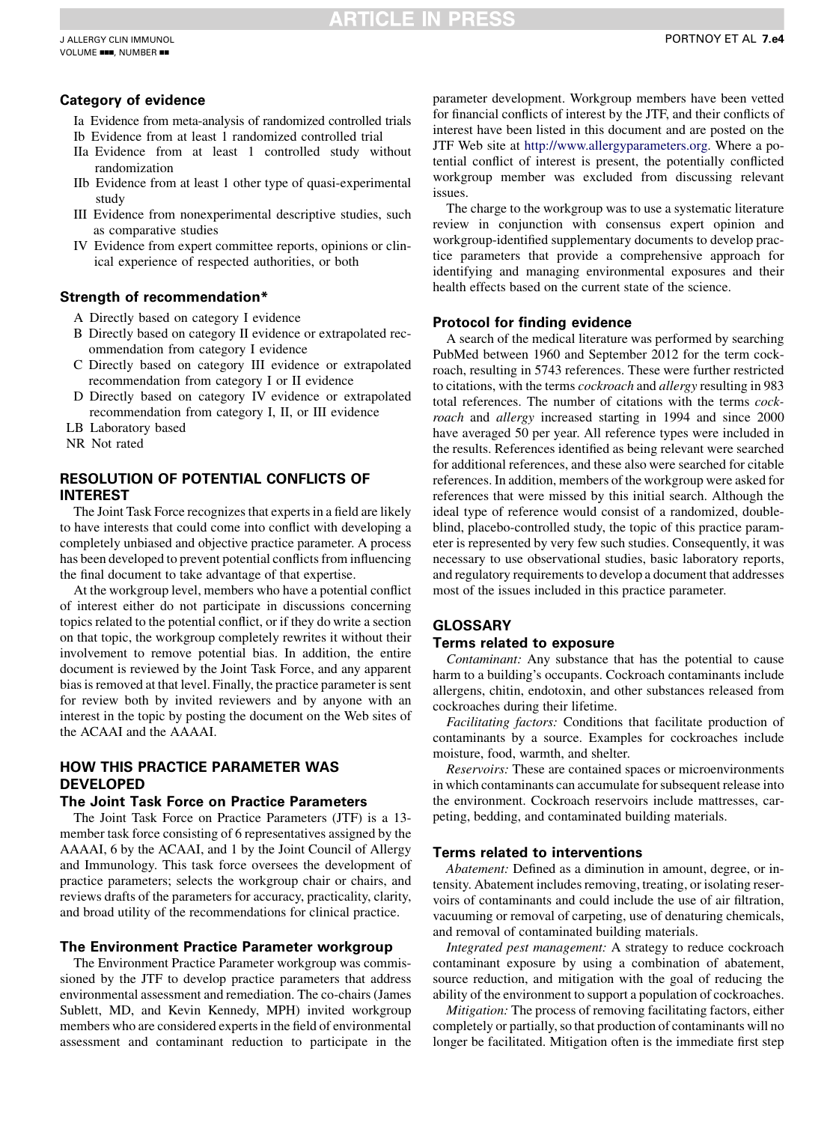#### PORTNOY ET AL 7.e4

## Category of evidence

- Ia Evidence from meta-analysis of randomized controlled trials
- Ib Evidence from at least 1 randomized controlled trial
- IIa Evidence from at least 1 controlled study without randomization
- IIb Evidence from at least 1 other type of quasi-experimental study
- III Evidence from nonexperimental descriptive studies, such as comparative studies
- IV Evidence from expert committee reports, opinions or clinical experience of respected authorities, or both

#### Strength of recommendation\*

- A Directly based on category I evidence
- B Directly based on category II evidence or extrapolated recommendation from category I evidence
- C Directly based on category III evidence or extrapolated recommendation from category I or II evidence
- D Directly based on category IV evidence or extrapolated recommendation from category I, II, or III evidence
- LB Laboratory based
- NR Not rated

## RESOLUTION OF POTENTIAL CONFLICTS OF INTEREST

The Joint Task Force recognizes that experts in a field are likely to have interests that could come into conflict with developing a completely unbiased and objective practice parameter. A process has been developed to prevent potential conflicts from influencing the final document to take advantage of that expertise.

At the workgroup level, members who have a potential conflict of interest either do not participate in discussions concerning topics related to the potential conflict, or if they do write a section on that topic, the workgroup completely rewrites it without their involvement to remove potential bias. In addition, the entire document is reviewed by the Joint Task Force, and any apparent bias is removed at that level. Finally, the practice parameter is sent for review both by invited reviewers and by anyone with an interest in the topic by posting the document on the Web sites of the ACAAI and the AAAAI.

## HOW THIS PRACTICE PARAMETER WAS DEVELOPED

#### The Joint Task Force on Practice Parameters

The Joint Task Force on Practice Parameters (JTF) is a 13 member task force consisting of 6 representatives assigned by the AAAAI, 6 by the ACAAI, and 1 by the Joint Council of Allergy and Immunology. This task force oversees the development of practice parameters; selects the workgroup chair or chairs, and reviews drafts of the parameters for accuracy, practicality, clarity, and broad utility of the recommendations for clinical practice.

#### The Environment Practice Parameter workgroup

The Environment Practice Parameter workgroup was commissioned by the JTF to develop practice parameters that address environmental assessment and remediation. The co-chairs (James Sublett, MD, and Kevin Kennedy, MPH) invited workgroup members who are considered experts in the field of environmental assessment and contaminant reduction to participate in the

parameter development. Workgroup members have been vetted for financial conflicts of interest by the JTF, and their conflicts of interest have been listed in this document and are posted on the JTF Web site at [http://www.allergyparameters.org.](http://www.allergyparameters.org) Where a potential conflict of interest is present, the potentially conflicted workgroup member was excluded from discussing relevant issues.

The charge to the workgroup was to use a systematic literature review in conjunction with consensus expert opinion and workgroup-identified supplementary documents to develop practice parameters that provide a comprehensive approach for identifying and managing environmental exposures and their health effects based on the current state of the science.

#### Protocol for finding evidence

A search of the medical literature was performed by searching PubMed between 1960 and September 2012 for the term cockroach, resulting in 5743 references. These were further restricted to citations, with the terms cockroach and allergy resulting in 983 total references. The number of citations with the terms cockroach and allergy increased starting in 1994 and since 2000 have averaged 50 per year. All reference types were included in the results. References identified as being relevant were searched for additional references, and these also were searched for citable references. In addition, members of the workgroup were asked for references that were missed by this initial search. Although the ideal type of reference would consist of a randomized, doubleblind, placebo-controlled study, the topic of this practice parameter is represented by very few such studies. Consequently, it was necessary to use observational studies, basic laboratory reports, and regulatory requirements to develop a document that addresses most of the issues included in this practice parameter.

## GLOSSARY

#### Terms related to exposure

Contaminant: Any substance that has the potential to cause harm to a building's occupants. Cockroach contaminants include allergens, chitin, endotoxin, and other substances released from cockroaches during their lifetime.

Facilitating factors: Conditions that facilitate production of contaminants by a source. Examples for cockroaches include moisture, food, warmth, and shelter.

Reservoirs: These are contained spaces or microenvironments in which contaminants can accumulate for subsequent release into the environment. Cockroach reservoirs include mattresses, carpeting, bedding, and contaminated building materials.

#### Terms related to interventions

Abatement: Defined as a diminution in amount, degree, or intensity. Abatement includes removing, treating, or isolating reservoirs of contaminants and could include the use of air filtration, vacuuming or removal of carpeting, use of denaturing chemicals, and removal of contaminated building materials.

Integrated pest management: A strategy to reduce cockroach contaminant exposure by using a combination of abatement, source reduction, and mitigation with the goal of reducing the ability of the environment to support a population of cockroaches.

Mitigation: The process of removing facilitating factors, either completely or partially, so that production of contaminants will no longer be facilitated. Mitigation often is the immediate first step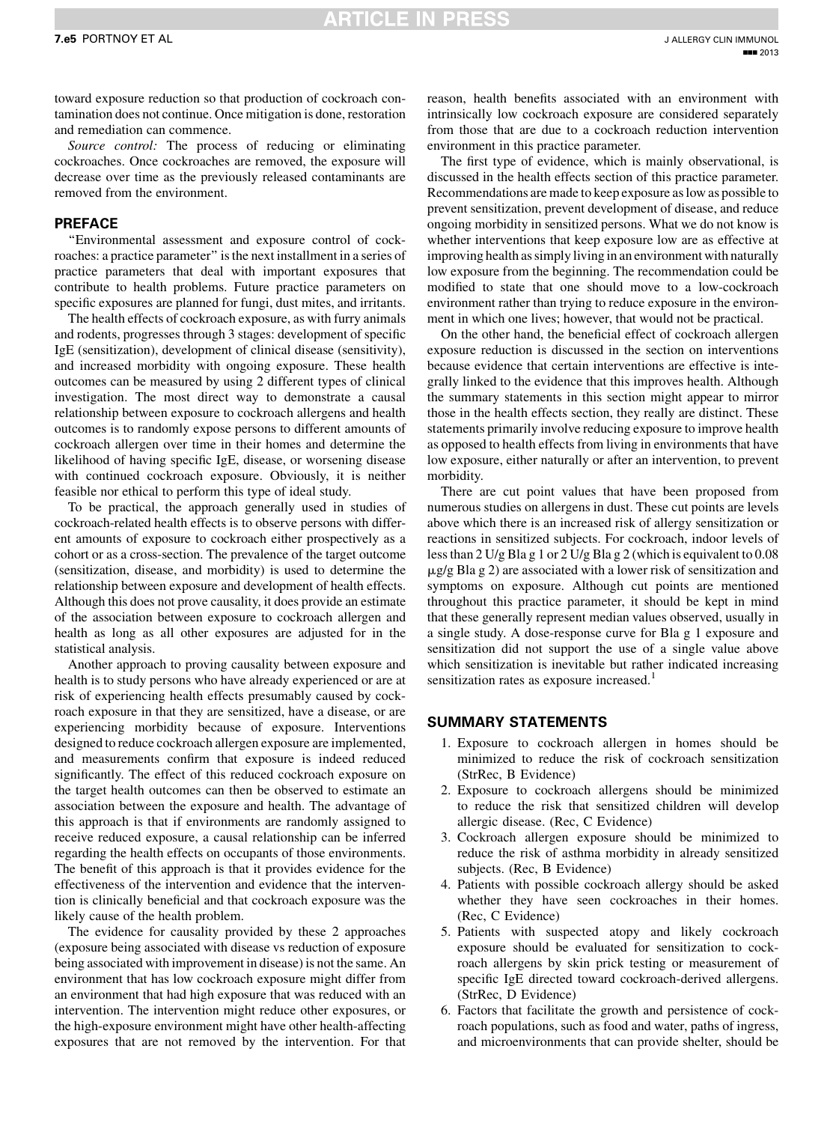toward exposure reduction so that production of cockroach contamination does not continue. Once mitigation is done, restoration and remediation can commence.

Source control: The process of reducing or eliminating cockroaches. Once cockroaches are removed, the exposure will decrease over time as the previously released contaminants are removed from the environment.

#### PREFACE

''Environmental assessment and exposure control of cockroaches: a practice parameter'' is the next installment in a series of practice parameters that deal with important exposures that contribute to health problems. Future practice parameters on specific exposures are planned for fungi, dust mites, and irritants.

The health effects of cockroach exposure, as with furry animals and rodents, progresses through 3 stages: development of specific IgE (sensitization), development of clinical disease (sensitivity), and increased morbidity with ongoing exposure. These health outcomes can be measured by using 2 different types of clinical investigation. The most direct way to demonstrate a causal relationship between exposure to cockroach allergens and health outcomes is to randomly expose persons to different amounts of cockroach allergen over time in their homes and determine the likelihood of having specific IgE, disease, or worsening disease with continued cockroach exposure. Obviously, it is neither feasible nor ethical to perform this type of ideal study.

To be practical, the approach generally used in studies of cockroach-related health effects is to observe persons with different amounts of exposure to cockroach either prospectively as a cohort or as a cross-section. The prevalence of the target outcome (sensitization, disease, and morbidity) is used to determine the relationship between exposure and development of health effects. Although this does not prove causality, it does provide an estimate of the association between exposure to cockroach allergen and health as long as all other exposures are adjusted for in the statistical analysis.

Another approach to proving causality between exposure and health is to study persons who have already experienced or are at risk of experiencing health effects presumably caused by cockroach exposure in that they are sensitized, have a disease, or are experiencing morbidity because of exposure. Interventions designed to reduce cockroach allergen exposure are implemented, and measurements confirm that exposure is indeed reduced significantly. The effect of this reduced cockroach exposure on the target health outcomes can then be observed to estimate an association between the exposure and health. The advantage of this approach is that if environments are randomly assigned to receive reduced exposure, a causal relationship can be inferred regarding the health effects on occupants of those environments. The benefit of this approach is that it provides evidence for the effectiveness of the intervention and evidence that the intervention is clinically beneficial and that cockroach exposure was the likely cause of the health problem.

The evidence for causality provided by these 2 approaches (exposure being associated with disease vs reduction of exposure being associated with improvement in disease) is not the same. An environment that has low cockroach exposure might differ from an environment that had high exposure that was reduced with an intervention. The intervention might reduce other exposures, or the high-exposure environment might have other health-affecting exposures that are not removed by the intervention. For that reason, health benefits associated with an environment with intrinsically low cockroach exposure are considered separately from those that are due to a cockroach reduction intervention environment in this practice parameter.

The first type of evidence, which is mainly observational, is discussed in the health effects section of this practice parameter. Recommendations are made to keep exposure as low as possible to prevent sensitization, prevent development of disease, and reduce ongoing morbidity in sensitized persons. What we do not know is whether interventions that keep exposure low are as effective at improving health as simply living in an environment with naturally low exposure from the beginning. The recommendation could be modified to state that one should move to a low-cockroach environment rather than trying to reduce exposure in the environment in which one lives; however, that would not be practical.

On the other hand, the beneficial effect of cockroach allergen exposure reduction is discussed in the section on interventions because evidence that certain interventions are effective is integrally linked to the evidence that this improves health. Although the summary statements in this section might appear to mirror those in the health effects section, they really are distinct. These statements primarily involve reducing exposure to improve health as opposed to health effects from living in environments that have low exposure, either naturally or after an intervention, to prevent morbidity.

There are cut point values that have been proposed from numerous studies on allergens in dust. These cut points are levels above which there is an increased risk of allergy sensitization or reactions in sensitized subjects. For cockroach, indoor levels of less than 2 U/g Bla g 1 or 2 U/g Bla g 2 (which is equivalent to 0.08  $\mu$ g/g Bla g 2) are associated with a lower risk of sensitization and symptoms on exposure. Although cut points are mentioned throughout this practice parameter, it should be kept in mind that these generally represent median values observed, usually in a single study. A dose-response curve for Bla g 1 exposure and sensitization did not support the use of a single value above which sensitization is inevitable but rather indicated increasing sensitization rates as exposure increased.<sup>1</sup>

## SUMMARY STATEMENTS

- 1. Exposure to cockroach allergen in homes should be minimized to reduce the risk of cockroach sensitization (StrRec, B Evidence)
- 2. Exposure to cockroach allergens should be minimized to reduce the risk that sensitized children will develop allergic disease. (Rec, C Evidence)
- 3. Cockroach allergen exposure should be minimized to reduce the risk of asthma morbidity in already sensitized subjects. (Rec, B Evidence)
- 4. Patients with possible cockroach allergy should be asked whether they have seen cockroaches in their homes. (Rec, C Evidence)
- 5. Patients with suspected atopy and likely cockroach exposure should be evaluated for sensitization to cockroach allergens by skin prick testing or measurement of specific IgE directed toward cockroach-derived allergens. (StrRec, D Evidence)
- 6. Factors that facilitate the growth and persistence of cockroach populations, such as food and water, paths of ingress, and microenvironments that can provide shelter, should be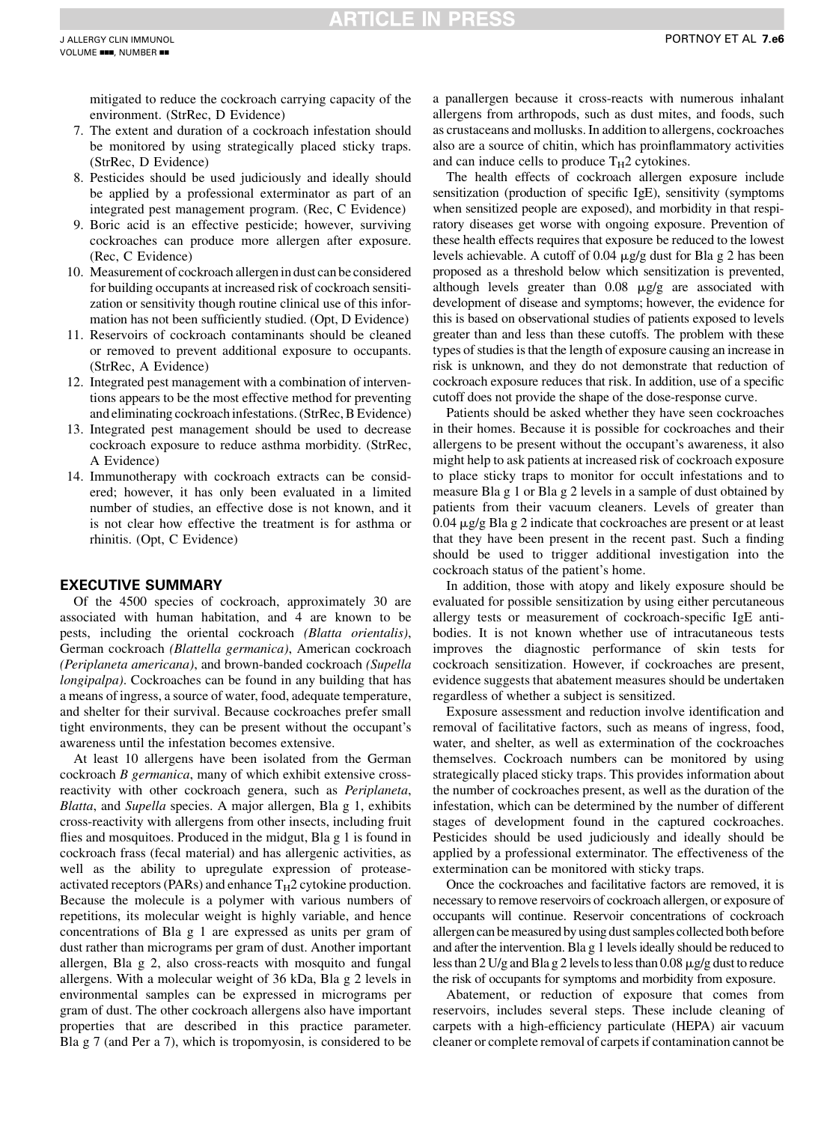mitigated to reduce the cockroach carrying capacity of the environment. (StrRec, D Evidence)

- 7. The extent and duration of a cockroach infestation should be monitored by using strategically placed sticky traps. (StrRec, D Evidence)
- 8. Pesticides should be used judiciously and ideally should be applied by a professional exterminator as part of an integrated pest management program. (Rec, C Evidence)
- 9. Boric acid is an effective pesticide; however, surviving cockroaches can produce more allergen after exposure. (Rec, C Evidence)
- 10. Measurement of cockroach allergen in dust can be considered for building occupants at increased risk of cockroach sensitization or sensitivity though routine clinical use of this information has not been sufficiently studied. (Opt, D Evidence)
- 11. Reservoirs of cockroach contaminants should be cleaned or removed to prevent additional exposure to occupants. (StrRec, A Evidence)
- 12. Integrated pest management with a combination of interventions appears to be the most effective method for preventing and eliminating cockroach infestations. (StrRec, B Evidence)
- 13. Integrated pest management should be used to decrease cockroach exposure to reduce asthma morbidity. (StrRec, A Evidence)
- 14. Immunotherapy with cockroach extracts can be considered; however, it has only been evaluated in a limited number of studies, an effective dose is not known, and it is not clear how effective the treatment is for asthma or rhinitis. (Opt, C Evidence)

## EXECUTIVE SUMMARY

Of the 4500 species of cockroach, approximately 30 are associated with human habitation, and 4 are known to be pests, including the oriental cockroach (Blatta orientalis), German cockroach (Blattella germanica), American cockroach (Periplaneta americana), and brown-banded cockroach (Supella longipalpa). Cockroaches can be found in any building that has a means of ingress, a source of water, food, adequate temperature, and shelter for their survival. Because cockroaches prefer small tight environments, they can be present without the occupant's awareness until the infestation becomes extensive.

At least 10 allergens have been isolated from the German cockroach B germanica, many of which exhibit extensive crossreactivity with other cockroach genera, such as Periplaneta, Blatta, and Supella species. A major allergen, Bla g 1, exhibits cross-reactivity with allergens from other insects, including fruit flies and mosquitoes. Produced in the midgut, Bla g 1 is found in cockroach frass (fecal material) and has allergenic activities, as well as the ability to upregulate expression of proteaseactivated receptors (PARs) and enhance  $T_H2$  cytokine production. Because the molecule is a polymer with various numbers of repetitions, its molecular weight is highly variable, and hence concentrations of Bla g 1 are expressed as units per gram of dust rather than micrograms per gram of dust. Another important allergen, Bla g 2, also cross-reacts with mosquito and fungal allergens. With a molecular weight of 36 kDa, Bla g 2 levels in environmental samples can be expressed in micrograms per gram of dust. The other cockroach allergens also have important properties that are described in this practice parameter. Bla g 7 (and Per a 7), which is tropomyosin, is considered to be a panallergen because it cross-reacts with numerous inhalant allergens from arthropods, such as dust mites, and foods, such as crustaceans and mollusks. In addition to allergens, cockroaches also are a source of chitin, which has proinflammatory activities and can induce cells to produce  $T_H2$  cytokines.

The health effects of cockroach allergen exposure include sensitization (production of specific IgE), sensitivity (symptoms when sensitized people are exposed), and morbidity in that respiratory diseases get worse with ongoing exposure. Prevention of these health effects requires that exposure be reduced to the lowest levels achievable. A cutoff of  $0.04 \mu g/g$  dust for Bla g 2 has been proposed as a threshold below which sensitization is prevented, although levels greater than  $0.08 \mu g/g$  are associated with development of disease and symptoms; however, the evidence for this is based on observational studies of patients exposed to levels greater than and less than these cutoffs. The problem with these types of studies is that the length of exposure causing an increase in risk is unknown, and they do not demonstrate that reduction of cockroach exposure reduces that risk. In addition, use of a specific cutoff does not provide the shape of the dose-response curve.

Patients should be asked whether they have seen cockroaches in their homes. Because it is possible for cockroaches and their allergens to be present without the occupant's awareness, it also might help to ask patients at increased risk of cockroach exposure to place sticky traps to monitor for occult infestations and to measure Bla g 1 or Bla g 2 levels in a sample of dust obtained by patients from their vacuum cleaners. Levels of greater than  $0.04 \mu$ g/g Bla g 2 indicate that cockroaches are present or at least that they have been present in the recent past. Such a finding should be used to trigger additional investigation into the cockroach status of the patient's home.

In addition, those with atopy and likely exposure should be evaluated for possible sensitization by using either percutaneous allergy tests or measurement of cockroach-specific IgE antibodies. It is not known whether use of intracutaneous tests improves the diagnostic performance of skin tests for cockroach sensitization. However, if cockroaches are present, evidence suggests that abatement measures should be undertaken regardless of whether a subject is sensitized.

Exposure assessment and reduction involve identification and removal of facilitative factors, such as means of ingress, food, water, and shelter, as well as extermination of the cockroaches themselves. Cockroach numbers can be monitored by using strategically placed sticky traps. This provides information about the number of cockroaches present, as well as the duration of the infestation, which can be determined by the number of different stages of development found in the captured cockroaches. Pesticides should be used judiciously and ideally should be applied by a professional exterminator. The effectiveness of the extermination can be monitored with sticky traps.

Once the cockroaches and facilitative factors are removed, it is necessary to remove reservoirs of cockroach allergen, or exposure of occupants will continue. Reservoir concentrations of cockroach allergen can be measured by using dust samples collected both before and after the intervention. Bla g 1 levels ideally should be reduced to less than 2 U/g and Bla g 2 levels to less than  $0.08 \mu g/g$  dust to reduce the risk of occupants for symptoms and morbidity from exposure.

Abatement, or reduction of exposure that comes from reservoirs, includes several steps. These include cleaning of carpets with a high-efficiency particulate (HEPA) air vacuum cleaner or complete removal of carpets if contamination cannot be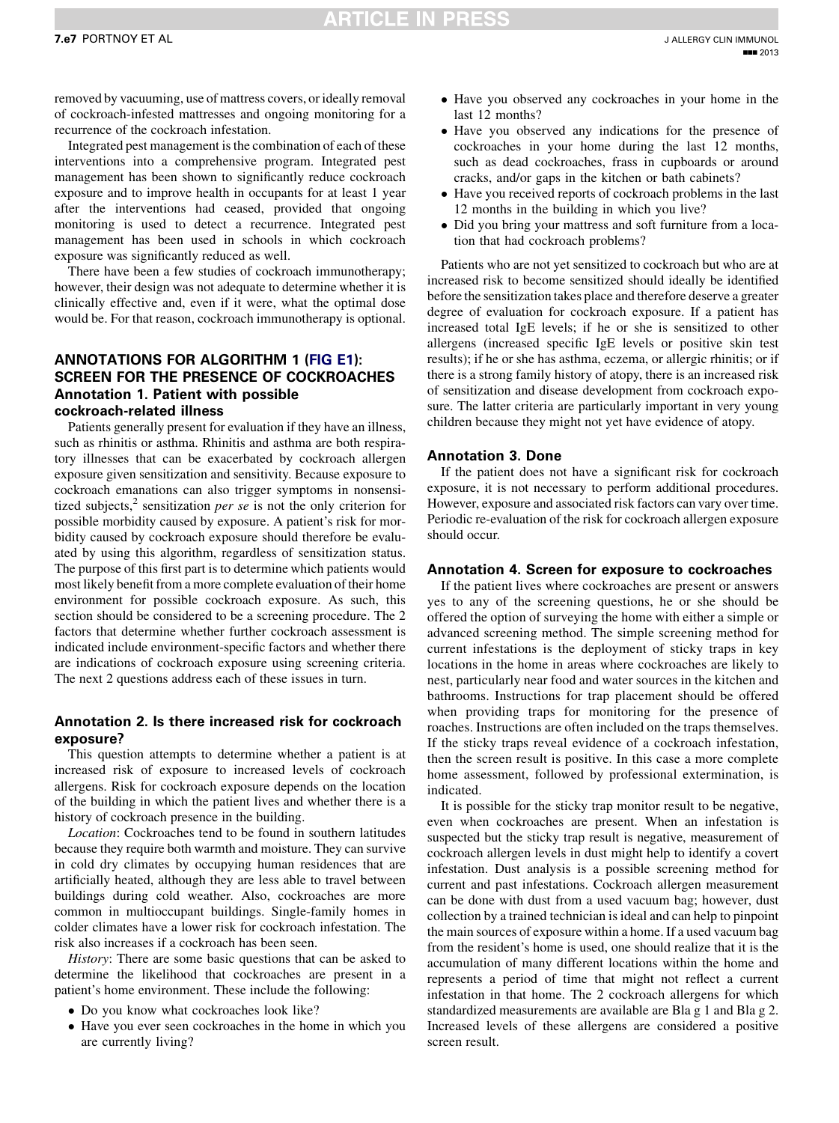removed by vacuuming, use of mattress covers, or ideally removal of cockroach-infested mattresses and ongoing monitoring for a recurrence of the cockroach infestation.

Integrated pest management is the combination of each of these interventions into a comprehensive program. Integrated pest management has been shown to significantly reduce cockroach exposure and to improve health in occupants for at least 1 year after the interventions had ceased, provided that ongoing monitoring is used to detect a recurrence. Integrated pest management has been used in schools in which cockroach exposure was significantly reduced as well.

There have been a few studies of cockroach immunotherapy; however, their design was not adequate to determine whether it is clinically effective and, even if it were, what the optimal dose would be. For that reason, cockroach immunotherapy is optional.

## ANNOTATIONS FOR ALGORITHM 1 ([FIG E1\)](#page-28-0): SCREEN FOR THE PRESENCE OF COCKROACHES Annotation 1. Patient with possible cockroach-related illness

Patients generally present for evaluation if they have an illness, such as rhinitis or asthma. Rhinitis and asthma are both respiratory illnesses that can be exacerbated by cockroach allergen exposure given sensitization and sensitivity. Because exposure to cockroach emanations can also trigger symptoms in nonsensitized subjects, $^2$  sensitization *per se* is not the only criterion for possible morbidity caused by exposure. A patient's risk for morbidity caused by cockroach exposure should therefore be evaluated by using this algorithm, regardless of sensitization status. The purpose of this first part is to determine which patients would most likely benefit from a more complete evaluation of their home environment for possible cockroach exposure. As such, this section should be considered to be a screening procedure. The 2 factors that determine whether further cockroach assessment is indicated include environment-specific factors and whether there are indications of cockroach exposure using screening criteria. The next 2 questions address each of these issues in turn.

## Annotation 2. Is there increased risk for cockroach exposure?

This question attempts to determine whether a patient is at increased risk of exposure to increased levels of cockroach allergens. Risk for cockroach exposure depends on the location of the building in which the patient lives and whether there is a history of cockroach presence in the building.

Location: Cockroaches tend to be found in southern latitudes because they require both warmth and moisture. They can survive in cold dry climates by occupying human residences that are artificially heated, although they are less able to travel between buildings during cold weather. Also, cockroaches are more common in multioccupant buildings. Single-family homes in colder climates have a lower risk for cockroach infestation. The risk also increases if a cockroach has been seen.

History: There are some basic questions that can be asked to determine the likelihood that cockroaches are present in a patient's home environment. These include the following:

- Do you know what cockroaches look like?
- Have you ever seen cockroaches in the home in which you are currently living?
- Have you observed any cockroaches in your home in the last 12 months?
- Have you observed any indications for the presence of cockroaches in your home during the last 12 months, such as dead cockroaches, frass in cupboards or around cracks, and/or gaps in the kitchen or bath cabinets?
- Have you received reports of cockroach problems in the last 12 months in the building in which you live?
- Did you bring your mattress and soft furniture from a location that had cockroach problems?

Patients who are not yet sensitized to cockroach but who are at increased risk to become sensitized should ideally be identified before the sensitization takes place and therefore deserve a greater degree of evaluation for cockroach exposure. If a patient has increased total IgE levels; if he or she is sensitized to other allergens (increased specific IgE levels or positive skin test results); if he or she has asthma, eczema, or allergic rhinitis; or if there is a strong family history of atopy, there is an increased risk of sensitization and disease development from cockroach exposure. The latter criteria are particularly important in very young children because they might not yet have evidence of atopy.

## Annotation 3. Done

If the patient does not have a significant risk for cockroach exposure, it is not necessary to perform additional procedures. However, exposure and associated risk factors can vary over time. Periodic re-evaluation of the risk for cockroach allergen exposure should occur.

#### Annotation 4. Screen for exposure to cockroaches

If the patient lives where cockroaches are present or answers yes to any of the screening questions, he or she should be offered the option of surveying the home with either a simple or advanced screening method. The simple screening method for current infestations is the deployment of sticky traps in key locations in the home in areas where cockroaches are likely to nest, particularly near food and water sources in the kitchen and bathrooms. Instructions for trap placement should be offered when providing traps for monitoring for the presence of roaches. Instructions are often included on the traps themselves. If the sticky traps reveal evidence of a cockroach infestation, then the screen result is positive. In this case a more complete home assessment, followed by professional extermination, is indicated.

It is possible for the sticky trap monitor result to be negative, even when cockroaches are present. When an infestation is suspected but the sticky trap result is negative, measurement of cockroach allergen levels in dust might help to identify a covert infestation. Dust analysis is a possible screening method for current and past infestations. Cockroach allergen measurement can be done with dust from a used vacuum bag; however, dust collection by a trained technician is ideal and can help to pinpoint the main sources of exposure within a home. If a used vacuum bag from the resident's home is used, one should realize that it is the accumulation of many different locations within the home and represents a period of time that might not reflect a current infestation in that home. The 2 cockroach allergens for which standardized measurements are available are Bla g 1 and Bla g 2. Increased levels of these allergens are considered a positive screen result.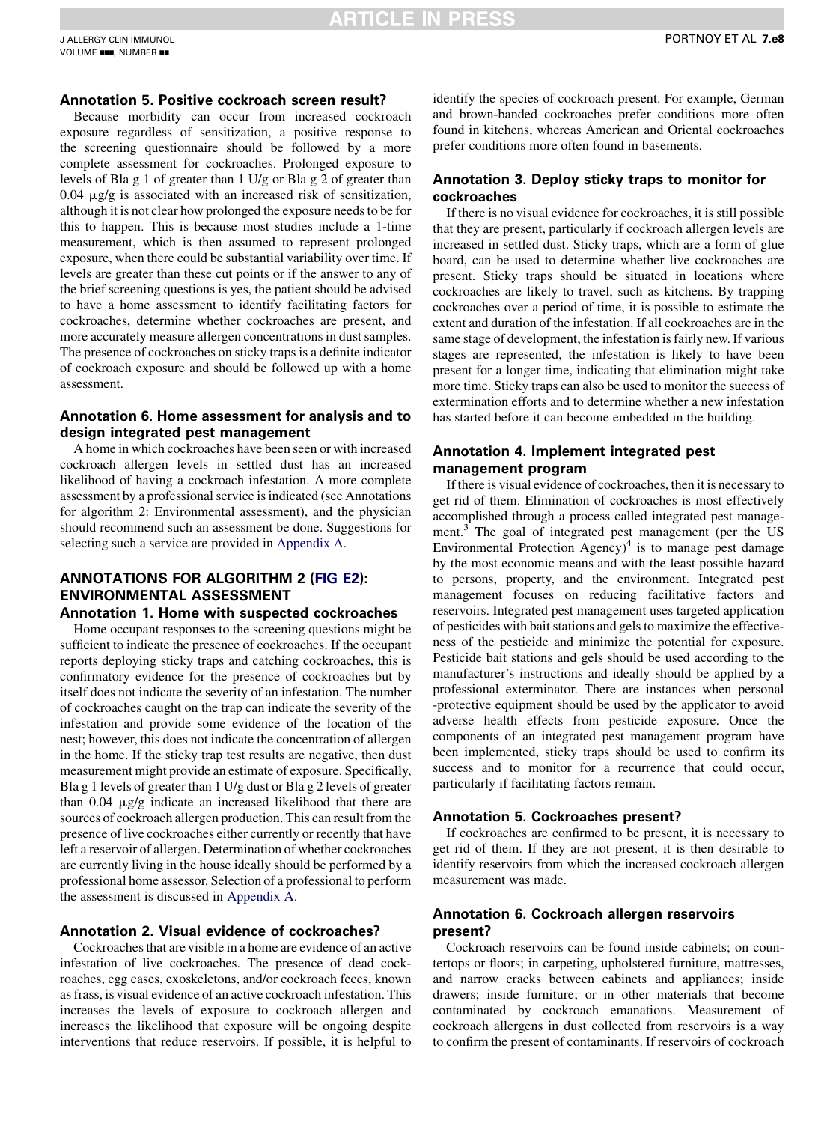#### Annotation 5. Positive cockroach screen result?

Because morbidity can occur from increased cockroach exposure regardless of sensitization, a positive response to the screening questionnaire should be followed by a more complete assessment for cockroaches. Prolonged exposure to levels of Bla g 1 of greater than 1 U/g or Bla g 2 of greater than  $0.04 \mu g/g$  is associated with an increased risk of sensitization, although it is not clear how prolonged the exposure needs to be for this to happen. This is because most studies include a 1-time measurement, which is then assumed to represent prolonged exposure, when there could be substantial variability over time. If levels are greater than these cut points or if the answer to any of the brief screening questions is yes, the patient should be advised to have a home assessment to identify facilitating factors for cockroaches, determine whether cockroaches are present, and more accurately measure allergen concentrations in dust samples. The presence of cockroaches on sticky traps is a definite indicator of cockroach exposure and should be followed up with a home assessment.

## Annotation 6. Home assessment for analysis and to design integrated pest management

A home in which cockroaches have been seen or with increased cockroach allergen levels in settled dust has an increased likelihood of having a cockroach infestation. A more complete assessment by a professional service is indicated (see Annotations for algorithm 2: Environmental assessment), and the physician should recommend such an assessment be done. Suggestions for selecting such a service are provided in Appendix A.

## ANNOTATIONS FOR ALGORITHM 2 ([FIG E2\)](#page-29-0): ENVIRONMENTAL ASSESSMENT

## Annotation 1. Home with suspected cockroaches

Home occupant responses to the screening questions might be sufficient to indicate the presence of cockroaches. If the occupant reports deploying sticky traps and catching cockroaches, this is confirmatory evidence for the presence of cockroaches but by itself does not indicate the severity of an infestation. The number of cockroaches caught on the trap can indicate the severity of the infestation and provide some evidence of the location of the nest; however, this does not indicate the concentration of allergen in the home. If the sticky trap test results are negative, then dust measurement might provide an estimate of exposure. Specifically, Bla g 1 levels of greater than 1 U/g dust or Bla g 2 levels of greater than  $0.04 \mu g/g$  indicate an increased likelihood that there are sources of cockroach allergen production. This can result from the presence of live cockroaches either currently or recently that have left a reservoir of allergen. Determination of whether cockroaches are currently living in the house ideally should be performed by a professional home assessor. Selection of a professional to perform the assessment is discussed in Appendix A.

#### Annotation 2. Visual evidence of cockroaches?

Cockroaches that are visible in a home are evidence of an active infestation of live cockroaches. The presence of dead cockroaches, egg cases, exoskeletons, and/or cockroach feces, known as frass, is visual evidence of an active cockroach infestation. This increases the levels of exposure to cockroach allergen and increases the likelihood that exposure will be ongoing despite interventions that reduce reservoirs. If possible, it is helpful to identify the species of cockroach present. For example, German and brown-banded cockroaches prefer conditions more often found in kitchens, whereas American and Oriental cockroaches prefer conditions more often found in basements.

#### Annotation 3. Deploy sticky traps to monitor for cockroaches

If there is no visual evidence for cockroaches, it is still possible that they are present, particularly if cockroach allergen levels are increased in settled dust. Sticky traps, which are a form of glue board, can be used to determine whether live cockroaches are present. Sticky traps should be situated in locations where cockroaches are likely to travel, such as kitchens. By trapping cockroaches over a period of time, it is possible to estimate the extent and duration of the infestation. If all cockroaches are in the same stage of development, the infestation is fairly new. If various stages are represented, the infestation is likely to have been present for a longer time, indicating that elimination might take more time. Sticky traps can also be used to monitor the success of extermination efforts and to determine whether a new infestation has started before it can become embedded in the building.

## Annotation 4. Implement integrated pest management program

If there is visual evidence of cockroaches, then it is necessary to get rid of them. Elimination of cockroaches is most effectively accomplished through a process called integrated pest management.<sup>3</sup> The goal of integrated pest management (per the US Environmental Protection  $\text{Agency}$ <sup>4</sup> is to manage pest damage by the most economic means and with the least possible hazard to persons, property, and the environment. Integrated pest management focuses on reducing facilitative factors and reservoirs. Integrated pest management uses targeted application of pesticides with bait stations and gels to maximize the effectiveness of the pesticide and minimize the potential for exposure. Pesticide bait stations and gels should be used according to the manufacturer's instructions and ideally should be applied by a professional exterminator. There are instances when personal -protective equipment should be used by the applicator to avoid adverse health effects from pesticide exposure. Once the components of an integrated pest management program have been implemented, sticky traps should be used to confirm its success and to monitor for a recurrence that could occur, particularly if facilitating factors remain.

#### Annotation 5. Cockroaches present?

If cockroaches are confirmed to be present, it is necessary to get rid of them. If they are not present, it is then desirable to identify reservoirs from which the increased cockroach allergen measurement was made.

## Annotation 6. Cockroach allergen reservoirs present?

Cockroach reservoirs can be found inside cabinets; on countertops or floors; in carpeting, upholstered furniture, mattresses, and narrow cracks between cabinets and appliances; inside drawers; inside furniture; or in other materials that become contaminated by cockroach emanations. Measurement of cockroach allergens in dust collected from reservoirs is a way to confirm the present of contaminants. If reservoirs of cockroach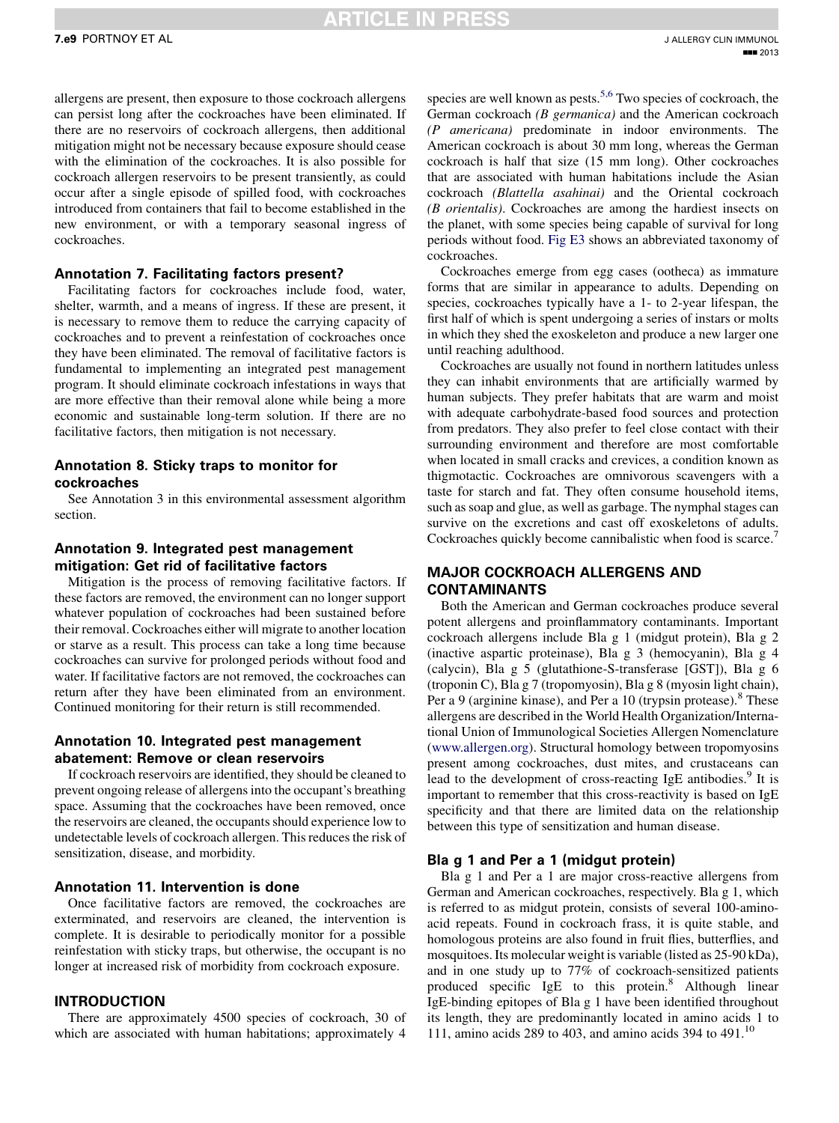allergens are present, then exposure to those cockroach allergens can persist long after the cockroaches have been eliminated. If there are no reservoirs of cockroach allergens, then additional mitigation might not be necessary because exposure should cease with the elimination of the cockroaches. It is also possible for cockroach allergen reservoirs to be present transiently, as could occur after a single episode of spilled food, with cockroaches introduced from containers that fail to become established in the new environment, or with a temporary seasonal ingress of cockroaches.

#### Annotation 7. Facilitating factors present?

Facilitating factors for cockroaches include food, water, shelter, warmth, and a means of ingress. If these are present, it is necessary to remove them to reduce the carrying capacity of cockroaches and to prevent a reinfestation of cockroaches once they have been eliminated. The removal of facilitative factors is fundamental to implementing an integrated pest management program. It should eliminate cockroach infestations in ways that are more effective than their removal alone while being a more economic and sustainable long-term solution. If there are no facilitative factors, then mitigation is not necessary.

## Annotation 8. Sticky traps to monitor for cockroaches

See Annotation 3 in this environmental assessment algorithm section.

## Annotation 9. Integrated pest management mitigation: Get rid of facilitative factors

Mitigation is the process of removing facilitative factors. If these factors are removed, the environment can no longer support whatever population of cockroaches had been sustained before their removal. Cockroaches either will migrate to another location or starve as a result. This process can take a long time because cockroaches can survive for prolonged periods without food and water. If facilitative factors are not removed, the cockroaches can return after they have been eliminated from an environment. Continued monitoring for their return is still recommended.

## Annotation 10. Integrated pest management abatement: Remove or clean reservoirs

If cockroach reservoirs are identified, they should be cleaned to prevent ongoing release of allergens into the occupant's breathing space. Assuming that the cockroaches have been removed, once the reservoirs are cleaned, the occupants should experience low to undetectable levels of cockroach allergen. This reduces the risk of sensitization, disease, and morbidity.

#### Annotation 11. Intervention is done

Once facilitative factors are removed, the cockroaches are exterminated, and reservoirs are cleaned, the intervention is complete. It is desirable to periodically monitor for a possible reinfestation with sticky traps, but otherwise, the occupant is no longer at increased risk of morbidity from cockroach exposure.

#### INTRODUCTION

There are approximately 4500 species of cockroach, 30 of which are associated with human habitations; approximately 4

species are well known as pests.<sup>[5,6](#page-23-0)</sup> Two species of cockroach, the German cockroach (B germanica) and the American cockroach (P americana) predominate in indoor environments. The American cockroach is about 30 mm long, whereas the German cockroach is half that size (15 mm long). Other cockroaches that are associated with human habitations include the Asian cockroach (Blattella asahinai) and the Oriental cockroach  $(B$  orientalis). Cockroaches are among the hardiest insects on the planet, with some species being capable of survival for long periods without food. [Fig E3](#page-30-0) shows an abbreviated taxonomy of cockroaches.

Cockroaches emerge from egg cases (ootheca) as immature forms that are similar in appearance to adults. Depending on species, cockroaches typically have a 1- to 2-year lifespan, the first half of which is spent undergoing a series of instars or molts in which they shed the exoskeleton and produce a new larger one until reaching adulthood.

Cockroaches are usually not found in northern latitudes unless they can inhabit environments that are artificially warmed by human subjects. They prefer habitats that are warm and moist with adequate carbohydrate-based food sources and protection from predators. They also prefer to feel close contact with their surrounding environment and therefore are most comfortable when located in small cracks and crevices, a condition known as thigmotactic. Cockroaches are omnivorous scavengers with a taste for starch and fat. They often consume household items, such as soap and glue, as well as garbage. The nymphal stages can survive on the excretions and cast off exoskeletons of adults. Cockroaches quickly become cannibalistic when food is scarce.<sup>7</sup>

## MAJOR COCKROACH ALLERGENS AND CONTAMINANTS

Both the American and German cockroaches produce several potent allergens and proinflammatory contaminants. Important cockroach allergens include Bla g 1 (midgut protein), Bla g 2 (inactive aspartic proteinase), Bla g 3 (hemocyanin), Bla g 4 (calycin), Bla g 5 (glutathione-S-transferase [GST]), Bla g 6 (troponin C), Bla g 7 (tropomyosin), Bla g 8 (myosin light chain), Per a 9 (arginine kinase), and Per a 10 (trypsin protease).<sup>8</sup> These allergens are described in the World Health Organization/International Union of Immunological Societies Allergen Nomenclature [\(www.allergen.org\)](http://www.allergen.org). Structural homology between tropomyosins present among cockroaches, dust mites, and crustaceans can lead to the development of cross-reacting IgE antibodies.<sup>9</sup> It is important to remember that this cross-reactivity is based on IgE specificity and that there are limited data on the relationship between this type of sensitization and human disease.

#### Bla g 1 and Per a 1 (midgut protein)

Bla g 1 and Per a 1 are major cross-reactive allergens from German and American cockroaches, respectively. Bla g 1, which is referred to as midgut protein, consists of several 100-aminoacid repeats. Found in cockroach frass, it is quite stable, and homologous proteins are also found in fruit flies, butterflies, and mosquitoes. Its molecular weight is variable (listed as 25-90 kDa), and in one study up to 77% of cockroach-sensitized patients produced specific IgE to this protein.<sup>8</sup> Although linear IgE-binding epitopes of Bla g 1 have been identified throughout its length, they are predominantly located in amino acids 1 to 111, amino acids 289 to 403, and amino acids 394 to  $491<sup>10</sup>$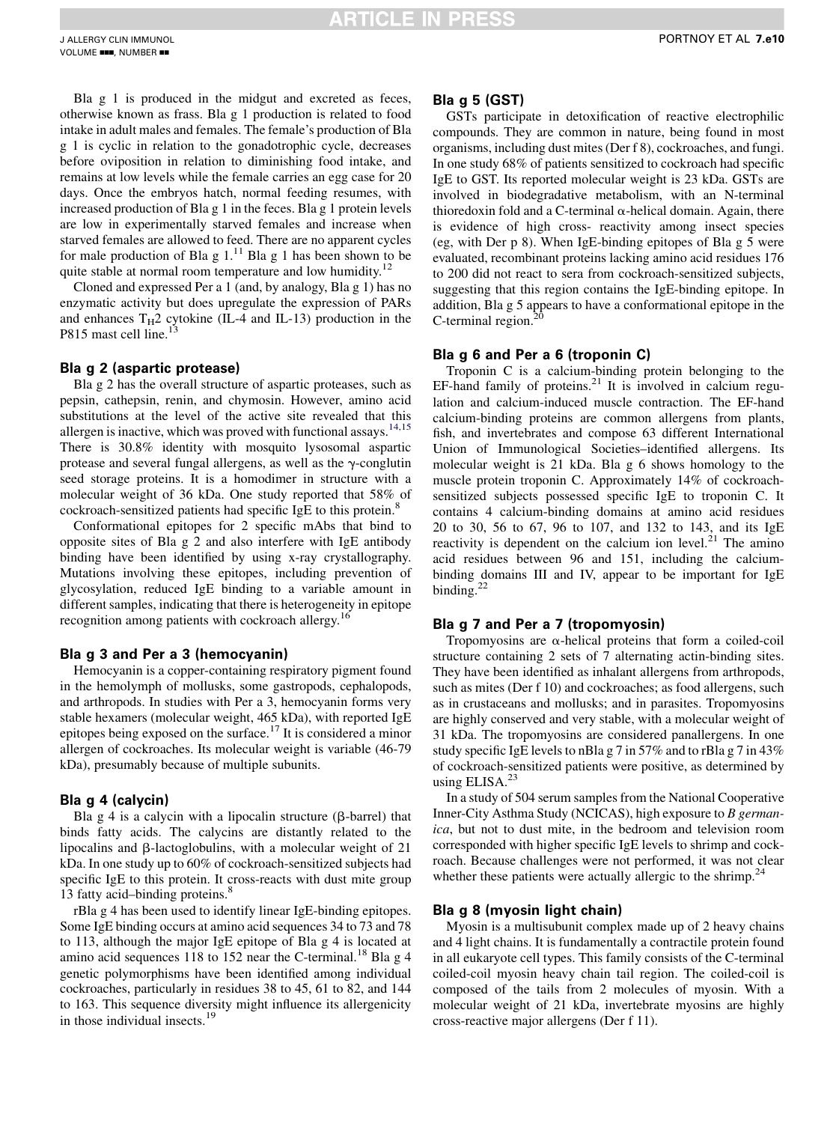Bla g 1 is produced in the midgut and excreted as feces, otherwise known as frass. Bla g 1 production is related to food intake in adult males and females. The female's production of Bla g 1 is cyclic in relation to the gonadotrophic cycle, decreases before oviposition in relation to diminishing food intake, and remains at low levels while the female carries an egg case for 20 days. Once the embryos hatch, normal feeding resumes, with increased production of Bla g 1 in the feces. Bla g 1 protein levels are low in experimentally starved females and increase when starved females are allowed to feed. There are no apparent cycles for male production of Bla g  $1<sup>11</sup>$  Bla g 1 has been shown to be quite stable at normal room temperature and low humidity.<sup>12</sup>

Cloned and expressed Per a 1 (and, by analogy, Bla g 1) has no enzymatic activity but does upregulate the expression of PARs and enhances  $T_H2$  cytokine (IL-4 and IL-13) production in the P815 mast cell line.<sup>13</sup>

#### Bla g 2 (aspartic protease)

Bla g 2 has the overall structure of aspartic proteases, such as pepsin, cathepsin, renin, and chymosin. However, amino acid substitutions at the level of the active site revealed that this allergen is inactive, which was proved with functional assays. $14,15$ There is 30.8% identity with mosquito lysosomal aspartic protease and several fungal allergens, as well as the  $\gamma$ -conglutin seed storage proteins. It is a homodimer in structure with a molecular weight of 36 kDa. One study reported that 58% of cockroach-sensitized patients had specific IgE to this protein.<sup>8</sup>

Conformational epitopes for 2 specific mAbs that bind to opposite sites of Bla g 2 and also interfere with IgE antibody binding have been identified by using x-ray crystallography. Mutations involving these epitopes, including prevention of glycosylation, reduced IgE binding to a variable amount in different samples, indicating that there is heterogeneity in epitope recognition among patients with cockroach allergy.<sup>16</sup>

#### Bla g 3 and Per a 3 (hemocyanin)

Hemocyanin is a copper-containing respiratory pigment found in the hemolymph of mollusks, some gastropods, cephalopods, and arthropods. In studies with Per a 3, hemocyanin forms very stable hexamers (molecular weight, 465 kDa), with reported IgE epitopes being exposed on the surface.<sup>17</sup> It is considered a minor allergen of cockroaches. Its molecular weight is variable (46-79 kDa), presumably because of multiple subunits.

#### Bla g 4 (calycin)

Bla g 4 is a calycin with a lipocalin structure  $(\beta$ -barrel) that binds fatty acids. The calycins are distantly related to the lipocalins and  $\beta$ -lactoglobulins, with a molecular weight of 21 kDa. In one study up to 60% of cockroach-sensitized subjects had specific IgE to this protein. It cross-reacts with dust mite group 13 fatty acid–binding proteins.<sup>8</sup>

rBla g 4 has been used to identify linear IgE-binding epitopes. Some IgE binding occurs at amino acid sequences 34 to 73 and 78 to 113, although the major IgE epitope of Bla g 4 is located at amino acid sequences 118 to 152 near the C-terminal.<sup>18</sup> Bla g 4 genetic polymorphisms have been identified among individual cockroaches, particularly in residues 38 to 45, 61 to 82, and 144 to 163. This sequence diversity might influence its allergenicity in those individual insects.<sup>19</sup>

#### Bla g 5 (GST)

GSTs participate in detoxification of reactive electrophilic compounds. They are common in nature, being found in most organisms, including dust mites (Der f 8), cockroaches, and fungi. In one study 68% of patients sensitized to cockroach had specific IgE to GST. Its reported molecular weight is 23 kDa. GSTs are involved in biodegradative metabolism, with an N-terminal thioredoxin fold and a C-terminal  $\alpha$ -helical domain. Again, there is evidence of high cross- reactivity among insect species (eg, with Der p 8). When IgE-binding epitopes of Bla g 5 were evaluated, recombinant proteins lacking amino acid residues 176 to 200 did not react to sera from cockroach-sensitized subjects, suggesting that this region contains the IgE-binding epitope. In addition, Bla g 5 appears to have a conformational epitope in the C-terminal region.<sup>2</sup>

#### Bla g 6 and Per a 6 (troponin C)

Troponin C is a calcium-binding protein belonging to the EF-hand family of proteins. $^{21}$  It is involved in calcium regulation and calcium-induced muscle contraction. The EF-hand calcium-binding proteins are common allergens from plants, fish, and invertebrates and compose 63 different International Union of Immunological Societies–identified allergens. Its molecular weight is 21 kDa. Bla g 6 shows homology to the muscle protein troponin C. Approximately 14% of cockroachsensitized subjects possessed specific IgE to troponin C. It contains 4 calcium-binding domains at amino acid residues 20 to 30, 56 to 67, 96 to 107, and 132 to 143, and its IgE reactivity is dependent on the calcium ion level. $^{21}$  The amino acid residues between 96 and 151, including the calciumbinding domains III and IV, appear to be important for IgE binding.<sup>22</sup>

#### Bla g 7 and Per a 7 (tropomyosin)

Tropomyosins are  $\alpha$ -helical proteins that form a coiled-coil structure containing 2 sets of 7 alternating actin-binding sites. They have been identified as inhalant allergens from arthropods, such as mites (Der f 10) and cockroaches; as food allergens, such as in crustaceans and mollusks; and in parasites. Tropomyosins are highly conserved and very stable, with a molecular weight of 31 kDa. The tropomyosins are considered panallergens. In one study specific IgE levels to nBla g 7 in 57% and to rBla g 7 in 43% of cockroach-sensitized patients were positive, as determined by using ELISA. $^{23}$ 

In a study of 504 serum samples from the National Cooperative Inner-City Asthma Study (NCICAS), high exposure to B germanica, but not to dust mite, in the bedroom and television room corresponded with higher specific IgE levels to shrimp and cockroach. Because challenges were not performed, it was not clear whether these patients were actually allergic to the shrimp.<sup>24</sup>

#### Bla g 8 (myosin light chain)

Myosin is a multisubunit complex made up of 2 heavy chains and 4 light chains. It is fundamentally a contractile protein found in all eukaryote cell types. This family consists of the C-terminal coiled-coil myosin heavy chain tail region. The coiled-coil is composed of the tails from 2 molecules of myosin. With a molecular weight of 21 kDa, invertebrate myosins are highly cross-reactive major allergens (Der f 11).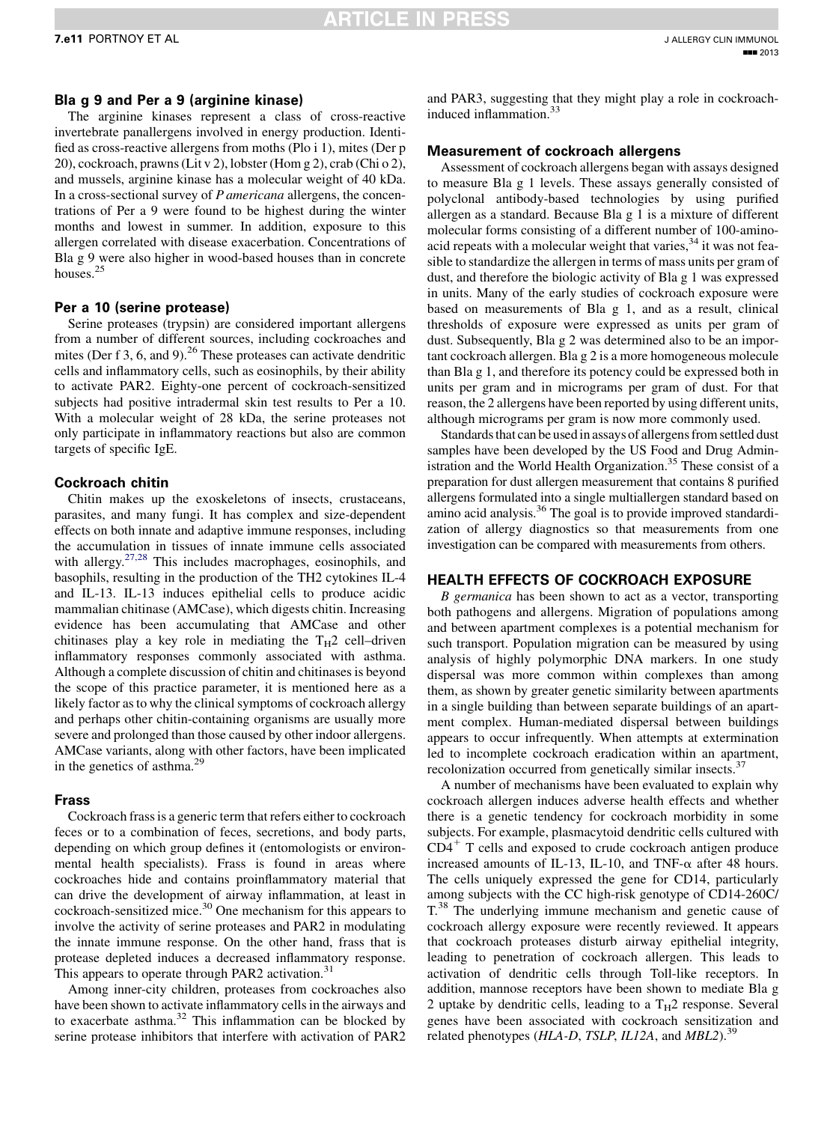#### Bla g 9 and Per a 9 (arginine kinase)

The arginine kinases represent a class of cross-reactive invertebrate panallergens involved in energy production. Identified as cross-reactive allergens from moths (Plo i 1), mites (Der p 20), cockroach, prawns (Lit v 2), lobster (Hom g 2), crab (Chi o 2), and mussels, arginine kinase has a molecular weight of 40 kDa. In a cross-sectional survey of P americana allergens, the concentrations of Per a 9 were found to be highest during the winter months and lowest in summer. In addition, exposure to this allergen correlated with disease exacerbation. Concentrations of Bla g 9 were also higher in wood-based houses than in concrete houses.<sup>25</sup>

#### Per a 10 (serine protease)

Serine proteases (trypsin) are considered important allergens from a number of different sources, including cockroaches and mites (Der f 3, 6, and 9).<sup>26</sup> These proteases can activate dendritic cells and inflammatory cells, such as eosinophils, by their ability to activate PAR2. Eighty-one percent of cockroach-sensitized subjects had positive intradermal skin test results to Per a 10. With a molecular weight of 28 kDa, the serine proteases not only participate in inflammatory reactions but also are common targets of specific IgE.

#### Cockroach chitin

Chitin makes up the exoskeletons of insects, crustaceans, parasites, and many fungi. It has complex and size-dependent effects on both innate and adaptive immune responses, including the accumulation in tissues of innate immune cells associated with allergy.<sup>[27,28](#page-24-0)</sup> This includes macrophages, eosinophils, and basophils, resulting in the production of the TH2 cytokines IL-4 and IL-13. IL-13 induces epithelial cells to produce acidic mammalian chitinase (AMCase), which digests chitin. Increasing evidence has been accumulating that AMCase and other chitinases play a key role in mediating the  $T_H2$  cell–driven inflammatory responses commonly associated with asthma. Although a complete discussion of chitin and chitinases is beyond the scope of this practice parameter, it is mentioned here as a likely factor as to why the clinical symptoms of cockroach allergy and perhaps other chitin-containing organisms are usually more severe and prolonged than those caused by other indoor allergens. AMCase variants, along with other factors, have been implicated in the genetics of asthma.<sup>29</sup>

#### Frass

Cockroach frass is a generic term that refers either to cockroach feces or to a combination of feces, secretions, and body parts, depending on which group defines it (entomologists or environmental health specialists). Frass is found in areas where cockroaches hide and contains proinflammatory material that can drive the development of airway inflammation, at least in cockroach-sensitized mice.<sup>30</sup> One mechanism for this appears to involve the activity of serine proteases and PAR2 in modulating the innate immune response. On the other hand, frass that is protease depleted induces a decreased inflammatory response. This appears to operate through PAR2 activation.<sup>31</sup>

Among inner-city children, proteases from cockroaches also have been shown to activate inflammatory cells in the airways and to exacerbate asthma.<sup>32</sup> This inflammation can be blocked by serine protease inhibitors that interfere with activation of PAR2

and PAR3, suggesting that they might play a role in cockroachinduced inflammation.<sup>33</sup>

#### Measurement of cockroach allergens

Assessment of cockroach allergens began with assays designed to measure Bla g 1 levels. These assays generally consisted of polyclonal antibody-based technologies by using purified allergen as a standard. Because Bla g 1 is a mixture of different molecular forms consisting of a different number of 100-aminoacid repeats with a molecular weight that varies,  $3<sup>4</sup>$  it was not feasible to standardize the allergen in terms of mass units per gram of dust, and therefore the biologic activity of Bla g 1 was expressed in units. Many of the early studies of cockroach exposure were based on measurements of Bla g 1, and as a result, clinical thresholds of exposure were expressed as units per gram of dust. Subsequently, Bla g 2 was determined also to be an important cockroach allergen. Bla g 2 is a more homogeneous molecule than Bla g 1, and therefore its potency could be expressed both in units per gram and in micrograms per gram of dust. For that reason, the 2 allergens have been reported by using different units, although micrograms per gram is now more commonly used.

Standards that can be used in assays of allergens from settled dust samples have been developed by the US Food and Drug Administration and the World Health Organization.<sup>35</sup> These consist of a preparation for dust allergen measurement that contains 8 purified allergens formulated into a single multiallergen standard based on amino acid analysis.<sup>36</sup> The goal is to provide improved standardization of allergy diagnostics so that measurements from one investigation can be compared with measurements from others.

#### HEALTH EFFECTS OF COCKROACH EXPOSURE

B germanica has been shown to act as a vector, transporting both pathogens and allergens. Migration of populations among and between apartment complexes is a potential mechanism for such transport. Population migration can be measured by using analysis of highly polymorphic DNA markers. In one study dispersal was more common within complexes than among them, as shown by greater genetic similarity between apartments in a single building than between separate buildings of an apartment complex. Human-mediated dispersal between buildings appears to occur infrequently. When attempts at extermination led to incomplete cockroach eradication within an apartment, recolonization occurred from genetically similar insects.<sup>37</sup>

A number of mechanisms have been evaluated to explain why cockroach allergen induces adverse health effects and whether there is a genetic tendency for cockroach morbidity in some subjects. For example, plasmacytoid dendritic cells cultured with  $CD4<sup>+</sup>$  T cells and exposed to crude cockroach antigen produce increased amounts of IL-13, IL-10, and TNF- $\alpha$  after 48 hours. The cells uniquely expressed the gene for CD14, particularly among subjects with the CC high-risk genotype of CD14-260C/ T.<sup>38</sup> The underlying immune mechanism and genetic cause of cockroach allergy exposure were recently reviewed. It appears that cockroach proteases disturb airway epithelial integrity, leading to penetration of cockroach allergen. This leads to activation of dendritic cells through Toll-like receptors. In addition, mannose receptors have been shown to mediate Bla g 2 uptake by dendritic cells, leading to a  $T_H2$  response. Several genes have been associated with cockroach sensitization and related phenotypes (*HLA-D*, *TSLP*, *IL12A*, and *MBL2*).<sup>39</sup>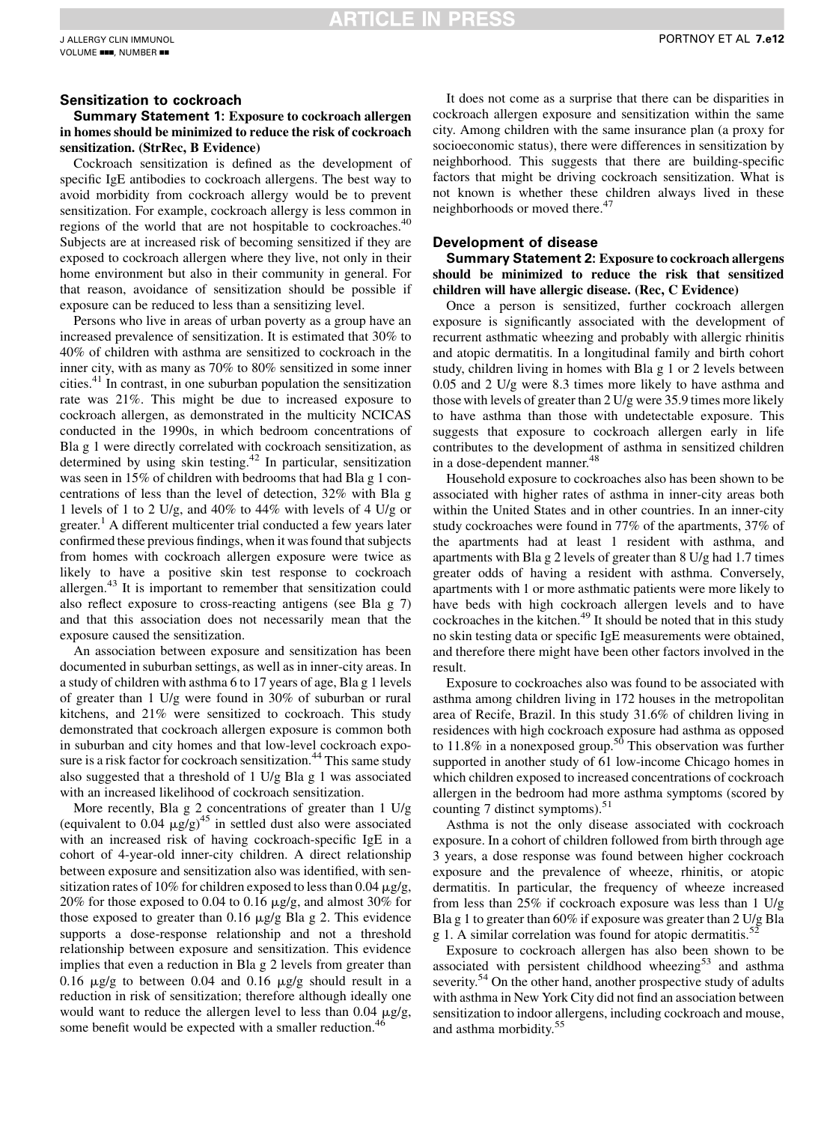## Sensitization to cockroach

## Summary Statement 1: Exposure to cockroach allergen in homes should be minimized to reduce the risk of cockroach sensitization. (StrRec, B Evidence)

Cockroach sensitization is defined as the development of specific IgE antibodies to cockroach allergens. The best way to avoid morbidity from cockroach allergy would be to prevent sensitization. For example, cockroach allergy is less common in regions of the world that are not hospitable to cockroaches.<sup>40</sup> Subjects are at increased risk of becoming sensitized if they are exposed to cockroach allergen where they live, not only in their home environment but also in their community in general. For that reason, avoidance of sensitization should be possible if exposure can be reduced to less than a sensitizing level.

Persons who live in areas of urban poverty as a group have an increased prevalence of sensitization. It is estimated that 30% to 40% of children with asthma are sensitized to cockroach in the inner city, with as many as 70% to 80% sensitized in some inner cities.<sup>41</sup> In contrast, in one suburban population the sensitization rate was 21%. This might be due to increased exposure to cockroach allergen, as demonstrated in the multicity NCICAS conducted in the 1990s, in which bedroom concentrations of Bla g 1 were directly correlated with cockroach sensitization, as determined by using skin testing.<sup>42</sup> In particular, sensitization was seen in 15% of children with bedrooms that had Bla g 1 concentrations of less than the level of detection, 32% with Bla g 1 levels of 1 to 2 U/g, and 40% to 44% with levels of 4 U/g or greater.<sup>1</sup> A different multicenter trial conducted a few years later confirmed these previous findings, when it was found that subjects from homes with cockroach allergen exposure were twice as likely to have a positive skin test response to cockroach allergen.<sup>43</sup> It is important to remember that sensitization could also reflect exposure to cross-reacting antigens (see Bla g 7) and that this association does not necessarily mean that the exposure caused the sensitization.

An association between exposure and sensitization has been documented in suburban settings, as well as in inner-city areas. In a study of children with asthma 6 to 17 years of age, Bla g 1 levels of greater than 1 U/g were found in 30% of suburban or rural kitchens, and 21% were sensitized to cockroach. This study demonstrated that cockroach allergen exposure is common both in suburban and city homes and that low-level cockroach exposure is a risk factor for cockroach sensitization.<sup>44</sup> This same study also suggested that a threshold of 1 U/g Bla g 1 was associated with an increased likelihood of cockroach sensitization.

More recently, Bla g 2 concentrations of greater than 1 U/g (equivalent to  $0.04 \mu g/g$ <sup>45</sup> in settled dust also were associated<br>with an increased risk of having cockroach-specific IgE in a with an increased risk of having cockroach-specific IgE in a cohort of 4-year-old inner-city children. A direct relationship between exposure and sensitization also was identified, with sensitization rates of 10% for children exposed to less than 0.04  $\mu$ g/g, 20% for those exposed to 0.04 to 0.16  $\mu$ g/g, and almost 30% for those exposed to greater than  $0.16 \mu g/g$  Bla g 2. This evidence supports a dose-response relationship and not a threshold relationship between exposure and sensitization. This evidence implies that even a reduction in Bla g 2 levels from greater than 0.16  $\mu$ g/g to between 0.04 and 0.16  $\mu$ g/g should result in a reduction in risk of sensitization; therefore although ideally one would want to reduce the allergen level to less than  $0.04 \mu g/g$ , some benefit would be expected with a smaller reduction.<sup>4</sup>

It does not come as a surprise that there can be disparities in cockroach allergen exposure and sensitization within the same city. Among children with the same insurance plan (a proxy for socioeconomic status), there were differences in sensitization by neighborhood. This suggests that there are building-specific factors that might be driving cockroach sensitization. What is not known is whether these children always lived in these neighborhoods or moved there.<sup>47</sup>

#### Development of disease

Summary Statement 2: Exposure to cockroach allergens should be minimized to reduce the risk that sensitized children will have allergic disease. (Rec, C Evidence)

Once a person is sensitized, further cockroach allergen exposure is significantly associated with the development of recurrent asthmatic wheezing and probably with allergic rhinitis and atopic dermatitis. In a longitudinal family and birth cohort study, children living in homes with Bla g 1 or 2 levels between 0.05 and 2 U/g were 8.3 times more likely to have asthma and those with levels of greater than 2 U/g were 35.9 times more likely to have asthma than those with undetectable exposure. This suggests that exposure to cockroach allergen early in life contributes to the development of asthma in sensitized children in a dose-dependent manner.<sup>48</sup>

Household exposure to cockroaches also has been shown to be associated with higher rates of asthma in inner-city areas both within the United States and in other countries. In an inner-city study cockroaches were found in 77% of the apartments, 37% of the apartments had at least 1 resident with asthma, and apartments with Bla g 2 levels of greater than 8 U/g had 1.7 times greater odds of having a resident with asthma. Conversely, apartments with 1 or more asthmatic patients were more likely to have beds with high cockroach allergen levels and to have cockroaches in the kitchen.<sup>49</sup> It should be noted that in this study no skin testing data or specific IgE measurements were obtained, and therefore there might have been other factors involved in the result.

Exposure to cockroaches also was found to be associated with asthma among children living in 172 houses in the metropolitan area of Recife, Brazil. In this study 31.6% of children living in residences with high cockroach exposure had asthma as opposed to 11.8% in a nonexposed group.<sup>50</sup> This observation was further supported in another study of 61 low-income Chicago homes in which children exposed to increased concentrations of cockroach allergen in the bedroom had more asthma symptoms (scored by counting 7 distinct symptoms). $51$ 

Asthma is not the only disease associated with cockroach exposure. In a cohort of children followed from birth through age 3 years, a dose response was found between higher cockroach exposure and the prevalence of wheeze, rhinitis, or atopic dermatitis. In particular, the frequency of wheeze increased from less than 25% if cockroach exposure was less than 1 U/g Bla g 1 to greater than 60% if exposure was greater than 2 U/g Bla g 1. A similar correlation was found for atopic dermatitis.<sup>52</sup>

Exposure to cockroach allergen has also been shown to be associated with persistent childhood wheezing $53$  and asthma severity.<sup>54</sup> On the other hand, another prospective study of adults with asthma in New York City did not find an association between sensitization to indoor allergens, including cockroach and mouse, and asthma morbidity.<sup>55</sup>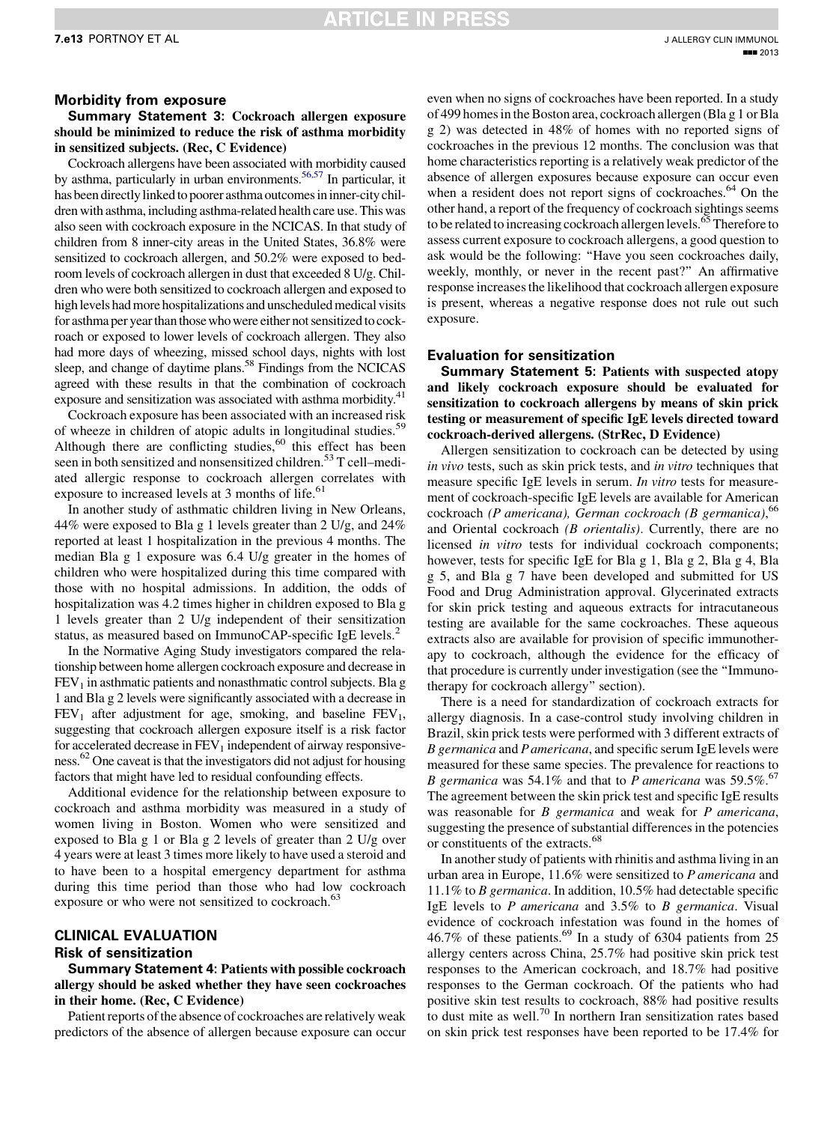## Morbidity from exposure

Summary Statement 3: Cockroach allergen exposure should be minimized to reduce the risk of asthma morbidity in sensitized subjects. (Rec, C Evidence)

Cockroach allergens have been associated with morbidity caused by asthma, particularly in urban environments.<sup>56,57</sup> In particular, it has been directly linked to poorer asthma outcomes in inner-city children with asthma, including asthma-related health care use. This was also seen with cockroach exposure in the NCICAS. In that study of children from 8 inner-city areas in the United States, 36.8% were sensitized to cockroach allergen, and 50.2% were exposed to bedroom levels of cockroach allergen in dust that exceeded 8 U/g. Children who were both sensitized to cockroach allergen and exposed to high levels had more hospitalizations and unscheduled medical visits for asthma per year than those who were either not sensitized to cockroach or exposed to lower levels of cockroach allergen. They also had more days of wheezing, missed school days, nights with lost sleep, and change of daytime plans.<sup>58</sup> Findings from the NCICAS agreed with these results in that the combination of cockroach exposure and sensitization was associated with asthma morbidity.<sup>41</sup>

Cockroach exposure has been associated with an increased risk of wheeze in children of atopic adults in longitudinal studies.<sup>59</sup> Although there are conflicting studies, $60$  this effect has been seen in both sensitized and nonsensitized children.<sup>53</sup> T cell–mediated allergic response to cockroach allergen correlates with exposure to increased levels at 3 months of life.<sup>61</sup>

In another study of asthmatic children living in New Orleans, 44% were exposed to Bla g 1 levels greater than 2 U/g, and 24% reported at least 1 hospitalization in the previous 4 months. The median Bla g 1 exposure was 6.4 U/g greater in the homes of children who were hospitalized during this time compared with those with no hospital admissions. In addition, the odds of hospitalization was 4.2 times higher in children exposed to Bla g 1 levels greater than 2 U/g independent of their sensitization status, as measured based on ImmunoCAP-specific IgE levels.<sup>2</sup>

In the Normative Aging Study investigators compared the relationship between home allergen cockroach exposure and decrease in  $FEV<sub>1</sub>$  in asthmatic patients and nonasthmatic control subjects. Bla g 1 and Bla g 2 levels were significantly associated with a decrease in  $FEV<sub>1</sub>$  after adjustment for age, smoking, and baseline  $FEV<sub>1</sub>$ , suggesting that cockroach allergen exposure itself is a risk factor for accelerated decrease in  $FEV<sub>1</sub>$  independent of airway responsiveness.<sup>62</sup> One caveat is that the investigators did not adjust for housing factors that might have led to residual confounding effects.

Additional evidence for the relationship between exposure to cockroach and asthma morbidity was measured in a study of women living in Boston. Women who were sensitized and exposed to Bla g 1 or Bla g 2 levels of greater than 2 U/g over 4 years were at least 3 times more likely to have used a steroid and to have been to a hospital emergency department for asthma during this time period than those who had low cockroach exposure or who were not sensitized to cockroach.<sup>63</sup>

## CLINICAL EVALUATION Risk of sensitization

Summary Statement 4: Patients with possible cockroach allergy should be asked whether they have seen cockroaches in their home. (Rec, C Evidence)

Patient reports of the absence of cockroaches are relatively weak predictors of the absence of allergen because exposure can occur even when no signs of cockroaches have been reported. In a study of 499 homes in the Boston area, cockroach allergen (Bla g 1 or Bla g 2) was detected in 48% of homes with no reported signs of cockroaches in the previous 12 months. The conclusion was that home characteristics reporting is a relatively weak predictor of the absence of allergen exposures because exposure can occur even when a resident does not report signs of cockroaches.<sup>64</sup> On the other hand, a report of the frequency of cockroach sightings seems to be related to increasing cockroach allergen levels.<sup>65</sup> Therefore to assess current exposure to cockroach allergens, a good question to ask would be the following: ''Have you seen cockroaches daily, weekly, monthly, or never in the recent past?'' An affirmative response increases the likelihood that cockroach allergen exposure is present, whereas a negative response does not rule out such exposure.

#### Evaluation for sensitization

Summary Statement 5: Patients with suspected atopy and likely cockroach exposure should be evaluated for sensitization to cockroach allergens by means of skin prick testing or measurement of specific IgE levels directed toward cockroach-derived allergens. (StrRec, D Evidence)

Allergen sensitization to cockroach can be detected by using in vivo tests, such as skin prick tests, and in vitro techniques that measure specific IgE levels in serum. In vitro tests for measurement of cockroach-specific IgE levels are available for American cockroach (P americana), German cockroach (B germanica), 66 and Oriental cockroach  $(B \text{ orientalis})$ . Currently, there are no licensed in vitro tests for individual cockroach components; however, tests for specific IgE for Bla g 1, Bla g 2, Bla g 4, Bla g 5, and Bla g 7 have been developed and submitted for US Food and Drug Administration approval. Glycerinated extracts for skin prick testing and aqueous extracts for intracutaneous testing are available for the same cockroaches. These aqueous extracts also are available for provision of specific immunotherapy to cockroach, although the evidence for the efficacy of that procedure is currently under investigation (see the ''Immunotherapy for cockroach allergy'' section).

There is a need for standardization of cockroach extracts for allergy diagnosis. In a case-control study involving children in Brazil, skin prick tests were performed with 3 different extracts of B germanica and P americana, and specific serum IgE levels were measured for these same species. The prevalence for reactions to *B germanica* was 54.1% and that to *P americana* was 59.5%.<sup>67</sup> The agreement between the skin prick test and specific IgE results was reasonable for  $B$  germanica and weak for  $P$  americana, suggesting the presence of substantial differences in the potencies or constituents of the extracts.<sup>68</sup>

In another study of patients with rhinitis and asthma living in an urban area in Europe, 11.6% were sensitized to P americana and 11.1% to B germanica. In addition, 10.5% had detectable specific IgE levels to  $P$  americana and 3.5% to  $B$  germanica. Visual evidence of cockroach infestation was found in the homes of 46.7% of these patients.<sup>69</sup> In a study of 6304 patients from 25 allergy centers across China, 25.7% had positive skin prick test responses to the American cockroach, and 18.7% had positive responses to the German cockroach. Of the patients who had positive skin test results to cockroach, 88% had positive results to dust mite as well.<sup>70</sup> In northern Iran sensitization rates based on skin prick test responses have been reported to be 17.4% for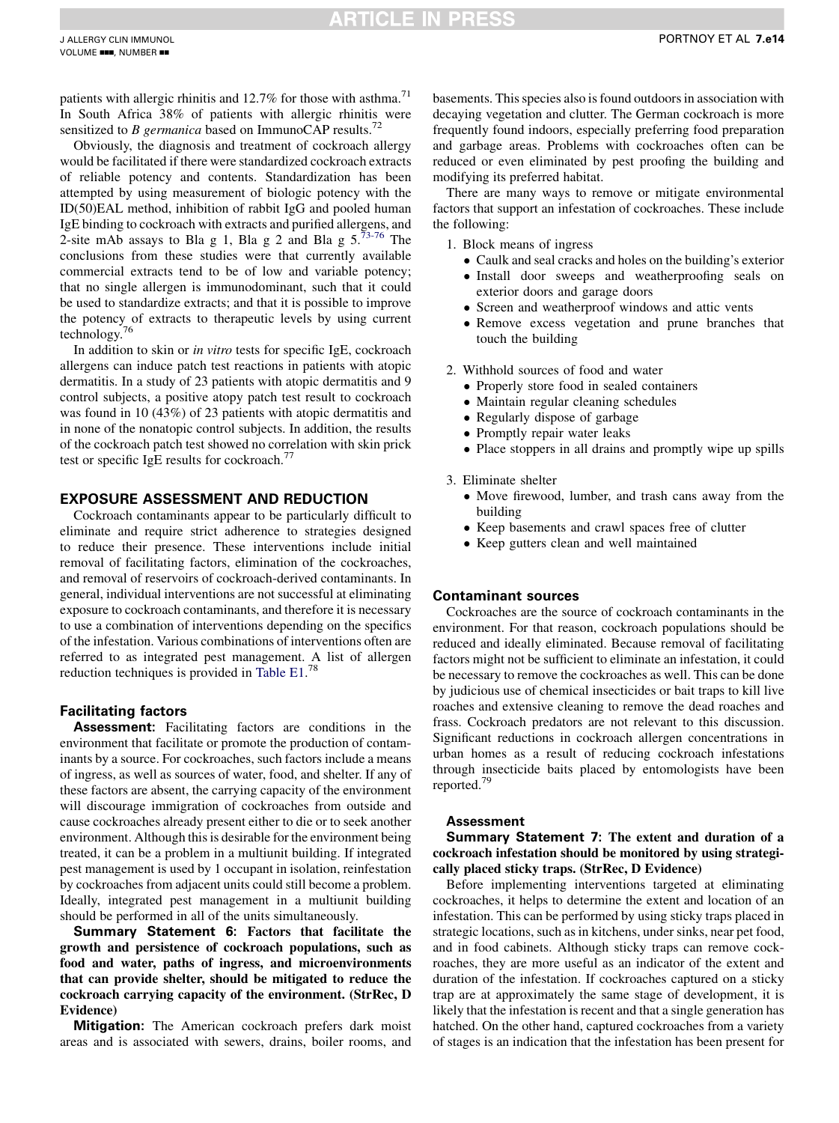patients with allergic rhinitis and  $12.7\%$  for those with asthma.<sup>71</sup> In South Africa 38% of patients with allergic rhinitis were sensitized to *B germanica* based on ImmunoCAP results.<sup>72</sup>

Obviously, the diagnosis and treatment of cockroach allergy would be facilitated if there were standardized cockroach extracts of reliable potency and contents. Standardization has been attempted by using measurement of biologic potency with the ID(50)EAL method, inhibition of rabbit IgG and pooled human IgE binding to cockroach with extracts and purified allergens, and 2-site mAb assays to Bla g 1, Bla g 2 and Bla g  $5^{73-76}$  $5^{73-76}$  $5^{73-76}$  The conclusions from these studies were that currently available commercial extracts tend to be of low and variable potency; that no single allergen is immunodominant, such that it could be used to standardize extracts; and that it is possible to improve the potency of extracts to therapeutic levels by using current technology.76

In addition to skin or in vitro tests for specific IgE, cockroach allergens can induce patch test reactions in patients with atopic dermatitis. In a study of 23 patients with atopic dermatitis and 9 control subjects, a positive atopy patch test result to cockroach was found in 10 (43%) of 23 patients with atopic dermatitis and in none of the nonatopic control subjects. In addition, the results of the cockroach patch test showed no correlation with skin prick test or specific IgE results for cockroach.<sup>77</sup>

## EXPOSURE ASSESSMENT AND REDUCTION

Cockroach contaminants appear to be particularly difficult to eliminate and require strict adherence to strategies designed to reduce their presence. These interventions include initial removal of facilitating factors, elimination of the cockroaches, and removal of reservoirs of cockroach-derived contaminants. In general, individual interventions are not successful at eliminating exposure to cockroach contaminants, and therefore it is necessary to use a combination of interventions depending on the specifics of the infestation. Various combinations of interventions often are referred to as integrated pest management. A list of allergen reduction techniques is provided in Table  $E1<sup>78</sup>$ 

#### Facilitating factors

Assessment: Facilitating factors are conditions in the environment that facilitate or promote the production of contaminants by a source. For cockroaches, such factors include a means of ingress, as well as sources of water, food, and shelter. If any of these factors are absent, the carrying capacity of the environment will discourage immigration of cockroaches from outside and cause cockroaches already present either to die or to seek another environment. Although this is desirable for the environment being treated, it can be a problem in a multiunit building. If integrated pest management is used by 1 occupant in isolation, reinfestation by cockroaches from adjacent units could still become a problem. Ideally, integrated pest management in a multiunit building should be performed in all of the units simultaneously.

Summary Statement 6: Factors that facilitate the growth and persistence of cockroach populations, such as food and water, paths of ingress, and microenvironments that can provide shelter, should be mitigated to reduce the cockroach carrying capacity of the environment. (StrRec, D Evidence)

Mitigation: The American cockroach prefers dark moist areas and is associated with sewers, drains, boiler rooms, and

basements. This species also is found outdoors in association with decaying vegetation and clutter. The German cockroach is more frequently found indoors, especially preferring food preparation and garbage areas. Problems with cockroaches often can be reduced or even eliminated by pest proofing the building and modifying its preferred habitat.

There are many ways to remove or mitigate environmental factors that support an infestation of cockroaches. These include the following:

1. Block means of ingress

- Caulk and seal cracks and holes on the building's exterior
- Install door sweeps and weatherproofing seals on exterior doors and garage doors
- Screen and weatherproof windows and attic vents
- Remove excess vegetation and prune branches that touch the building
- 2. Withhold sources of food and water
	- Properly store food in sealed containers
	- Maintain regular cleaning schedules
	- Regularly dispose of garbage
	- Promptly repair water leaks
	- Place stoppers in all drains and promptly wipe up spills
- 3. Eliminate shelter
	- Move firewood, lumber, and trash cans away from the building
	- Keep basements and crawl spaces free of clutter
	- Keep gutters clean and well maintained

## Contaminant sources

Cockroaches are the source of cockroach contaminants in the environment. For that reason, cockroach populations should be reduced and ideally eliminated. Because removal of facilitating factors might not be sufficient to eliminate an infestation, it could be necessary to remove the cockroaches as well. This can be done by judicious use of chemical insecticides or bait traps to kill live roaches and extensive cleaning to remove the dead roaches and frass. Cockroach predators are not relevant to this discussion. Significant reductions in cockroach allergen concentrations in urban homes as a result of reducing cockroach infestations through insecticide baits placed by entomologists have been reported.79

#### **Assessment**

Summary Statement 7: The extent and duration of a cockroach infestation should be monitored by using strategically placed sticky traps. (StrRec, D Evidence)

Before implementing interventions targeted at eliminating cockroaches, it helps to determine the extent and location of an infestation. This can be performed by using sticky traps placed in strategic locations, such as in kitchens, under sinks, near pet food, and in food cabinets. Although sticky traps can remove cockroaches, they are more useful as an indicator of the extent and duration of the infestation. If cockroaches captured on a sticky trap are at approximately the same stage of development, it is likely that the infestation is recent and that a single generation has hatched. On the other hand, captured cockroaches from a variety of stages is an indication that the infestation has been present for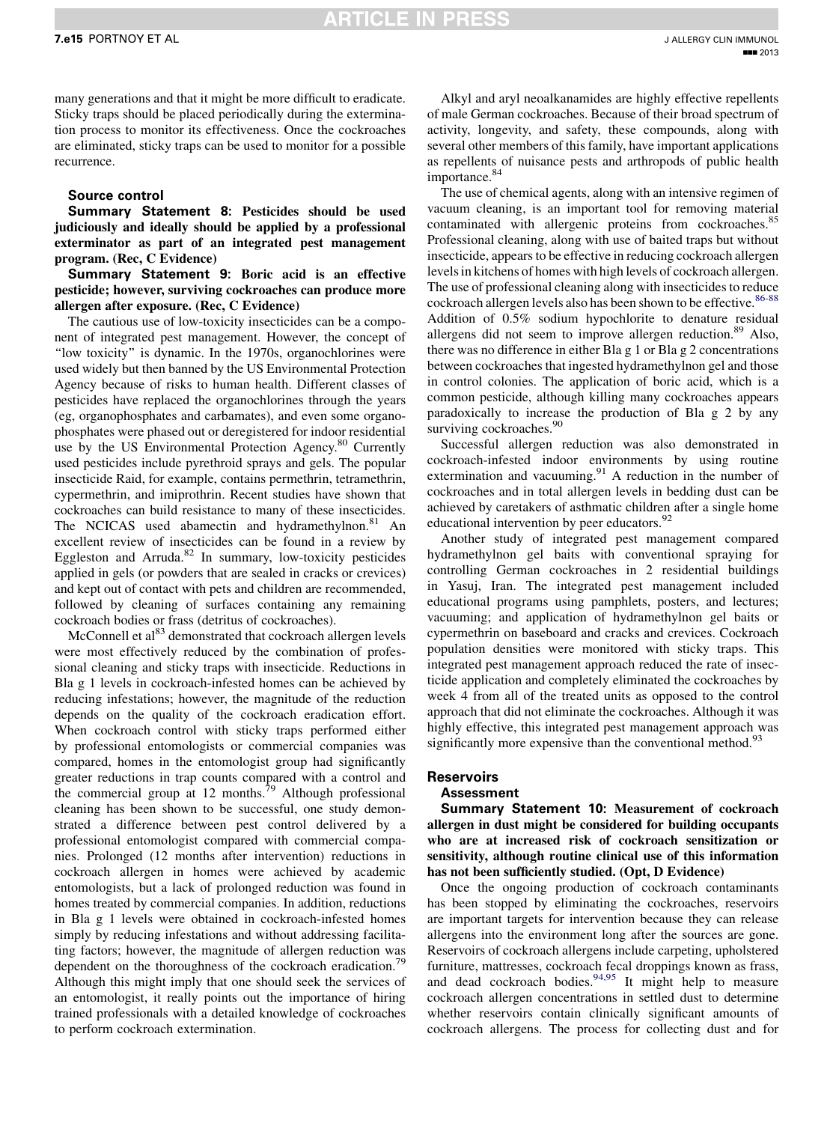many generations and that it might be more difficult to eradicate. Sticky traps should be placed periodically during the extermination process to monitor its effectiveness. Once the cockroaches are eliminated, sticky traps can be used to monitor for a possible recurrence.

#### Source control

Summary Statement 8: Pesticides should be used judiciously and ideally should be applied by a professional exterminator as part of an integrated pest management program. (Rec, C Evidence)

Summary Statement 9: Boric acid is an effective pesticide; however, surviving cockroaches can produce more allergen after exposure. (Rec, C Evidence)

The cautious use of low-toxicity insecticides can be a component of integrated pest management. However, the concept of "low toxicity" is dynamic. In the 1970s, organochlorines were used widely but then banned by the US Environmental Protection Agency because of risks to human health. Different classes of pesticides have replaced the organochlorines through the years (eg, organophosphates and carbamates), and even some organophosphates were phased out or deregistered for indoor residential use by the US Environmental Protection Agency.<sup>80</sup> Currently used pesticides include pyrethroid sprays and gels. The popular insecticide Raid, for example, contains permethrin, tetramethrin, cypermethrin, and imiprothrin. Recent studies have shown that cockroaches can build resistance to many of these insecticides. The NCICAS used abamectin and hydramethylnon.<sup>81</sup> An excellent review of insecticides can be found in a review by Eggleston and Arruda. $82$  In summary, low-toxicity pesticides applied in gels (or powders that are sealed in cracks or crevices) and kept out of contact with pets and children are recommended, followed by cleaning of surfaces containing any remaining cockroach bodies or frass (detritus of cockroaches).

McConnell et al<sup>83</sup> demonstrated that cockroach allergen levels were most effectively reduced by the combination of professional cleaning and sticky traps with insecticide. Reductions in Bla g 1 levels in cockroach-infested homes can be achieved by reducing infestations; however, the magnitude of the reduction depends on the quality of the cockroach eradication effort. When cockroach control with sticky traps performed either by professional entomologists or commercial companies was compared, homes in the entomologist group had significantly greater reductions in trap counts compared with a control and the commercial group at 12 months.<sup>79</sup> Although professional cleaning has been shown to be successful, one study demonstrated a difference between pest control delivered by a professional entomologist compared with commercial companies. Prolonged (12 months after intervention) reductions in cockroach allergen in homes were achieved by academic entomologists, but a lack of prolonged reduction was found in homes treated by commercial companies. In addition, reductions in Bla g 1 levels were obtained in cockroach-infested homes simply by reducing infestations and without addressing facilitating factors; however, the magnitude of allergen reduction was dependent on the thoroughness of the cockroach eradication.<sup>79</sup> Although this might imply that one should seek the services of an entomologist, it really points out the importance of hiring trained professionals with a detailed knowledge of cockroaches to perform cockroach extermination.

Alkyl and aryl neoalkanamides are highly effective repellents of male German cockroaches. Because of their broad spectrum of activity, longevity, and safety, these compounds, along with several other members of this family, have important applications as repellents of nuisance pests and arthropods of public health importance.<sup>84</sup>

The use of chemical agents, along with an intensive regimen of vacuum cleaning, is an important tool for removing material contaminated with allergenic proteins from cockroaches.<sup>85</sup> Professional cleaning, along with use of baited traps but without insecticide, appears to be effective in reducing cockroach allergen levels in kitchens of homes with high levels of cockroach allergen. The use of professional cleaning along with insecticides to reduce cockroach allergen levels also has been shown to be effective.<sup>[86-88](#page-25-0)</sup> Addition of 0.5% sodium hypochlorite to denature residual allergens did not seem to improve allergen reduction.<sup>89</sup> Also, there was no difference in either Bla g 1 or Bla g 2 concentrations between cockroaches that ingested hydramethylnon gel and those in control colonies. The application of boric acid, which is a common pesticide, although killing many cockroaches appears paradoxically to increase the production of Bla g 2 by any surviving cockroaches.<sup>90</sup>

Successful allergen reduction was also demonstrated in cockroach-infested indoor environments by using routine extermination and vacuuming.<sup>91</sup> A reduction in the number of cockroaches and in total allergen levels in bedding dust can be achieved by caretakers of asthmatic children after a single home educational intervention by peer educators.  $92$ 

Another study of integrated pest management compared hydramethylnon gel baits with conventional spraying for controlling German cockroaches in 2 residential buildings in Yasuj, Iran. The integrated pest management included educational programs using pamphlets, posters, and lectures; vacuuming; and application of hydramethylnon gel baits or cypermethrin on baseboard and cracks and crevices. Cockroach population densities were monitored with sticky traps. This integrated pest management approach reduced the rate of insecticide application and completely eliminated the cockroaches by week 4 from all of the treated units as opposed to the control approach that did not eliminate the cockroaches. Although it was highly effective, this integrated pest management approach was significantly more expensive than the conventional method.<sup>93</sup>

#### Reservoirs

#### Assessment

Summary Statement 10: Measurement of cockroach allergen in dust might be considered for building occupants who are at increased risk of cockroach sensitization or sensitivity, although routine clinical use of this information has not been sufficiently studied. (Opt, D Evidence)

Once the ongoing production of cockroach contaminants has been stopped by eliminating the cockroaches, reservoirs are important targets for intervention because they can release allergens into the environment long after the sources are gone. Reservoirs of cockroach allergens include carpeting, upholstered furniture, mattresses, cockroach fecal droppings known as frass, and dead cockroach bodies.<sup>[94,95](#page-25-0)</sup> It might help to measure cockroach allergen concentrations in settled dust to determine whether reservoirs contain clinically significant amounts of cockroach allergens. The process for collecting dust and for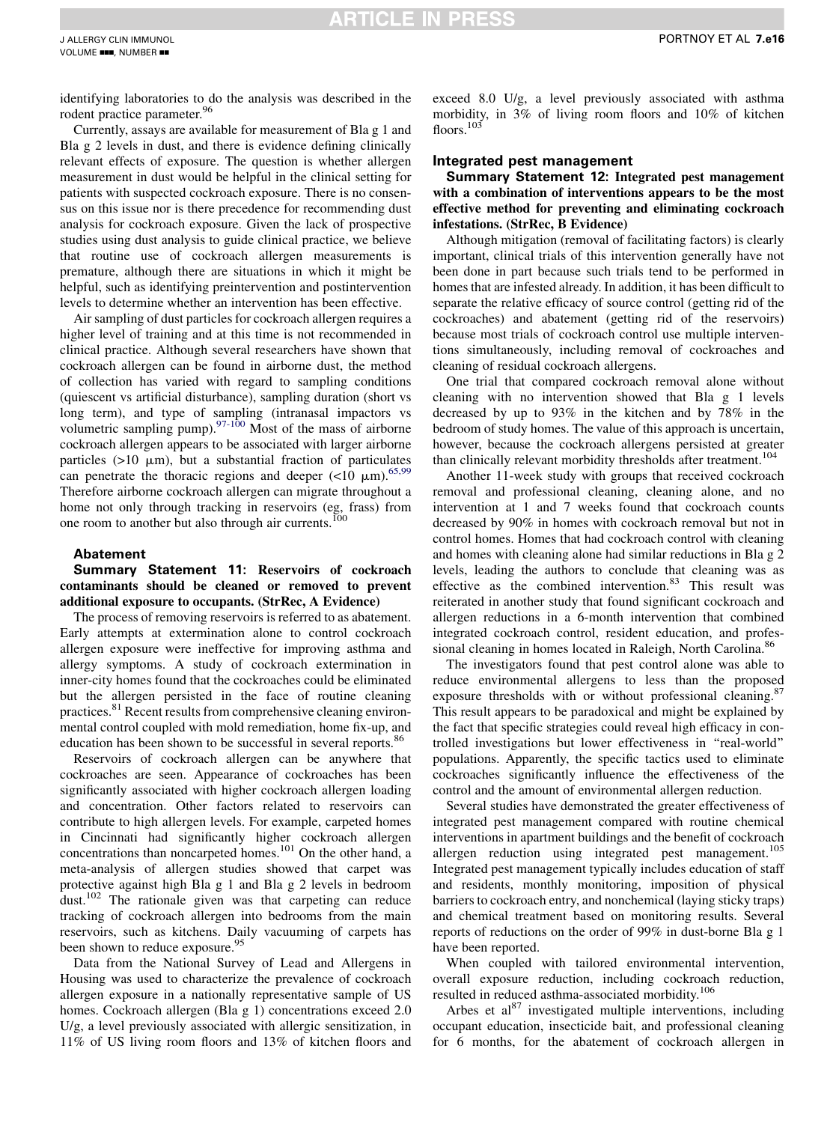identifying laboratories to do the analysis was described in the rodent practice parameter.<sup>96</sup>

Currently, assays are available for measurement of Bla g 1 and Bla g 2 levels in dust, and there is evidence defining clinically relevant effects of exposure. The question is whether allergen measurement in dust would be helpful in the clinical setting for patients with suspected cockroach exposure. There is no consensus on this issue nor is there precedence for recommending dust analysis for cockroach exposure. Given the lack of prospective studies using dust analysis to guide clinical practice, we believe that routine use of cockroach allergen measurements is premature, although there are situations in which it might be helpful, such as identifying preintervention and postintervention levels to determine whether an intervention has been effective.

Air sampling of dust particles for cockroach allergen requires a higher level of training and at this time is not recommended in clinical practice. Although several researchers have shown that cockroach allergen can be found in airborne dust, the method of collection has varied with regard to sampling conditions (quiescent vs artificial disturbance), sampling duration (short vs long term), and type of sampling (intranasal impactors vs volumetric sampling pump). $97-100$  Most of the mass of airborne cockroach allergen appears to be associated with larger airborne particles  $(>10 \mu m)$ , but a substantial fraction of particulates can penetrate the thoracic regions and deeper  $\left($ <10  $\mu$ m).<sup>[65,99](#page-25-0)</sup> Therefore airborne cockroach allergen can migrate throughout a home not only through tracking in reservoirs (eg, frass) from one room to another but also through air currents.

#### Abatement

## Summary Statement 11: Reservoirs of cockroach contaminants should be cleaned or removed to prevent additional exposure to occupants. (StrRec, A Evidence)

The process of removing reservoirs is referred to as abatement. Early attempts at extermination alone to control cockroach allergen exposure were ineffective for improving asthma and allergy symptoms. A study of cockroach extermination in inner-city homes found that the cockroaches could be eliminated but the allergen persisted in the face of routine cleaning practices.<sup>81</sup> Recent results from comprehensive cleaning environmental control coupled with mold remediation, home fix-up, and education has been shown to be successful in several reports.<sup>86</sup>

Reservoirs of cockroach allergen can be anywhere that cockroaches are seen. Appearance of cockroaches has been significantly associated with higher cockroach allergen loading and concentration. Other factors related to reservoirs can contribute to high allergen levels. For example, carpeted homes in Cincinnati had significantly higher cockroach allergen concentrations than noncarpeted homes.<sup>101</sup> On the other hand, a meta-analysis of allergen studies showed that carpet was protective against high Bla g 1 and Bla g 2 levels in bedroom dust.<sup>102</sup> The rationale given was that carpeting can reduce tracking of cockroach allergen into bedrooms from the main reservoirs, such as kitchens. Daily vacuuming of carpets has been shown to reduce exposure.<sup>95</sup>

Data from the National Survey of Lead and Allergens in Housing was used to characterize the prevalence of cockroach allergen exposure in a nationally representative sample of US homes. Cockroach allergen (Bla g 1) concentrations exceed 2.0 U/g, a level previously associated with allergic sensitization, in 11% of US living room floors and 13% of kitchen floors and exceed 8.0 U/g, a level previously associated with asthma morbidity, in 3% of living room floors and 10% of kitchen floors. $103$ 

## Integrated pest management

Summary Statement 12: Integrated pest management with a combination of interventions appears to be the most effective method for preventing and eliminating cockroach infestations. (StrRec, B Evidence)

Although mitigation (removal of facilitating factors) is clearly important, clinical trials of this intervention generally have not been done in part because such trials tend to be performed in homes that are infested already. In addition, it has been difficult to separate the relative efficacy of source control (getting rid of the cockroaches) and abatement (getting rid of the reservoirs) because most trials of cockroach control use multiple interventions simultaneously, including removal of cockroaches and cleaning of residual cockroach allergens.

One trial that compared cockroach removal alone without cleaning with no intervention showed that Bla g 1 levels decreased by up to 93% in the kitchen and by 78% in the bedroom of study homes. The value of this approach is uncertain, however, because the cockroach allergens persisted at greater than clinically relevant morbidity thresholds after treatment.<sup>104</sup>

Another 11-week study with groups that received cockroach removal and professional cleaning, cleaning alone, and no intervention at 1 and 7 weeks found that cockroach counts decreased by 90% in homes with cockroach removal but not in control homes. Homes that had cockroach control with cleaning and homes with cleaning alone had similar reductions in Bla g 2 levels, leading the authors to conclude that cleaning was as effective as the combined intervention.<sup>83</sup> This result was reiterated in another study that found significant cockroach and allergen reductions in a 6-month intervention that combined integrated cockroach control, resident education, and professional cleaning in homes located in Raleigh, North Carolina.<sup>86</sup>

The investigators found that pest control alone was able to reduce environmental allergens to less than the proposed exposure thresholds with or without professional cleaning.<sup>87</sup> This result appears to be paradoxical and might be explained by the fact that specific strategies could reveal high efficacy in controlled investigations but lower effectiveness in ''real-world'' populations. Apparently, the specific tactics used to eliminate cockroaches significantly influence the effectiveness of the control and the amount of environmental allergen reduction.

Several studies have demonstrated the greater effectiveness of integrated pest management compared with routine chemical interventions in apartment buildings and the benefit of cockroach allergen reduction using integrated pest management.<sup>105</sup> Integrated pest management typically includes education of staff and residents, monthly monitoring, imposition of physical barriers to cockroach entry, and nonchemical (laying sticky traps) and chemical treatment based on monitoring results. Several reports of reductions on the order of 99% in dust-borne Bla g 1 have been reported.

When coupled with tailored environmental intervention, overall exposure reduction, including cockroach reduction, resulted in reduced asthma-associated morbidity.<sup>106</sup>

Arbes et  $al^{87}$  investigated multiple interventions, including occupant education, insecticide bait, and professional cleaning for 6 months, for the abatement of cockroach allergen in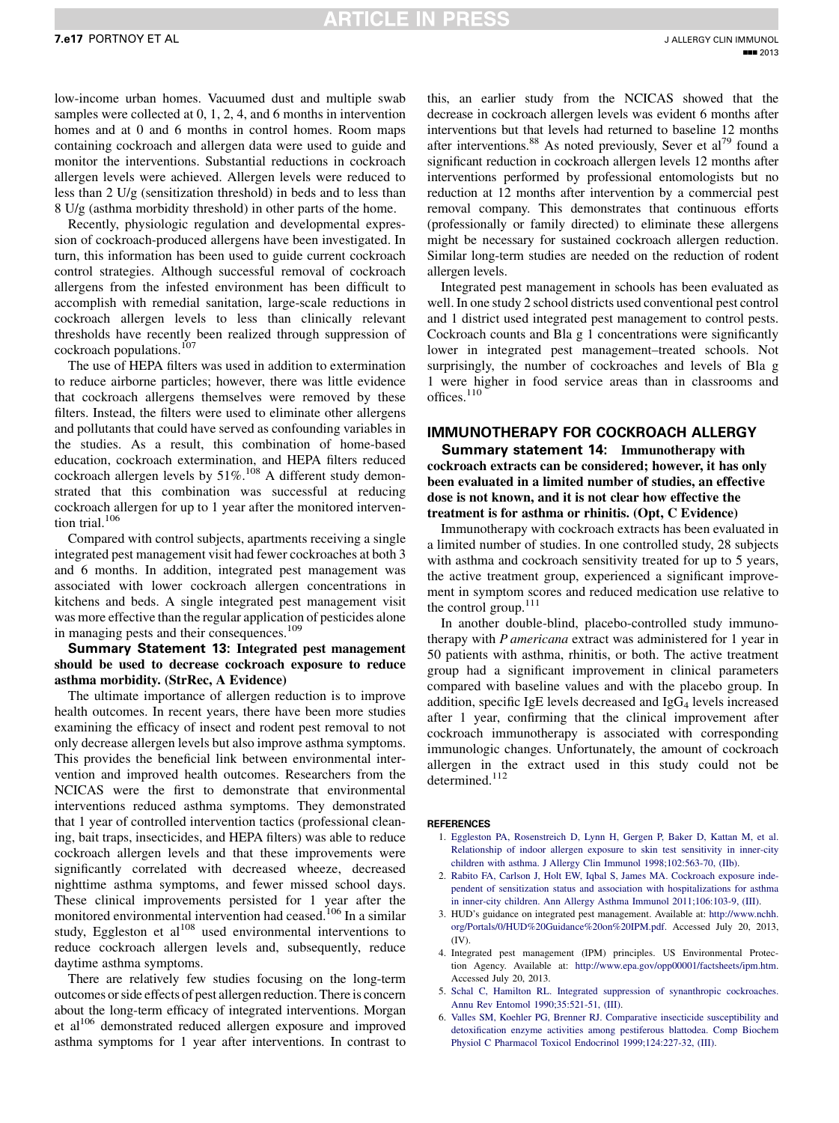<span id="page-23-0"></span>low-income urban homes. Vacuumed dust and multiple swab samples were collected at 0, 1, 2, 4, and 6 months in intervention homes and at 0 and 6 months in control homes. Room maps containing cockroach and allergen data were used to guide and monitor the interventions. Substantial reductions in cockroach allergen levels were achieved. Allergen levels were reduced to less than 2 U/g (sensitization threshold) in beds and to less than 8 U/g (asthma morbidity threshold) in other parts of the home.

Recently, physiologic regulation and developmental expression of cockroach-produced allergens have been investigated. In turn, this information has been used to guide current cockroach control strategies. Although successful removal of cockroach allergens from the infested environment has been difficult to accomplish with remedial sanitation, large-scale reductions in cockroach allergen levels to less than clinically relevant thresholds have recently been realized through suppression of cockroach populations.<sup>107</sup>

The use of HEPA filters was used in addition to extermination to reduce airborne particles; however, there was little evidence that cockroach allergens themselves were removed by these filters. Instead, the filters were used to eliminate other allergens and pollutants that could have served as confounding variables in the studies. As a result, this combination of home-based education, cockroach extermination, and HEPA filters reduced cockroach allergen levels by 51%.<sup>108</sup> A different study demonstrated that this combination was successful at reducing cockroach allergen for up to 1 year after the monitored intervention trial.<sup>106</sup>

Compared with control subjects, apartments receiving a single integrated pest management visit had fewer cockroaches at both 3 and 6 months. In addition, integrated pest management was associated with lower cockroach allergen concentrations in kitchens and beds. A single integrated pest management visit was more effective than the regular application of pesticides alone in managing pests and their consequences.<sup>109</sup>

## Summary Statement 13: Integrated pest management should be used to decrease cockroach exposure to reduce asthma morbidity. (StrRec, A Evidence)

The ultimate importance of allergen reduction is to improve health outcomes. In recent years, there have been more studies examining the efficacy of insect and rodent pest removal to not only decrease allergen levels but also improve asthma symptoms. This provides the beneficial link between environmental intervention and improved health outcomes. Researchers from the NCICAS were the first to demonstrate that environmental interventions reduced asthma symptoms. They demonstrated that 1 year of controlled intervention tactics (professional cleaning, bait traps, insecticides, and HEPA filters) was able to reduce cockroach allergen levels and that these improvements were significantly correlated with decreased wheeze, decreased nighttime asthma symptoms, and fewer missed school days. These clinical improvements persisted for 1 year after the monitored environmental intervention had ceased.<sup>106</sup> In a similar study, Eggleston et  $al^{108}$  used environmental interventions to reduce cockroach allergen levels and, subsequently, reduce daytime asthma symptoms.

There are relatively few studies focusing on the long-term outcomes or side effects of pest allergen reduction. There is concern about the long-term efficacy of integrated interventions. Morgan et al<sup>106</sup> demonstrated reduced allergen exposure and improved asthma symptoms for 1 year after interventions. In contrast to this, an earlier study from the NCICAS showed that the decrease in cockroach allergen levels was evident 6 months after interventions but that levels had returned to baseline 12 months after interventions.<sup>88</sup> As noted previously, Sever et al<sup>79</sup> found a significant reduction in cockroach allergen levels 12 months after interventions performed by professional entomologists but no reduction at 12 months after intervention by a commercial pest removal company. This demonstrates that continuous efforts (professionally or family directed) to eliminate these allergens might be necessary for sustained cockroach allergen reduction. Similar long-term studies are needed on the reduction of rodent allergen levels.

Integrated pest management in schools has been evaluated as well. In one study 2 school districts used conventional pest control and 1 district used integrated pest management to control pests. Cockroach counts and Bla g 1 concentrations were significantly lower in integrated pest management–treated schools. Not surprisingly, the number of cockroaches and levels of Bla g 1 were higher in food service areas than in classrooms and offices.<sup>110</sup>

## IMMUNOTHERAPY FOR COCKROACH ALLERGY

Summary statement 14: Immunotherapy with cockroach extracts can be considered; however, it has only been evaluated in a limited number of studies, an effective dose is not known, and it is not clear how effective the treatment is for asthma or rhinitis. (Opt, C Evidence)

Immunotherapy with cockroach extracts has been evaluated in a limited number of studies. In one controlled study, 28 subjects with asthma and cockroach sensitivity treated for up to 5 years, the active treatment group, experienced a significant improvement in symptom scores and reduced medication use relative to the control group.<sup>111</sup>

In another double-blind, placebo-controlled study immunotherapy with P americana extract was administered for 1 year in 50 patients with asthma, rhinitis, or both. The active treatment group had a significant improvement in clinical parameters compared with baseline values and with the placebo group. In addition, specific IgE levels decreased and  $IgG<sub>4</sub>$  levels increased after 1 year, confirming that the clinical improvement after cockroach immunotherapy is associated with corresponding immunologic changes. Unfortunately, the amount of cockroach allergen in the extract used in this study could not be determined.<sup>112</sup>

#### REFERENCES

- 1. [Eggleston PA, Rosenstreich D, Lynn H, Gergen P, Baker D, Kattan M, et al.](http://refhub.elsevier.com/S0091-6749(13)00974-3/sref1) [Relationship of indoor allergen exposure to skin test sensitivity in inner-city](http://refhub.elsevier.com/S0091-6749(13)00974-3/sref1) [children with asthma. J Allergy Clin Immunol 1998;102:563-70, \(IIb\)](http://refhub.elsevier.com/S0091-6749(13)00974-3/sref1).
- 2. [Rabito FA, Carlson J, Holt EW, Iqbal S, James MA. Cockroach exposure inde](http://refhub.elsevier.com/S0091-6749(13)00974-3/sref2)[pendent of sensitization status and association with hospitalizations for asthma](http://refhub.elsevier.com/S0091-6749(13)00974-3/sref2) [in inner-city children. Ann Allergy Asthma Immunol 2011;106:103-9, \(III\)](http://refhub.elsevier.com/S0091-6749(13)00974-3/sref2).
- 3. HUD's guidance on integrated pest management. Available at: [http://www.nchh.](http://www.nchh.org/Portals/0/HUD%20Guidance%20on%20IPM.pdf) [org/Portals/0/HUD%20Guidance%20on%20IPM.pdf.](http://www.nchh.org/Portals/0/HUD%20Guidance%20on%20IPM.pdf) Accessed July 20, 2013, (IV).
- 4. Integrated pest management (IPM) principles. US Environmental Protection Agency. Available at: <http://www.epa.gov/opp00001/factsheets/ipm.htm>. Accessed July 20, 2013.
- 5. [Schal C, Hamilton RL. Integrated suppression of synanthropic cockroaches.](http://refhub.elsevier.com/S0091-6749(13)00974-3/sref4) [Annu Rev Entomol 1990;35:521-51, \(III\).](http://refhub.elsevier.com/S0091-6749(13)00974-3/sref4)
- 6. [Valles SM, Koehler PG, Brenner RJ. Comparative insecticide susceptibility and](http://refhub.elsevier.com/S0091-6749(13)00974-3/sref5) [detoxification enzyme activities among pestiferous blattodea. Comp Biochem](http://refhub.elsevier.com/S0091-6749(13)00974-3/sref5) [Physiol C Pharmacol Toxicol Endocrinol 1999;124:227-32, \(III\)](http://refhub.elsevier.com/S0091-6749(13)00974-3/sref5).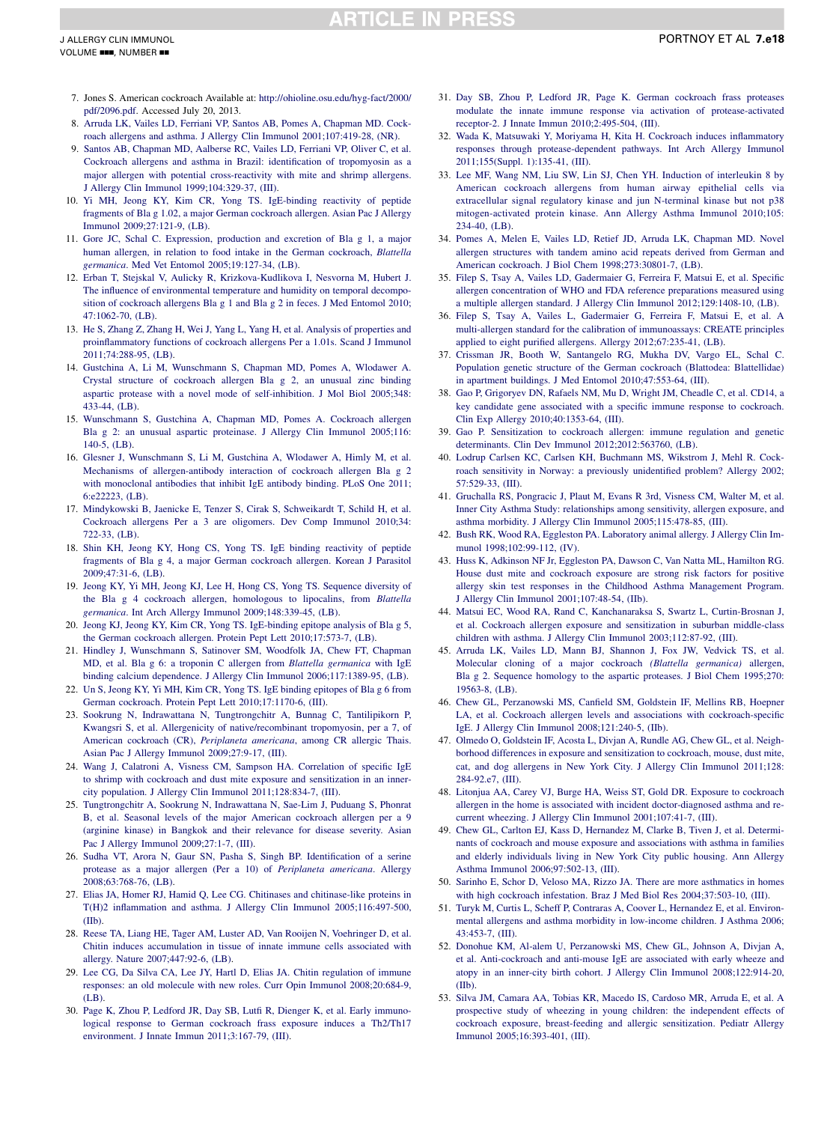- <span id="page-24-0"></span>7. Jones S. American cockroach Available at: [http://ohioline.osu.edu/hyg-fact/2000/](http://ohioline.osu.edu/hyg-fact/2000/pdf/2096.pdf) [pdf/2096.pdf.](http://ohioline.osu.edu/hyg-fact/2000/pdf/2096.pdf) Accessed July 20, 2013.
- 8. [Arruda LK, Vailes LD, Ferriani VP, Santos AB, Pomes A, Chapman MD. Cock](http://refhub.elsevier.com/S0091-6749(13)00974-3/sref6)[roach allergens and asthma. J Allergy Clin Immunol 2001;107:419-28, \(NR\)](http://refhub.elsevier.com/S0091-6749(13)00974-3/sref6).
- 9. [Santos AB, Chapman MD, Aalberse RC, Vailes LD, Ferriani VP, Oliver C, et al.](http://refhub.elsevier.com/S0091-6749(13)00974-3/sref7) [Cockroach allergens and asthma in Brazil: identification of tropomyosin as a](http://refhub.elsevier.com/S0091-6749(13)00974-3/sref7) [major allergen with potential cross-reactivity with mite and shrimp allergens.](http://refhub.elsevier.com/S0091-6749(13)00974-3/sref7) [J Allergy Clin Immunol 1999;104:329-37, \(III\).](http://refhub.elsevier.com/S0091-6749(13)00974-3/sref7)
- 10. [Yi MH, Jeong KY, Kim CR, Yong TS. IgE-binding reactivity of peptide](http://refhub.elsevier.com/S0091-6749(13)00974-3/sref8) [fragments of Bla g 1.02, a major German cockroach allergen. Asian Pac J Allergy](http://refhub.elsevier.com/S0091-6749(13)00974-3/sref8) [Immunol 2009;27:121-9, \(LB\).](http://refhub.elsevier.com/S0091-6749(13)00974-3/sref8)
- 11. [Gore JC, Schal C. Expression, production and excretion of Bla g 1, a major](http://refhub.elsevier.com/S0091-6749(13)00974-3/sref9) [human allergen, in relation to food intake in the German cockroach,](http://refhub.elsevier.com/S0091-6749(13)00974-3/sref9) *Blattella* germanica[. Med Vet Entomol 2005;19:127-34, \(LB\).](http://refhub.elsevier.com/S0091-6749(13)00974-3/sref9)
- 12. [Erban T, Stejskal V, Aulicky R, Krizkova-Kudlikova I, Nesvorna M, Hubert J.](http://refhub.elsevier.com/S0091-6749(13)00974-3/sref10) [The influence of environmental temperature and humidity on temporal decompo](http://refhub.elsevier.com/S0091-6749(13)00974-3/sref10)[sition of cockroach allergens Bla g 1 and Bla g 2 in feces. J Med Entomol 2010;](http://refhub.elsevier.com/S0091-6749(13)00974-3/sref10) [47:1062-70, \(LB\).](http://refhub.elsevier.com/S0091-6749(13)00974-3/sref10)
- 13. [He S, Zhang Z, Zhang H, Wei J, Yang L, Yang H, et al. Analysis of properties and](http://refhub.elsevier.com/S0091-6749(13)00974-3/sref11) [proinflammatory functions of cockroach allergens Per a 1.01s. Scand J Immunol](http://refhub.elsevier.com/S0091-6749(13)00974-3/sref11) [2011;74:288-95, \(LB\)](http://refhub.elsevier.com/S0091-6749(13)00974-3/sref11).
- 14. [Gustchina A, Li M, Wunschmann S, Chapman MD, Pomes A, Wlodawer A.](http://refhub.elsevier.com/S0091-6749(13)00974-3/sref12) [Crystal structure of cockroach allergen Bla g 2, an unusual zinc binding](http://refhub.elsevier.com/S0091-6749(13)00974-3/sref12) [aspartic protease with a novel mode of self-inhibition. J Mol Biol 2005;348:](http://refhub.elsevier.com/S0091-6749(13)00974-3/sref12) [433-44, \(LB\)](http://refhub.elsevier.com/S0091-6749(13)00974-3/sref12).
- 15. [Wunschmann S, Gustchina A, Chapman MD, Pomes A. Cockroach allergen](http://refhub.elsevier.com/S0091-6749(13)00974-3/sref13) [Bla g 2: an unusual aspartic proteinase. J Allergy Clin Immunol 2005;116:](http://refhub.elsevier.com/S0091-6749(13)00974-3/sref13) [140-5, \(LB\).](http://refhub.elsevier.com/S0091-6749(13)00974-3/sref13)
- 16. [Glesner J, Wunschmann S, Li M, Gustchina A, Wlodawer A, Himly M, et al.](http://refhub.elsevier.com/S0091-6749(13)00974-3/sref14) [Mechanisms of allergen-antibody interaction of cockroach allergen Bla g 2](http://refhub.elsevier.com/S0091-6749(13)00974-3/sref14) [with monoclonal antibodies that inhibit IgE antibody binding. PLoS One 2011;](http://refhub.elsevier.com/S0091-6749(13)00974-3/sref14) [6:e22223, \(LB\).](http://refhub.elsevier.com/S0091-6749(13)00974-3/sref14)
- 17. [Mindykowski B, Jaenicke E, Tenzer S, Cirak S, Schweikardt T, Schild H, et al.](http://refhub.elsevier.com/S0091-6749(13)00974-3/sref15) [Cockroach allergens Per a 3 are oligomers. Dev Comp Immunol 2010;34:](http://refhub.elsevier.com/S0091-6749(13)00974-3/sref15) [722-33, \(LB\)](http://refhub.elsevier.com/S0091-6749(13)00974-3/sref15).
- 18. [Shin KH, Jeong KY, Hong CS, Yong TS. IgE binding reactivity of peptide](http://refhub.elsevier.com/S0091-6749(13)00974-3/sref16) [fragments of Bla g 4, a major German cockroach allergen. Korean J Parasitol](http://refhub.elsevier.com/S0091-6749(13)00974-3/sref16) [2009;47:31-6, \(LB\)](http://refhub.elsevier.com/S0091-6749(13)00974-3/sref16).
- 19. [Jeong KY, Yi MH, Jeong KJ, Lee H, Hong CS, Yong TS. Sequence diversity of](http://refhub.elsevier.com/S0091-6749(13)00974-3/sref17) [the Bla g 4 cockroach allergen, homologous to lipocalins, from](http://refhub.elsevier.com/S0091-6749(13)00974-3/sref17) Blattella germanica[. Int Arch Allergy Immunol 2009;148:339-45, \(LB\).](http://refhub.elsevier.com/S0091-6749(13)00974-3/sref17)
- 20. [Jeong KJ, Jeong KY, Kim CR, Yong TS. IgE-binding epitope analysis of Bla g 5,](http://refhub.elsevier.com/S0091-6749(13)00974-3/sref18) [the German cockroach allergen. Protein Pept Lett 2010;17:573-7, \(LB\)](http://refhub.elsevier.com/S0091-6749(13)00974-3/sref18).
- 21. [Hindley J, Wunschmann S, Satinover SM, Woodfolk JA, Chew FT, Chapman](http://refhub.elsevier.com/S0091-6749(13)00974-3/sref19) [MD, et al. Bla g 6: a troponin C allergen from](http://refhub.elsevier.com/S0091-6749(13)00974-3/sref19) Blattella germanica with IgE [binding calcium dependence. J Allergy Clin Immunol 2006;117:1389-95, \(LB\)](http://refhub.elsevier.com/S0091-6749(13)00974-3/sref19).
- 22. [Un S, Jeong KY, Yi MH, Kim CR, Yong TS. IgE binding epitopes of Bla g 6 from](http://refhub.elsevier.com/S0091-6749(13)00974-3/sref20) [German cockroach. Protein Pept Lett 2010;17:1170-6, \(III\).](http://refhub.elsevier.com/S0091-6749(13)00974-3/sref20)
- 23. [Sookrung N, Indrawattana N, Tungtrongchitr A, Bunnag C, Tantilipikorn P,](http://refhub.elsevier.com/S0091-6749(13)00974-3/sref21) [Kwangsri S, et al. Allergenicity of native/recombinant tropomyosin, per a 7, of](http://refhub.elsevier.com/S0091-6749(13)00974-3/sref21) American cockroach (CR), Periplaneta americana[, among CR allergic Thais.](http://refhub.elsevier.com/S0091-6749(13)00974-3/sref21) [Asian Pac J Allergy Immunol 2009;27:9-17, \(III\).](http://refhub.elsevier.com/S0091-6749(13)00974-3/sref21)
- 24. [Wang J, Calatroni A, Visness CM, Sampson HA. Correlation of specific IgE](http://refhub.elsevier.com/S0091-6749(13)00974-3/sref22) [to shrimp with cockroach and dust mite exposure and sensitization in an inner](http://refhub.elsevier.com/S0091-6749(13)00974-3/sref22)[city population. J Allergy Clin Immunol 2011;128:834-7, \(III\).](http://refhub.elsevier.com/S0091-6749(13)00974-3/sref22)
- 25. [Tungtrongchitr A, Sookrung N, Indrawattana N, Sae-Lim J, Puduang S, Phonrat](http://refhub.elsevier.com/S0091-6749(13)00974-3/sref23) [B, et al. Seasonal levels of the major American cockroach allergen per a 9](http://refhub.elsevier.com/S0091-6749(13)00974-3/sref23) [\(arginine kinase\) in Bangkok and their relevance for disease severity. Asian](http://refhub.elsevier.com/S0091-6749(13)00974-3/sref23) [Pac J Allergy Immunol 2009;27:1-7, \(III\)](http://refhub.elsevier.com/S0091-6749(13)00974-3/sref23).
- 26. [Sudha VT, Arora N, Gaur SN, Pasha S, Singh BP. Identification of a serine](http://refhub.elsevier.com/S0091-6749(13)00974-3/sref24) [protease as a major allergen \(Per a 10\) of](http://refhub.elsevier.com/S0091-6749(13)00974-3/sref24) Periplaneta americana. Allergy [2008;63:768-76, \(LB\)](http://refhub.elsevier.com/S0091-6749(13)00974-3/sref24).
- 27. [Elias JA, Homer RJ, Hamid Q, Lee CG. Chitinases and chitinase-like proteins in](http://refhub.elsevier.com/S0091-6749(13)00974-3/sref25) [T\(H\)2 inflammation and asthma. J Allergy Clin Immunol 2005;116:497-500,](http://refhub.elsevier.com/S0091-6749(13)00974-3/sref25) [\(IIb\).](http://refhub.elsevier.com/S0091-6749(13)00974-3/sref25)
- 28. Reese TA, [Liang HE, Tager AM, Luster AD, Van Rooijen N, Voehringer D, et al.](http://refhub.elsevier.com/S0091-6749(13)00974-3/sref26) [Chitin induces accumulation in tissue of innate immune cells associated with](http://refhub.elsevier.com/S0091-6749(13)00974-3/sref26) [allergy. Nature 2007;447:92-6, \(LB\)](http://refhub.elsevier.com/S0091-6749(13)00974-3/sref26).
- 29. [Lee CG, Da Silva CA, Lee JY, Hartl D, Elias JA. Chitin regulation of immune](http://refhub.elsevier.com/S0091-6749(13)00974-3/sref27) [responses: an old molecule with new roles. Curr Opin Immunol 2008;20:684-9,](http://refhub.elsevier.com/S0091-6749(13)00974-3/sref27) [\(LB\).](http://refhub.elsevier.com/S0091-6749(13)00974-3/sref27)
- 30. [Page K, Zhou P, Ledford JR, Day SB, Lutfi R, Dienger K, et al. Early immuno](http://refhub.elsevier.com/S0091-6749(13)00974-3/sref28)[logical response to German cockroach frass exposure induces a Th2/Th17](http://refhub.elsevier.com/S0091-6749(13)00974-3/sref28) [environment. J Innate Immun 2011;3:167-79, \(III\)](http://refhub.elsevier.com/S0091-6749(13)00974-3/sref28).
- 31. [Day SB, Zhou P, Ledford JR, Page K. German cockroach frass proteases](http://refhub.elsevier.com/S0091-6749(13)00974-3/sref29) [modulate the innate immune response via activation of protease-activated](http://refhub.elsevier.com/S0091-6749(13)00974-3/sref29) [receptor-2. J Innate Immun 2010;2:495-504, \(III\).](http://refhub.elsevier.com/S0091-6749(13)00974-3/sref29)
- 32. [Wada K, Matsuwaki Y, Moriyama H, Kita H. Cockroach induces inflammatory](http://refhub.elsevier.com/S0091-6749(13)00974-3/sref30) [responses through protease-dependent pathways. Int Arch Allergy Immunol](http://refhub.elsevier.com/S0091-6749(13)00974-3/sref30) [2011;155\(Suppl. 1\):135-41, \(III\)](http://refhub.elsevier.com/S0091-6749(13)00974-3/sref30).
- 33. [Lee MF, Wang NM, Liu SW, Lin SJ, Chen YH. Induction of interleukin 8 by](http://refhub.elsevier.com/S0091-6749(13)00974-3/sref31) [American cockroach allergens from human airway epithelial cells via](http://refhub.elsevier.com/S0091-6749(13)00974-3/sref31) [extracellular signal regulatory kinase and jun N-terminal kinase but not p38](http://refhub.elsevier.com/S0091-6749(13)00974-3/sref31) [mitogen-activated protein kinase. Ann Allergy Asthma Immunol 2010;105:](http://refhub.elsevier.com/S0091-6749(13)00974-3/sref31) [234-40, \(LB\)](http://refhub.elsevier.com/S0091-6749(13)00974-3/sref31).
- 34. [Pomes A, Melen E, Vailes LD, Retief JD, Arruda LK, Chapman MD. Novel](http://refhub.elsevier.com/S0091-6749(13)00974-3/sref32) [allergen structures with tandem amino acid repeats derived from German and](http://refhub.elsevier.com/S0091-6749(13)00974-3/sref32) [American cockroach. J Biol Chem 1998;273:30801-7, \(LB\).](http://refhub.elsevier.com/S0091-6749(13)00974-3/sref32)
- 35. [Filep S, Tsay A, Vailes LD, Gadermaier G, Ferreira F, Matsui E, et al. Specific](http://refhub.elsevier.com/S0091-6749(13)00974-3/sref33) [allergen concentration of WHO and FDA reference preparations measured using](http://refhub.elsevier.com/S0091-6749(13)00974-3/sref33) [a multiple allergen standard. J Allergy Clin Immunol 2012;129:1408-10, \(LB\).](http://refhub.elsevier.com/S0091-6749(13)00974-3/sref33)
- 36. [Filep S, Tsay A, Vailes L, Gadermaier G, Ferreira F, Matsui E, et al. A](http://refhub.elsevier.com/S0091-6749(13)00974-3/sref34) [multi-allergen standard for the calibration of immunoassays: CREATE principles](http://refhub.elsevier.com/S0091-6749(13)00974-3/sref34) [applied to eight purified allergens. Allergy 2012;67:235-41, \(LB\)](http://refhub.elsevier.com/S0091-6749(13)00974-3/sref34).
- 37. [Crissman JR, Booth W, Santangelo RG, Mukha DV, Vargo EL, Schal C.](http://refhub.elsevier.com/S0091-6749(13)00974-3/sref35) [Population genetic structure of the German cockroach \(Blattodea: Blattellidae\)](http://refhub.elsevier.com/S0091-6749(13)00974-3/sref35) [in apartment buildings. J Med Entomol 2010;47:553-64, \(III\)](http://refhub.elsevier.com/S0091-6749(13)00974-3/sref35).
- 38. [Gao P, Grigoryev DN, Rafaels NM, Mu D, Wright JM, Cheadle C, et al. CD14, a](http://refhub.elsevier.com/S0091-6749(13)00974-3/sref36) [key candidate gene associated with a specific immune response to cockroach.](http://refhub.elsevier.com/S0091-6749(13)00974-3/sref36) [Clin Exp Allergy 2010;40:1353-64, \(III\)](http://refhub.elsevier.com/S0091-6749(13)00974-3/sref36).
- 39. [Gao P. Sensitization to cockroach allergen: immune regulation and genetic](http://refhub.elsevier.com/S0091-6749(13)00974-3/sref37) [determinants. Clin Dev Immunol 2012;2012:563760, \(LB\).](http://refhub.elsevier.com/S0091-6749(13)00974-3/sref37)
- 40. [Lodrup Carlsen KC, Carlsen KH, Buchmann MS, Wikstrom J, Mehl R. Cock](http://refhub.elsevier.com/S0091-6749(13)00974-3/sref38)[roach sensitivity in Norway: a previously unidentified problem? Allergy 2002;](http://refhub.elsevier.com/S0091-6749(13)00974-3/sref38) [57:529-33, \(III\)](http://refhub.elsevier.com/S0091-6749(13)00974-3/sref38).
- 41. [Gruchalla RS, Pongracic J, Plaut M, Evans R 3rd, Visness CM, Walter M, et al.](http://refhub.elsevier.com/S0091-6749(13)00974-3/sref39) [Inner City Asthma Study: relationships among sensitivity, allergen exposure, and](http://refhub.elsevier.com/S0091-6749(13)00974-3/sref39) [asthma morbidity. J Allergy Clin Immunol 2005;115:478-85, \(III\).](http://refhub.elsevier.com/S0091-6749(13)00974-3/sref39)
- 42. [Bush RK, Wood RA, Eggleston PA. Laboratory animal allergy. J Allergy Clin Im](http://refhub.elsevier.com/S0091-6749(13)00974-3/sref40)[munol 1998;102:99-112, \(IV\)](http://refhub.elsevier.com/S0091-6749(13)00974-3/sref40).
- 43. [Huss K, Adkinson NF Jr, Eggleston PA, Dawson C, Van Natta ML, Hamilton RG.](http://refhub.elsevier.com/S0091-6749(13)00974-3/sref41) [House dust mite and cockroach exposure are strong risk factors for positive](http://refhub.elsevier.com/S0091-6749(13)00974-3/sref41) [allergy skin test responses in the Childhood Asthma Management Program.](http://refhub.elsevier.com/S0091-6749(13)00974-3/sref41) [J Allergy Clin Immunol 2001;107:48-54, \(IIb\)](http://refhub.elsevier.com/S0091-6749(13)00974-3/sref41).
- 44. [Matsui EC, Wood RA, Rand C, Kanchanaraksa S, Swartz L, Curtin-Brosnan J,](http://refhub.elsevier.com/S0091-6749(13)00974-3/sref42) [et al. Cockroach allergen exposure and sensitization in suburban middle-class](http://refhub.elsevier.com/S0091-6749(13)00974-3/sref42) [children with asthma. J Allergy Clin Immunol 2003;112:87-92, \(III\).](http://refhub.elsevier.com/S0091-6749(13)00974-3/sref42)
- 45. [Arruda LK, Vailes LD, Mann BJ, Shannon J, Fox JW, Vedvick TS, et al.](http://refhub.elsevier.com/S0091-6749(13)00974-3/sref43) [Molecular cloning of a major cockroach](http://refhub.elsevier.com/S0091-6749(13)00974-3/sref43) (Blattella germanica) allergen, [Bla g 2. Sequence homology to the aspartic proteases. J Biol Chem 1995;270:](http://refhub.elsevier.com/S0091-6749(13)00974-3/sref43) [19563-8, \(LB\)](http://refhub.elsevier.com/S0091-6749(13)00974-3/sref43).
- 46. [Chew GL, Perzanowski MS, Canfield SM, Goldstein IF, Mellins RB, Hoepner](http://refhub.elsevier.com/S0091-6749(13)00974-3/sref44) [LA, et al. Cockroach allergen levels and associations with cockroach-specific](http://refhub.elsevier.com/S0091-6749(13)00974-3/sref44) [IgE. J Allergy Clin Immunol 2008;121:240-5, \(IIb\)](http://refhub.elsevier.com/S0091-6749(13)00974-3/sref44).
- 47. [Olmedo O, Goldstein IF, Acosta L, Divjan A, Rundle AG, Chew GL, et al. Neigh](http://refhub.elsevier.com/S0091-6749(13)00974-3/sref45)[borhood differences in exposure and sensitization to cockroach, mouse, dust mite,](http://refhub.elsevier.com/S0091-6749(13)00974-3/sref45) [cat, and dog allergens in New York City. J Allergy Clin Immunol 2011;128:](http://refhub.elsevier.com/S0091-6749(13)00974-3/sref45) [284-92.e7, \(III\).](http://refhub.elsevier.com/S0091-6749(13)00974-3/sref45)
- 48. [Litonjua AA, Carey VJ, Burge HA, Weiss ST, Gold DR. Exposure to cockroach](http://refhub.elsevier.com/S0091-6749(13)00974-3/sref46) [allergen in the home is associated with incident doctor-diagnosed asthma and re](http://refhub.elsevier.com/S0091-6749(13)00974-3/sref46)[current wheezing. J Allergy Clin Immunol 2001;107:41-7, \(III\).](http://refhub.elsevier.com/S0091-6749(13)00974-3/sref46)
- 49. [Chew GL, Carlton EJ, Kass D, Hernandez M, Clarke B, Tiven J, et al. Determi](http://refhub.elsevier.com/S0091-6749(13)00974-3/sref47)[nants of cockroach and mouse exposure and associations with asthma in families](http://refhub.elsevier.com/S0091-6749(13)00974-3/sref47) [and elderly individuals living in New York City public housing. Ann Allergy](http://refhub.elsevier.com/S0091-6749(13)00974-3/sref47) Asthma Immunol [2006;97:502-13, \(III\)](http://refhub.elsevier.com/S0091-6749(13)00974-3/sref47).
- 50. [Sarinho E, Schor D, Veloso MA, Rizzo JA. There are more asthmatics in homes](http://refhub.elsevier.com/S0091-6749(13)00974-3/sref48) [with high cockroach infestation. Braz J Med Biol Res 2004;37:503-10, \(III\)](http://refhub.elsevier.com/S0091-6749(13)00974-3/sref48).
- 51. [Turyk M, Curtis L, Scheff P, Contraras A, Coover L, Hernandez E, et al. Environ](http://refhub.elsevier.com/S0091-6749(13)00974-3/sref49)[mental allergens and asthma morbidity in low-income children. J Asthma 2006;](http://refhub.elsevier.com/S0091-6749(13)00974-3/sref49)  $43.453 - 7$  (III).
- 52. [Donohue KM, Al-alem U, Perzanowski MS, Chew GL, Johnson A, Divjan A,](http://refhub.elsevier.com/S0091-6749(13)00974-3/sref50) [et al. Anti-cockroach and anti-mouse IgE are associated with early wheeze and](http://refhub.elsevier.com/S0091-6749(13)00974-3/sref50) [atopy in an inner-city birth cohort. J Allergy Clin Immunol 2008;122:914-20,](http://refhub.elsevier.com/S0091-6749(13)00974-3/sref50) [\(IIb\).](http://refhub.elsevier.com/S0091-6749(13)00974-3/sref50)
- 53. [Silva JM, Camara AA, Tobias KR, Macedo IS, Cardoso MR, Arruda E, et al. A](http://refhub.elsevier.com/S0091-6749(13)00974-3/sref51) [prospective study of wheezing in young children: the independent effects of](http://refhub.elsevier.com/S0091-6749(13)00974-3/sref51) [cockroach exposure, breast-feeding and allergic sensitization. Pediatr Allergy](http://refhub.elsevier.com/S0091-6749(13)00974-3/sref51) [Immunol 2005;16:393-401, \(III\).](http://refhub.elsevier.com/S0091-6749(13)00974-3/sref51)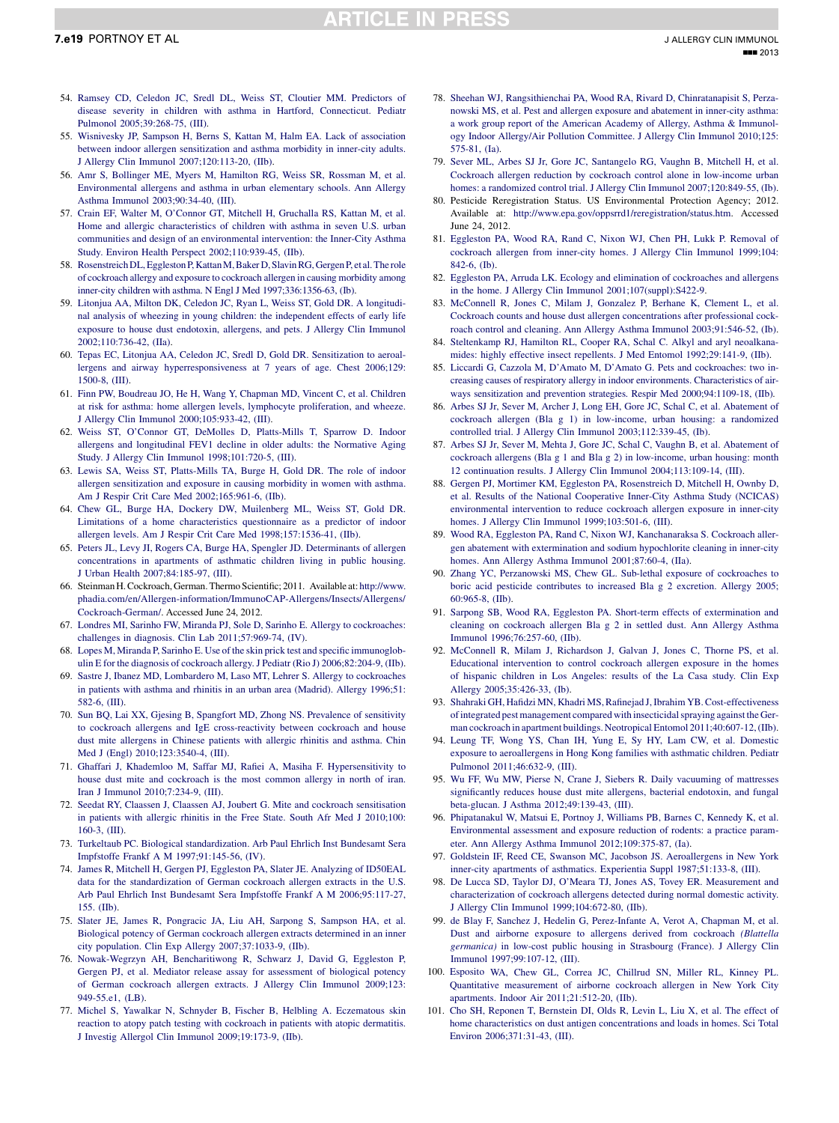- <span id="page-25-0"></span>54. [Ramsey CD, Celedon JC, Sredl DL, Weiss ST, Cloutier MM. Predictors of](http://refhub.elsevier.com/S0091-6749(13)00974-3/sref52) [disease severity in children with asthma in Hartford, Connecticut. Pediatr](http://refhub.elsevier.com/S0091-6749(13)00974-3/sref52) [Pulmonol 2005;39:268-75, \(III\)](http://refhub.elsevier.com/S0091-6749(13)00974-3/sref52).
- 55. [Wisnivesky JP, Sampson H, Berns S, Kattan M, Halm EA. Lack of association](http://refhub.elsevier.com/S0091-6749(13)00974-3/sref53) [between indoor allergen sensitization and asthma morbidity in inner-city adults.](http://refhub.elsevier.com/S0091-6749(13)00974-3/sref53) [J Allergy Clin Immunol 2007;120:113-20, \(IIb\).](http://refhub.elsevier.com/S0091-6749(13)00974-3/sref53)
- 56. [Amr S, Bollinger ME, Myers M, Hamilton RG, Weiss SR, Rossman M, et al.](http://refhub.elsevier.com/S0091-6749(13)00974-3/sref54) [Environmental allergens and asthma in urban elementary schools. Ann Allergy](http://refhub.elsevier.com/S0091-6749(13)00974-3/sref54) [Asthma Immunol 2003;90:34-40, \(III\)](http://refhub.elsevier.com/S0091-6749(13)00974-3/sref54).
- 57. [Crain EF, Walter M, O'Connor GT, Mitchell H, Gruchalla RS, Kattan M, et al.](http://refhub.elsevier.com/S0091-6749(13)00974-3/sref55) [Home and allergic characteristics of children with asthma in seven U.S. urban](http://refhub.elsevier.com/S0091-6749(13)00974-3/sref55) [communities and design of an environmental intervention: the Inner-City Asthma](http://refhub.elsevier.com/S0091-6749(13)00974-3/sref55) [Study. Environ Health Perspect 2002;110:939-45, \(IIb\).](http://refhub.elsevier.com/S0091-6749(13)00974-3/sref55)
- 58. Rosenstreich DL, Eggleston P, Kattan M, Baker D, Slavin RG, Gergen P, et al. The role [of cockroach allergy and exposure to cockroach allergen in causing morbidity among](http://refhub.elsevier.com/S0091-6749(13)00974-3/sref56) [inner-city children with asthma. N Engl J Med 1997;336:1356-63, \(Ib\)](http://refhub.elsevier.com/S0091-6749(13)00974-3/sref56).
- 59. [Litonjua AA, Milton DK, Celedon JC, Ryan L, Weiss ST, Gold DR. A longitudi](http://refhub.elsevier.com/S0091-6749(13)00974-3/sref57)[nal analysis of wheezing in young children: the independent effects of early life](http://refhub.elsevier.com/S0091-6749(13)00974-3/sref57) [exposure to house dust endotoxin, allergens, and pets. J Allergy Clin Immunol](http://refhub.elsevier.com/S0091-6749(13)00974-3/sref57) [2002;110:736-42, \(IIa\).](http://refhub.elsevier.com/S0091-6749(13)00974-3/sref57)
- 60. [Tepas EC, Litonjua AA, Celedon JC, Sredl D, Gold DR. Sensitization to aeroal](http://refhub.elsevier.com/S0091-6749(13)00974-3/sref58)[lergens and airway hyperresponsiveness at 7 years of age. Chest 2006;129:](http://refhub.elsevier.com/S0091-6749(13)00974-3/sref58) [1500-8, \(III\).](http://refhub.elsevier.com/S0091-6749(13)00974-3/sref58)
- 61. [Finn PW, Boudreau JO, He H, Wang Y, Chapman MD, Vincent C, et al. Children](http://refhub.elsevier.com/S0091-6749(13)00974-3/sref59) [at risk for asthma: home allergen levels, lymphocyte proliferation, and wheeze.](http://refhub.elsevier.com/S0091-6749(13)00974-3/sref59) [J Allergy Clin Immunol 2000;105:933-42, \(III\).](http://refhub.elsevier.com/S0091-6749(13)00974-3/sref59)
- 62. [Weiss ST, O'Connor GT, DeMolles D, Platts-Mills T, Sparrow D. Indoor](http://refhub.elsevier.com/S0091-6749(13)00974-3/sref60) [allergens and longitudinal FEV1 decline in older adults: the Normative Aging](http://refhub.elsevier.com/S0091-6749(13)00974-3/sref60) [Study. J Allergy Clin Immunol 1998;101:720-5, \(III\)](http://refhub.elsevier.com/S0091-6749(13)00974-3/sref60).
- 63. [Lewis SA, Weiss ST, Platts-Mills TA, Burge H, Gold DR. The role of indoor](http://refhub.elsevier.com/S0091-6749(13)00974-3/sref61) [allergen sensitization and exposure in causing morbidity in women with asthma.](http://refhub.elsevier.com/S0091-6749(13)00974-3/sref61) [Am J Respir Crit Care Med 2002;165:961-6, \(IIb\).](http://refhub.elsevier.com/S0091-6749(13)00974-3/sref61)
- 64. [Chew GL, Burge HA, Dockery DW, Muilenberg ML, Weiss ST, Gold DR.](http://refhub.elsevier.com/S0091-6749(13)00974-3/sref62) [Limitations of a home characteristics questionnaire as a predictor of indoor](http://refhub.elsevier.com/S0091-6749(13)00974-3/sref62) [allergen levels. Am J Respir Crit Care Med 1998;157:1536-41, \(IIb\).](http://refhub.elsevier.com/S0091-6749(13)00974-3/sref62)
- 65. [Peters JL, Levy JI, Rogers CA, Burge HA, Spengler JD. Determinants of allergen](http://refhub.elsevier.com/S0091-6749(13)00974-3/sref63) [concentrations in apartments of asthmatic children living in public housing.](http://refhub.elsevier.com/S0091-6749(13)00974-3/sref63) [J Urban Health 2007;84:185-97, \(III\)](http://refhub.elsevier.com/S0091-6749(13)00974-3/sref63).
- 66. Steinman H. Cockroach, German. Thermo Scientific; 2011. Available at: [http://www.](http://www.phadia.com/en/Allergen-information/ImmunoCAP-Allergens/Insects/Allergens/Cockroach-German/) [phadia.com/en/Allergen-information/ImmunoCAP-Allergens/Insects/Allergens/](http://www.phadia.com/en/Allergen-information/ImmunoCAP-Allergens/Insects/Allergens/Cockroach-German/) [Cockroach-German/](http://www.phadia.com/en/Allergen-information/ImmunoCAP-Allergens/Insects/Allergens/Cockroach-German/). Accessed June 24, 2012.
- 67. [Londres MI, Sarinho FW, Miranda PJ, Sole D, Sarinho E. Allergy to cockroaches:](http://refhub.elsevier.com/S0091-6749(13)00974-3/sref65) [challenges in diagnosis. Clin Lab 2011;57:969-74, \(IV\).](http://refhub.elsevier.com/S0091-6749(13)00974-3/sref65)
- 68. [Lopes M, Miranda P, Sarinho E. Use of the skin prick test and specific immunoglob](http://refhub.elsevier.com/S0091-6749(13)00974-3/sref66)[ulin E for the diagnosis of cockroach allergy. J Pediatr \(Rio J\) 2006;82:204-9, \(IIb\)](http://refhub.elsevier.com/S0091-6749(13)00974-3/sref66).
- 69. [Sastre J, Ibanez MD, Lombardero M, Laso MT, Lehrer S. Allergy to cockroaches](http://refhub.elsevier.com/S0091-6749(13)00974-3/sref67) [in patients with asthma and rhinitis in an urban area \(Madrid\). Allergy 1996;51:](http://refhub.elsevier.com/S0091-6749(13)00974-3/sref67) [582-6, \(III\)](http://refhub.elsevier.com/S0091-6749(13)00974-3/sref67).
- 70. [Sun BQ, Lai XX, Gjesing B, Spangfort MD, Zhong NS. Prevalence of sensitivity](http://refhub.elsevier.com/S0091-6749(13)00974-3/sref68) [to cockroach allergens and IgE cross-reactivity between cockroach and house](http://refhub.elsevier.com/S0091-6749(13)00974-3/sref68) [dust mite allergens in Chinese patients with allergic rhinitis and asthma. Chin](http://refhub.elsevier.com/S0091-6749(13)00974-3/sref68) [Med J \(Engl\) 2010;123:3540-4, \(III\)](http://refhub.elsevier.com/S0091-6749(13)00974-3/sref68).
- 71. [Ghaffari J, Khademloo M, Saffar MJ, Rafiei A, Masiha F. Hypersensitivity to](http://refhub.elsevier.com/S0091-6749(13)00974-3/sref69) [house dust mite and cockroach is the most common allergy in north of iran.](http://refhub.elsevier.com/S0091-6749(13)00974-3/sref69) [Iran J Immunol 2010;7:234-9, \(III\)](http://refhub.elsevier.com/S0091-6749(13)00974-3/sref69).
- 72. [Seedat RY, Claassen J, Claassen AJ, Joubert G. Mite and cockroach sensitisation](http://refhub.elsevier.com/S0091-6749(13)00974-3/sref70) [in patients with allergic rhinitis in the Free State. South Afr Med J 2010;100:](http://refhub.elsevier.com/S0091-6749(13)00974-3/sref70) [160-3, \(III\)](http://refhub.elsevier.com/S0091-6749(13)00974-3/sref70).
- 73. [Turkeltaub PC. Biological standardization. Arb Paul Ehrlich Inst Bundesamt Sera](http://refhub.elsevier.com/S0091-6749(13)00974-3/sref71) [Impfstoffe Frankf A M 1997;91:145-56, \(IV\)](http://refhub.elsevier.com/S0091-6749(13)00974-3/sref71).
- 74. [James R, Mitchell H, Gergen PJ, Eggleston PA, Slater JE. Analyzing of ID50EAL](http://refhub.elsevier.com/S0091-6749(13)00974-3/sref72) [data for the standardization of German cockroach allergen extracts in the U.S.](http://refhub.elsevier.com/S0091-6749(13)00974-3/sref72) [Arb Paul Ehrlich Inst Bundesamt Sera Impfstoffe Frankf A M 2006;95:117-27,](http://refhub.elsevier.com/S0091-6749(13)00974-3/sref72) [155. \(IIb\).](http://refhub.elsevier.com/S0091-6749(13)00974-3/sref72)
- 75. [Slater JE, James R, Pongracic JA, Liu AH, Sarpong S, Sampson HA, et al.](http://refhub.elsevier.com/S0091-6749(13)00974-3/sref73) [Biological potency of German cockroach allergen extracts determined in an inner](http://refhub.elsevier.com/S0091-6749(13)00974-3/sref73) [city population. Clin Exp Allergy 2007;37:1033-9, \(IIb\)](http://refhub.elsevier.com/S0091-6749(13)00974-3/sref73).
- 76. [Nowak-Wegrzyn AH, Bencharitiwong R, Schwarz J, David G, Eggleston P,](http://refhub.elsevier.com/S0091-6749(13)00974-3/sref74) [Gergen PJ, et al. Mediator release assay for assessment of biological potency](http://refhub.elsevier.com/S0091-6749(13)00974-3/sref74) [of German cockroach allergen extracts. J Allergy Clin Immunol 2009;123:](http://refhub.elsevier.com/S0091-6749(13)00974-3/sref74) [949-55.e1, \(LB\).](http://refhub.elsevier.com/S0091-6749(13)00974-3/sref74)
- 77. [Michel S, Yawalkar N, Schnyder B, Fischer B, Helbling A. Eczematous skin](http://refhub.elsevier.com/S0091-6749(13)00974-3/sref75) reaction to atopy [patch testing with cockroach in patients with atopic dermatitis.](http://refhub.elsevier.com/S0091-6749(13)00974-3/sref75) [J Investig Allergol Clin Immunol 2009;19:173-9, \(IIb\).](http://refhub.elsevier.com/S0091-6749(13)00974-3/sref75)
- 78. [Sheehan WJ, Rangsithienchai PA, Wood RA, Rivard D, Chinratanapisit S, Perza](http://refhub.elsevier.com/S0091-6749(13)00974-3/sref76)[nowski MS, et al. Pest and allergen exposure and abatement in inner-city asthma:](http://refhub.elsevier.com/S0091-6749(13)00974-3/sref76) [a work group report of the American Academy of Allergy, Asthma & Immunol](http://refhub.elsevier.com/S0091-6749(13)00974-3/sref76)[ogy Indoor Allergy/Air Pollution Committee. J Allergy Clin Immunol 2010;125:](http://refhub.elsevier.com/S0091-6749(13)00974-3/sref76) [575-81, \(Ia\)](http://refhub.elsevier.com/S0091-6749(13)00974-3/sref76).
- 79. [Sever ML, Arbes SJ Jr, Gore JC, Santangelo RG, Vaughn B, Mitchell H, et al.](http://refhub.elsevier.com/S0091-6749(13)00974-3/sref77) [Cockroach allergen reduction by cockroach control alone in low-income urban](http://refhub.elsevier.com/S0091-6749(13)00974-3/sref77) [homes: a randomized control trial. J Allergy Clin Immunol 2007;120:849-55, \(Ib\)](http://refhub.elsevier.com/S0091-6749(13)00974-3/sref77).
- 80. Pesticide Reregistration Status. US Environmental Protection Agency; 2012. Available at: [http://www.epa.gov/oppsrrd1/reregistration/status.htm.](http://www.epa.gov/oppsrrd1/reregistration/status.htm) Accessed June 24, 2012.
- 81. [Eggleston PA, Wood RA, Rand C, Nixon WJ, Chen PH, Lukk P. Removal of](http://refhub.elsevier.com/S0091-6749(13)00974-3/sref79) [cockroach allergen from inner-city homes. J Allergy Clin Immunol 1999;104:](http://refhub.elsevier.com/S0091-6749(13)00974-3/sref79) [842-6, \(Ib\)](http://refhub.elsevier.com/S0091-6749(13)00974-3/sref79).
- 82. [Eggleston PA, Arruda LK. Ecology and elimination of cockroaches and allergens](http://refhub.elsevier.com/S0091-6749(13)00974-3/sref80) [in the home. J Allergy Clin Immunol 2001;107\(suppl\):S422-9](http://refhub.elsevier.com/S0091-6749(13)00974-3/sref80).
- 83. [McConnell R, Jones C, Milam J, Gonzalez P, Berhane K, Clement L, et al.](http://refhub.elsevier.com/S0091-6749(13)00974-3/sref81) [Cockroach counts and house dust allergen concentrations after professional cock](http://refhub.elsevier.com/S0091-6749(13)00974-3/sref81)[roach control and cleaning. Ann Allergy Asthma Immunol 2003;91:546-52, \(Ib\)](http://refhub.elsevier.com/S0091-6749(13)00974-3/sref81).
- 84. [Steltenkamp RJ, Hamilton RL, Cooper RA, Schal C. Alkyl and aryl neoalkana](http://refhub.elsevier.com/S0091-6749(13)00974-3/sref82)[mides: highly effective insect repellents. J Med Entomol 1992;29:141-9, \(IIb\).](http://refhub.elsevier.com/S0091-6749(13)00974-3/sref82)
- 85. [Liccardi G, Cazzola M, D'Amato M, D'Amato G. Pets and cockroaches: two in](http://refhub.elsevier.com/S0091-6749(13)00974-3/sref83)[creasing causes of respiratory allergy in indoor environments. Characteristics of air](http://refhub.elsevier.com/S0091-6749(13)00974-3/sref83)[ways sensitization and prevention strategies. Respir Med 2000;94:1109-18, \(IIb\).](http://refhub.elsevier.com/S0091-6749(13)00974-3/sref83)
- 86. [Arbes SJ Jr, Sever M, Archer J, Long EH, Gore JC, Schal C, et al. Abatement of](http://refhub.elsevier.com/S0091-6749(13)00974-3/sref84) [cockroach allergen \(Bla g 1\) in low-income, urban housing: a randomized](http://refhub.elsevier.com/S0091-6749(13)00974-3/sref84) [controlled trial. J Allergy Clin Immunol 2003;112:339-45, \(Ib\).](http://refhub.elsevier.com/S0091-6749(13)00974-3/sref84)
- 87. [Arbes SJ Jr, Sever M, Mehta J, Gore JC, Schal C, Vaughn B, et al. Abatement of](http://refhub.elsevier.com/S0091-6749(13)00974-3/sref85) [cockroach allergens \(Bla g 1 and Bla g 2\) in low-income, urban housing: month](http://refhub.elsevier.com/S0091-6749(13)00974-3/sref85) [12 continuation results. J Allergy Clin Immunol 2004;113:109-14, \(III\).](http://refhub.elsevier.com/S0091-6749(13)00974-3/sref85)
- 88. [Gergen PJ, Mortimer KM, Eggleston PA, Rosenstreich D, Mitchell H, Ownby D,](http://refhub.elsevier.com/S0091-6749(13)00974-3/sref86) [et al. Results of the National Cooperative Inner-City Asthma Study \(NCICAS\)](http://refhub.elsevier.com/S0091-6749(13)00974-3/sref86) [environmental intervention to reduce cockroach allergen exposure in inner-city](http://refhub.elsevier.com/S0091-6749(13)00974-3/sref86) [homes. J Allergy Clin Immunol 1999;103:501-6, \(III\)](http://refhub.elsevier.com/S0091-6749(13)00974-3/sref86).
- 89. [Wood RA, Eggleston PA, Rand C, Nixon WJ, Kanchanaraksa S. Cockroach aller](http://refhub.elsevier.com/S0091-6749(13)00974-3/sref87)[gen abatement with extermination and sodium hypochlorite cleaning in inner-city](http://refhub.elsevier.com/S0091-6749(13)00974-3/sref87) [homes. Ann Allergy Asthma Immunol 2001;87:60-4, \(IIa\).](http://refhub.elsevier.com/S0091-6749(13)00974-3/sref87)
- 90. [Zhang YC, Perzanowski MS, Chew GL. Sub-lethal exposure of cockroaches to](http://refhub.elsevier.com/S0091-6749(13)00974-3/sref88) [boric acid pesticide contributes to increased Bla g 2 excretion. Allergy 2005;](http://refhub.elsevier.com/S0091-6749(13)00974-3/sref88) [60:965-8, \(IIb\)](http://refhub.elsevier.com/S0091-6749(13)00974-3/sref88).
- 91. [Sarpong SB, Wood RA, Eggleston PA. Short-term effects of extermination and](http://refhub.elsevier.com/S0091-6749(13)00974-3/sref89) [cleaning on cockroach allergen Bla g 2 in settled dust. Ann Allergy Asthma](http://refhub.elsevier.com/S0091-6749(13)00974-3/sref89) [Immunol 1996;76:257-60, \(IIb\).](http://refhub.elsevier.com/S0091-6749(13)00974-3/sref89)
- 92. [McConnell R, Milam J, Richardson J, Galvan J, Jones C, Thorne PS, et al.](http://refhub.elsevier.com/S0091-6749(13)00974-3/sref90) [Educational intervention to control cockroach allergen exposure in the homes](http://refhub.elsevier.com/S0091-6749(13)00974-3/sref90) [of hispanic children in Los Angeles: results of the La Casa study. Clin Exp](http://refhub.elsevier.com/S0091-6749(13)00974-3/sref90) [Allergy 2005;35:426-33, \(Ib\)](http://refhub.elsevier.com/S0091-6749(13)00974-3/sref90).
- 93. [Shahraki GH, Hafidzi MN, Khadri MS, Rafinejad J, Ibrahim YB. Cost-effectiveness](http://refhub.elsevier.com/S0091-6749(13)00974-3/sref91) [of integrated pest management compared with insecticidal spraying against the Ger](http://refhub.elsevier.com/S0091-6749(13)00974-3/sref91)[man cockroach in apartment buildings. Neotropical Entomol 2011;40:607-12, \(IIb\)](http://refhub.elsevier.com/S0091-6749(13)00974-3/sref91).
- 94. [Leung TF, Wong YS, Chan IH, Yung E, Sy HY, Lam CW, et al. Domestic](http://refhub.elsevier.com/S0091-6749(13)00974-3/sref92) [exposure to aeroallergens in Hong Kong families with asthmatic children. Pediatr](http://refhub.elsevier.com/S0091-6749(13)00974-3/sref92) [Pulmonol 2011;46:632-9, \(III\).](http://refhub.elsevier.com/S0091-6749(13)00974-3/sref92)
- 95. [Wu FF, Wu MW, Pierse N, Crane J, Siebers R. Daily vacuuming of mattresses](http://refhub.elsevier.com/S0091-6749(13)00974-3/sref93) [significantly reduces house dust mite allergens, bacterial endotoxin, and fungal](http://refhub.elsevier.com/S0091-6749(13)00974-3/sref93) [beta-glucan. J Asthma 2012;49:139-43, \(III\)](http://refhub.elsevier.com/S0091-6749(13)00974-3/sref93).
- 96. [Phipatanakul W, Matsui E, Portnoy J, Williams PB, Barnes C, Kennedy K, et al.](http://refhub.elsevier.com/S0091-6749(13)00974-3/sref94) [Environmental assessment and exposure reduction of rodents: a practice param](http://refhub.elsevier.com/S0091-6749(13)00974-3/sref94)[eter. Ann Allergy Asthma Immunol 2012;109:375-87, \(Ia\).](http://refhub.elsevier.com/S0091-6749(13)00974-3/sref94)
- 97. [Goldstein IF, Reed CE, Swanson MC, Jacobson JS. Aeroallergens in New York](http://refhub.elsevier.com/S0091-6749(13)00974-3/sref95) [inner-city apartments of asthmatics. Experientia Suppl 1987;51:133-8, \(III\).](http://refhub.elsevier.com/S0091-6749(13)00974-3/sref95)
- 98. [De Lucca SD, Taylor DJ, O'Meara TJ, Jones AS, Tovey ER. Measurement and](http://refhub.elsevier.com/S0091-6749(13)00974-3/sref96) [characterization of cockroach allergens detected during normal domestic activity.](http://refhub.elsevier.com/S0091-6749(13)00974-3/sref96) [J Allergy Clin Immunol 1999;104:672-80, \(IIb\).](http://refhub.elsevier.com/S0091-6749(13)00974-3/sref96)
- 99. [de Blay F, Sanchez J, Hedelin G, Perez-Infante A, Verot A, Chapman M, et al.](http://refhub.elsevier.com/S0091-6749(13)00974-3/sref97) [Dust and airborne exposure to allergens derived from cockroach](http://refhub.elsevier.com/S0091-6749(13)00974-3/sref97) (Blattella germanica) [in low-cost public housing in Strasbourg \(France\). J Allergy Clin](http://refhub.elsevier.com/S0091-6749(13)00974-3/sref97) [Immunol 1997;99:107-12, \(III\).](http://refhub.elsevier.com/S0091-6749(13)00974-3/sref97)
- 100. Esposito WA, [Chew GL, Correa JC, Chillrud SN, Miller RL, Kinney PL.](http://refhub.elsevier.com/S0091-6749(13)00974-3/sref98) [Quantitative measurement of airborne cockroach allergen in New York City](http://refhub.elsevier.com/S0091-6749(13)00974-3/sref98) [apartments. Indoor Air 2011;21:512-20, \(IIb\).](http://refhub.elsevier.com/S0091-6749(13)00974-3/sref98)
- 101. [Cho SH, Reponen T, Bernstein DI, Olds R, Levin L, Liu X, et al. The effect of](http://refhub.elsevier.com/S0091-6749(13)00974-3/sref99) [home characteristics on dust antigen concentrations and loads in homes. Sci Total](http://refhub.elsevier.com/S0091-6749(13)00974-3/sref99) [Environ 2006;371:31-43, \(III\).](http://refhub.elsevier.com/S0091-6749(13)00974-3/sref99)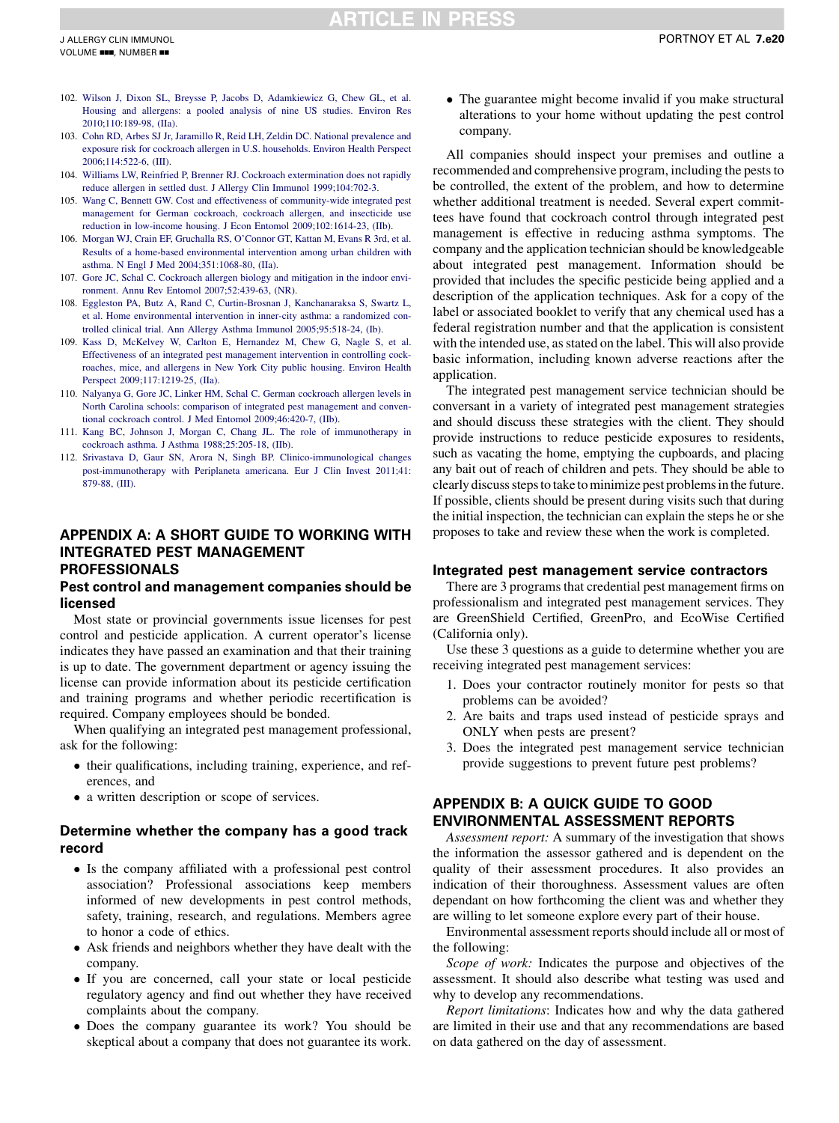- 102. [Wilson J, Dixon SL, Breysse P, Jacobs D, Adamkiewicz G, Chew GL, et al.](http://refhub.elsevier.com/S0091-6749(13)00974-3/sref100) [Housing and allergens: a pooled analysis of nine US studies. Environ Res](http://refhub.elsevier.com/S0091-6749(13)00974-3/sref100) [2010;110:189-98, \(IIa\)](http://refhub.elsevier.com/S0091-6749(13)00974-3/sref100).
- 103. [Cohn RD, Arbes SJ Jr, Jaramillo R, Reid LH, Zeldin DC. National prevalence and](http://refhub.elsevier.com/S0091-6749(13)00974-3/sref101) [exposure risk for cockroach allergen in U.S. households. Environ Health Perspect](http://refhub.elsevier.com/S0091-6749(13)00974-3/sref101) [2006;114:522-6, \(III\).](http://refhub.elsevier.com/S0091-6749(13)00974-3/sref101)
- 104. [Williams LW, Reinfried P, Brenner RJ. Cockroach extermination does not rapidly](http://refhub.elsevier.com/S0091-6749(13)00974-3/sref102) [reduce allergen in settled dust. J Allergy Clin Immunol 1999;104:702-3.](http://refhub.elsevier.com/S0091-6749(13)00974-3/sref102)
- 105. [Wang C, Bennett GW. Cost and effectiveness of community-wide integrated pest](http://refhub.elsevier.com/S0091-6749(13)00974-3/sref103) [management for German cockroach, cockroach allergen, and insecticide use](http://refhub.elsevier.com/S0091-6749(13)00974-3/sref103) [reduction in low-income housing. J Econ Entomol 2009;102:1614-23, \(IIb\).](http://refhub.elsevier.com/S0091-6749(13)00974-3/sref103)
- 106. [Morgan WJ, Crain EF, Gruchalla RS, O'Connor GT, Kattan M, Evans R 3rd, et al.](http://refhub.elsevier.com/S0091-6749(13)00974-3/sref104) [Results of a home-based environmental intervention among urban children with](http://refhub.elsevier.com/S0091-6749(13)00974-3/sref104) [asthma. N Engl J Med 2004;351:1068-80, \(IIa\).](http://refhub.elsevier.com/S0091-6749(13)00974-3/sref104)
- 107. [Gore JC, Schal C. Cockroach allergen biology and mitigation in the indoor envi](http://refhub.elsevier.com/S0091-6749(13)00974-3/sref105)[ronment. Annu Rev Entomol 2007;52:439-63, \(NR\).](http://refhub.elsevier.com/S0091-6749(13)00974-3/sref105)
- 108. [Eggleston PA, Butz A, Rand C, Curtin-Brosnan J, Kanchanaraksa S, Swartz L,](http://refhub.elsevier.com/S0091-6749(13)00974-3/sref106) [et al. Home environmental intervention in inner-city asthma: a randomized con](http://refhub.elsevier.com/S0091-6749(13)00974-3/sref106)[trolled clinical trial. Ann Allergy Asthma Immunol 2005;95:518-24, \(Ib\).](http://refhub.elsevier.com/S0091-6749(13)00974-3/sref106)
- 109. [Kass D, McKelvey W, Carlton E, Hernandez M, Chew G, Nagle S, et al.](http://refhub.elsevier.com/S0091-6749(13)00974-3/sref107) [Effectiveness of an integrated pest management intervention in controlling cock](http://refhub.elsevier.com/S0091-6749(13)00974-3/sref107)[roaches, mice, and allergens in New York City public housing. Environ Health](http://refhub.elsevier.com/S0091-6749(13)00974-3/sref107) [Perspect 2009;117:1219-25, \(IIa\).](http://refhub.elsevier.com/S0091-6749(13)00974-3/sref107)
- 110. [Nalyanya G, Gore JC, Linker HM, Schal C. German cockroach allergen levels in](http://refhub.elsevier.com/S0091-6749(13)00974-3/sref108) [North Carolina schools: comparison of integrated pest management and conven](http://refhub.elsevier.com/S0091-6749(13)00974-3/sref108)[tional cockroach control. J Med Entomol 2009;46:420-7, \(IIb\)](http://refhub.elsevier.com/S0091-6749(13)00974-3/sref108).
- 111. [Kang BC, Johnson J, Morgan C, Chang JL. The role of immunotherapy in](http://refhub.elsevier.com/S0091-6749(13)00974-3/sref109) [cockroach asthma. J Asthma 1988;25:205-18, \(IIb\).](http://refhub.elsevier.com/S0091-6749(13)00974-3/sref109)
- 112. [Srivastava D, Gaur SN, Arora N, Singh BP. Clinico-immunological changes](http://refhub.elsevier.com/S0091-6749(13)00974-3/sref110) [post-immunotherapy with Periplaneta americana. Eur J Clin Invest 2011;41:](http://refhub.elsevier.com/S0091-6749(13)00974-3/sref110) [879-88, \(III\)](http://refhub.elsevier.com/S0091-6749(13)00974-3/sref110).

## APPENDIX A: A SHORT GUIDE TO WORKING WITH INTEGRATED PEST MANAGEMENT PROFESSIONALS

## Pest control and management companies should be licensed

Most state or provincial governments issue licenses for pest control and pesticide application. A current operator's license indicates they have passed an examination and that their training is up to date. The government department or agency issuing the license can provide information about its pesticide certification and training programs and whether periodic recertification is required. Company employees should be bonded.

When qualifying an integrated pest management professional, ask for the following:

- their qualifications, including training, experience, and references, and
- a written description or scope of services.

## Determine whether the company has a good track record

- Is the company affiliated with a professional pest control association? Professional associations keep members informed of new developments in pest control methods, safety, training, research, and regulations. Members agree to honor a code of ethics.
- Ask friends and neighbors whether they have dealt with the company.
- If you are concerned, call your state or local pesticide regulatory agency and find out whether they have received complaints about the company.
- Does the company guarantee its work? You should be skeptical about a company that does not guarantee its work.

 The guarantee might become invalid if you make structural alterations to your home without updating the pest control company.

All companies should inspect your premises and outline a recommended and comprehensive program, including the pests to be controlled, the extent of the problem, and how to determine whether additional treatment is needed. Several expert committees have found that cockroach control through integrated pest management is effective in reducing asthma symptoms. The company and the application technician should be knowledgeable about integrated pest management. Information should be provided that includes the specific pesticide being applied and a description of the application techniques. Ask for a copy of the label or associated booklet to verify that any chemical used has a federal registration number and that the application is consistent with the intended use, as stated on the label. This will also provide basic information, including known adverse reactions after the application.

The integrated pest management service technician should be conversant in a variety of integrated pest management strategies and should discuss these strategies with the client. They should provide instructions to reduce pesticide exposures to residents, such as vacating the home, emptying the cupboards, and placing any bait out of reach of children and pets. They should be able to clearly discuss steps to taketo minimize pest problems inthe future. If possible, clients should be present during visits such that during the initial inspection, the technician can explain the steps he or she proposes to take and review these when the work is completed.

#### Integrated pest management service contractors

There are 3 programs that credential pest management firms on professionalism and integrated pest management services. They are GreenShield Certified, GreenPro, and EcoWise Certified (California only).

Use these 3 questions as a guide to determine whether you are receiving integrated pest management services:

- 1. Does your contractor routinely monitor for pests so that problems can be avoided?
- 2. Are baits and traps used instead of pesticide sprays and ONLY when pests are present?
- 3. Does the integrated pest management service technician provide suggestions to prevent future pest problems?

## APPENDIX B: A QUICK GUIDE TO GOOD ENVIRONMENTAL ASSESSMENT REPORTS

Assessment report: A summary of the investigation that shows the information the assessor gathered and is dependent on the quality of their assessment procedures. It also provides an indication of their thoroughness. Assessment values are often dependant on how forthcoming the client was and whether they are willing to let someone explore every part of their house.

Environmental assessment reports should include all or most of the following:

Scope of work: Indicates the purpose and objectives of the assessment. It should also describe what testing was used and why to develop any recommendations.

Report limitations: Indicates how and why the data gathered are limited in their use and that any recommendations are based on data gathered on the day of assessment.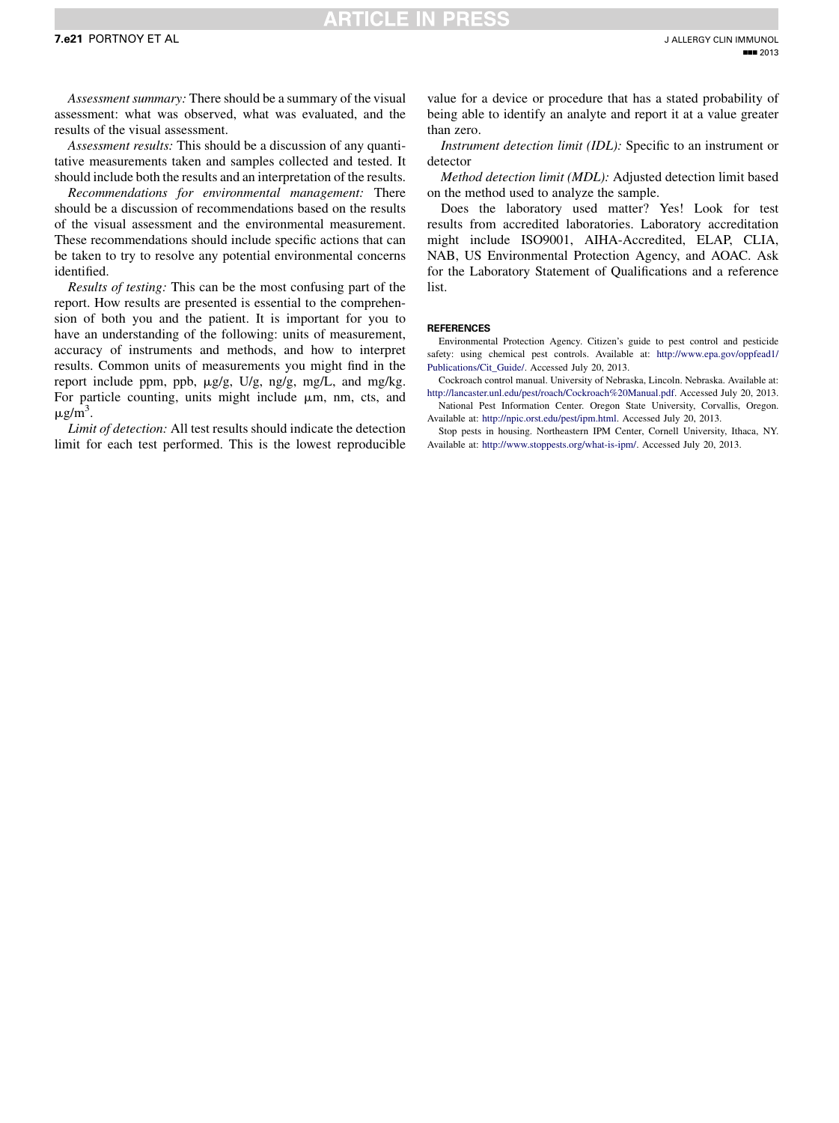Assessment summary: There should be a summary of the visual assessment: what was observed, what was evaluated, and the results of the visual assessment.

Assessment results: This should be a discussion of any quantitative measurements taken and samples collected and tested. It should include both the results and an interpretation of the results.

Recommendations for environmental management: There should be a discussion of recommendations based on the results of the visual assessment and the environmental measurement. These recommendations should include specific actions that can be taken to try to resolve any potential environmental concerns identified.

Results of testing: This can be the most confusing part of the report. How results are presented is essential to the comprehension of both you and the patient. It is important for you to have an understanding of the following: units of measurement, accuracy of instruments and methods, and how to interpret results. Common units of measurements you might find in the report include ppm, ppb, mg/g, U/g, ng/g, mg/L, and mg/kg. For particle counting, units might include  $\mu$ m, nm, cts, and  $\mu$ g/m<sup>3</sup>.<br>*I imi* 

Limit of detection: All test results should indicate the detection limit for each test performed. This is the lowest reproducible

value for a device or procedure that has a stated probability of being able to identify an analyte and report it at a value greater than zero.

Instrument detection limit (IDL): Specific to an instrument or detector

Method detection limit (MDL): Adjusted detection limit based on the method used to analyze the sample.

Does the laboratory used matter? Yes! Look for test results from accredited laboratories. Laboratory accreditation might include ISO9001, AIHA-Accredited, ELAP, CLIA, NAB, US Environmental Protection Agency, and AOAC. Ask for the Laboratory Statement of Qualifications and a reference list.

#### REFERENCES

Environmental Protection Agency. Citizen's guide to pest control and pesticide safety: using chemical pest controls. Available at: [http://www.epa.gov/oppfead1/](http://www.epa.gov/oppfead1/Publications/Cit_Guide/) [Publications/Cit\\_Guide/.](http://www.epa.gov/oppfead1/Publications/Cit_Guide/) Accessed July 20, 2013.

Cockroach control manual. University of Nebraska, Lincoln. Nebraska. Available at: <http://lancaster.unl.edu/pest/roach/Cockroach%20Manual.pdf>. Accessed July 20, 2013.

National Pest Information Center. Oregon State University, Corvallis, Oregon. Available at: <http://npic.orst.edu/pest/ipm.html>. Accessed July 20, 2013.

Stop pests in housing. Northeastern IPM Center, Cornell University, Ithaca, NY. Available at: [http://www.stoppests.org/what-is-ipm/.](http://www.stoppests.org/what-is-ipm/) Accessed July 20, 2013.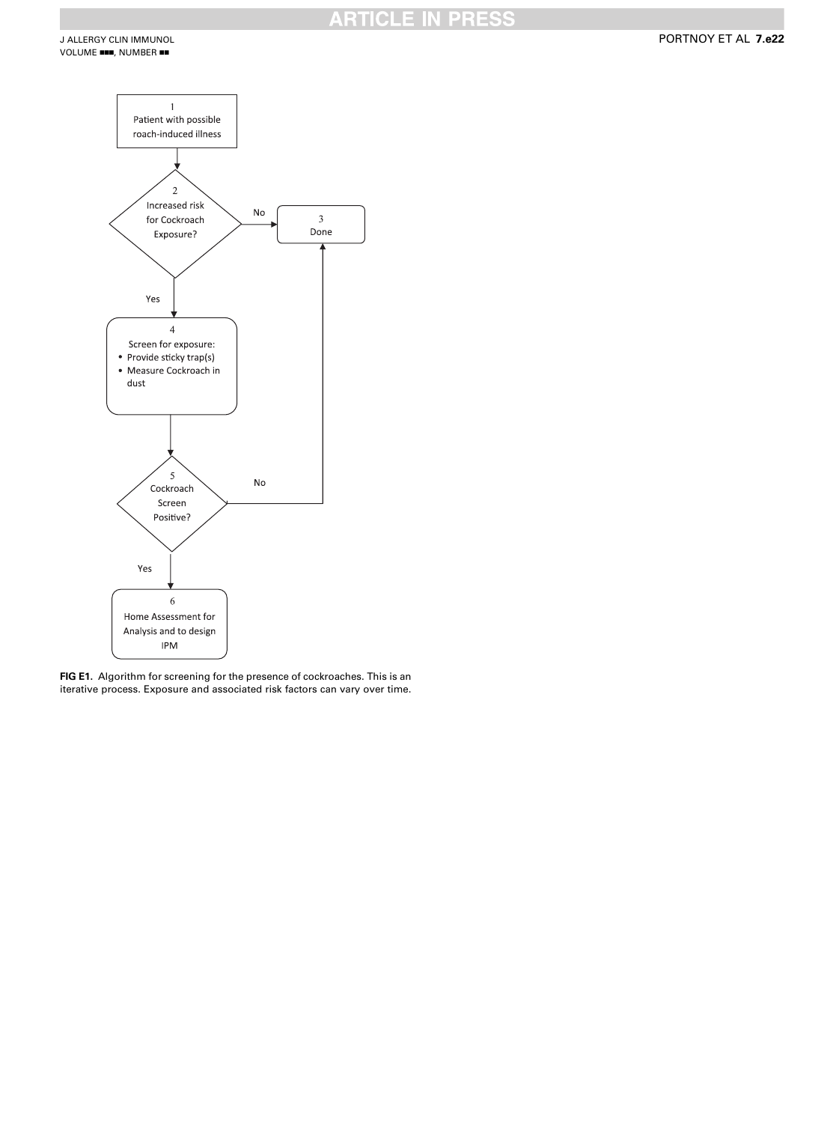PORTNOY ET AL 7.e22

<span id="page-28-0"></span>

FIG E1. Algorithm for screening for the presence of cockroaches. This is an iterative process. Exposure and associated risk factors can vary over time.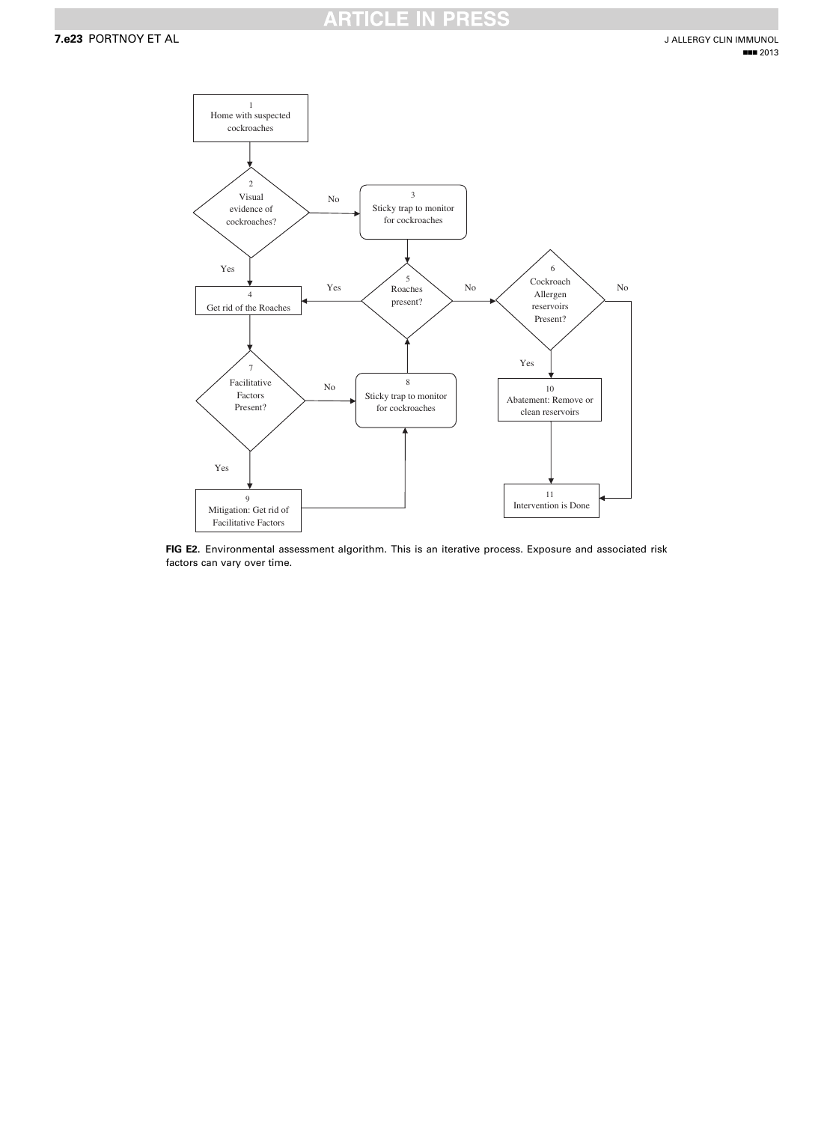<span id="page-29-0"></span>

FIG E2. Environmental assessment algorithm. This is an iterative process. Exposure and associated risk factors can vary over time.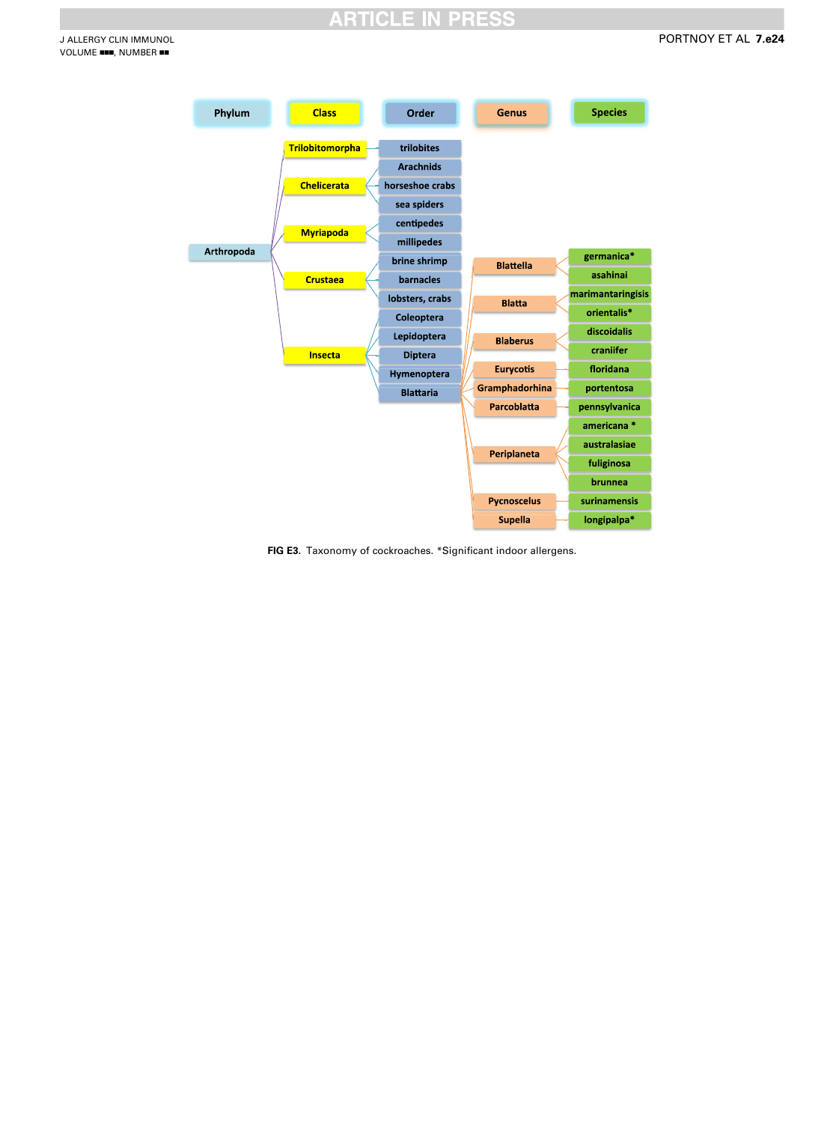<span id="page-30-0"></span>

FIG E3. Taxonomy of cockroaches. \*Significant indoor allergens.